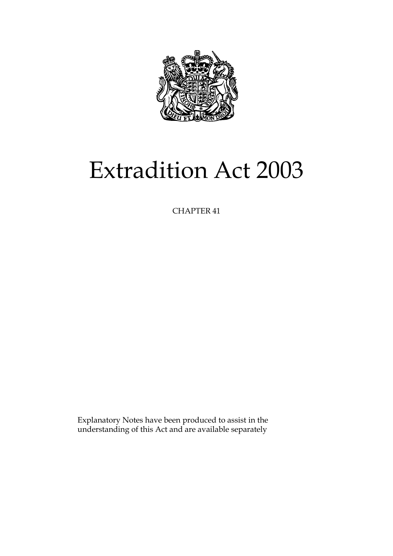

# Extradition Act 2003

CHAPTER 41

Explanatory Notes have been produced to assist in the understanding of this Act and are available separately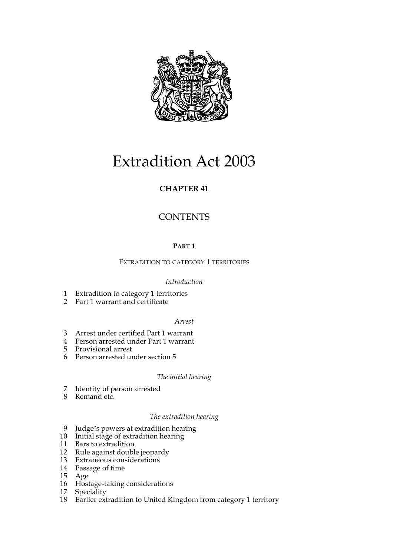

# Extradition Act 2003

# **CHAPTER 41**

# **CONTENTS**

# **PART 1**

# EXTRADITION TO CATEGORY 1 TERRITORIES

# *Introduction*

- 1 Extradition to category 1 territories
- 2 Part 1 warrant and certificate

# *Arrest*

- 3 Arrest under certified Part 1 warrant
- 4 Person arrested under Part 1 warrant
- 5 Provisional arrest
- 6 Person arrested under section 5

# *The initial hearing*

- 7 Identity of person arrested
- 8 Remand etc.

# *The extradition hearing*

- 9 Judge's powers at extradition hearing
- 10 Initial stage of extradition hearing
- 11 Bars to extradition
- 12 Rule against double jeopardy
- 13 Extraneous considerations
- 14 Passage of time
- Age
- 16 Hostage-taking considerations<br>17 Speciality
- Speciality
- 18 Earlier extradition to United Kingdom from category 1 territory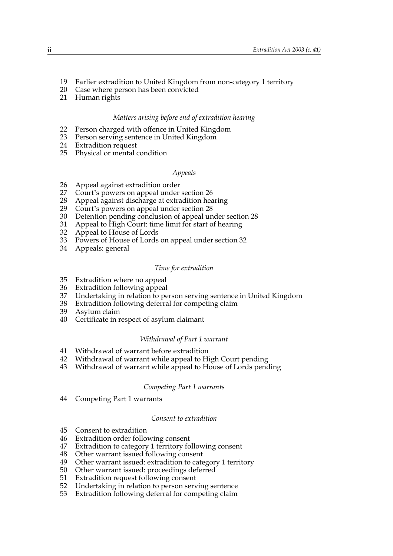- 19 Earlier extradition to United Kingdom from non-category 1 territory
- 20 Case where person has been convicted
- 21 Human rights

#### *Matters arising before end of extradition hearing*

- 22 Person charged with offence in United Kingdom<br>23 Person serving sentence in United Kingdom
- Person serving sentence in United Kingdom
- 24 Extradition request
- 25 Physical or mental condition

#### *Appeals*

- 26 Appeal against extradition order<br>27 Court's powers on appeal under
- 27 Court's powers on appeal under section 26<br>28 Appeal against discharge at extradition hea
- Appeal against discharge at extradition hearing
- 29 Court's powers on appeal under section 28
- 30 Detention pending conclusion of appeal under section 28
- 31 Appeal to High Court: time limit for start of hearing
- 32 Appeal to House of Lords
- 33 Powers of House of Lords on appeal under section 32
- 34 Appeals: general

#### *Time for extradition*

- 35 Extradition where no appeal
- 36 Extradition following appeal
- 37 Undertaking in relation to person serving sentence in United Kingdom
- 38 Extradition following deferral for competing claim
- 39 Asylum claim
- 40 Certificate in respect of asylum claimant

#### *Withdrawal of Part 1 warrant*

- 41 Withdrawal of warrant before extradition
- 42 Withdrawal of warrant while appeal to High Court pending
- 43 Withdrawal of warrant while appeal to House of Lords pending

#### *Competing Part 1 warrants*

44 Competing Part 1 warrants

#### *Consent to extradition*

- 45 Consent to extradition
- 46 Extradition order following consent
- 47 Extradition to category 1 territory following consent
- 48 Other warrant issued following consent
- 49 Other warrant issued: extradition to category 1 territory
- 50 Other warrant issued: proceedings deferred
- 51 Extradition request following consent
- 52 Undertaking in relation to person serving sentence
- 53 Extradition following deferral for competing claim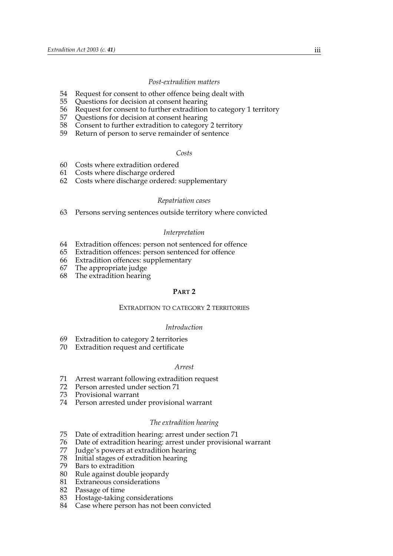#### *Post-extradition matters*

- 54 Request for consent to other offence being dealt with
- 55 Questions for decision at consent hearing
- 56 Request for consent to further extradition to category 1 territory
- 57 Questions for decision at consent hearing
- 58 Consent to further extradition to category 2 territory
- 59 Return of person to serve remainder of sentence

#### *Costs*

- 60 Costs where extradition ordered
- 61 Costs where discharge ordered
- 62 Costs where discharge ordered: supplementary

#### *Repatriation cases*

63 Persons serving sentences outside territory where convicted

#### *Interpretation*

- 64 Extradition offences: person not sentenced for offence
- 65 Extradition offences: person sentenced for offence
- 66 Extradition offences: supplementary
- 67 The appropriate judge
- 68 The extradition hearing

#### **PART 2**

#### EXTRADITION TO CATEGORY 2 TERRITORIES

#### *Introduction*

- 69 Extradition to category 2 territories
- 70 Extradition request and certificate

#### *Arrest*

- 71 Arrest warrant following extradition request
- 72 Person arrested under section 71
- 73 Provisional warrant
- 74 Person arrested under provisional warrant

#### *The extradition hearing*

- 75 Date of extradition hearing: arrest under section 71
- 76 Date of extradition hearing: arrest under provisional warrant
- 77 Judge's powers at extradition hearing
- 78 Initial stages of extradition hearing
- 79 Bars to extradition
- 80 Rule against double jeopardy
- 81 Extraneous considerations
- 82 Passage of time
- 83 Hostage-taking considerations
- 84 Case where person has not been convicted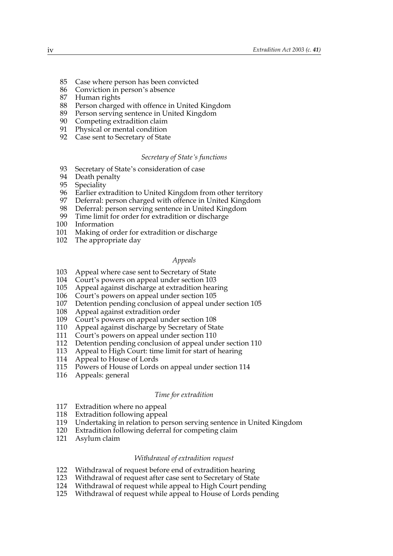- 85 Case where person has been convicted
- 86 Conviction in person's absence
- 87 Human rights
- 88 Person charged with offence in United Kingdom
- 89 Person serving sentence in United Kingdom
- 90 Competing extradition claim
- 91 Physical or mental condition
- 92 Case sent to Secretary of State

#### *Secretary of State's functions*

- 93 Secretary of State's consideration of case
- 94 Death penalty
- 95 Speciality
- 96 Earlier extradition to United Kingdom from other territory
- 97 Deferral: person charged with offence in United Kingdom<br>98 Deferral: person serving sentence in United Kingdom
- 98 Deferral: person serving sentence in United Kingdom<br>99 Time limit for order for extradition or discharge
- Time limit for order for extradition or discharge
- 100 Information
- 101 Making of order for extradition or discharge
- 102 The appropriate day

#### *Appeals*

- 103 Appeal where case sent to Secretary of State
- 104 Court's powers on appeal under section 103
- 105 Appeal against discharge at extradition hearing
- 106 Court's powers on appeal under section 105
- 107 Detention pending conclusion of appeal under section 105
- 108 Appeal against extradition order
- 109 Court's powers on appeal under section 108
- 110 Appeal against discharge by Secretary of State
- 111 Court's powers on appeal under section 110
- 112 Detention pending conclusion of appeal under section 110
- 113 Appeal to High Court: time limit for start of hearing
- 114 Appeal to House of Lords
- 115 Powers of House of Lords on appeal under section 114
- 116 Appeals: general

#### *Time for extradition*

- 117 Extradition where no appeal
- 118 Extradition following appeal
- 119 Undertaking in relation to person serving sentence in United Kingdom
- 120 Extradition following deferral for competing claim
- 121 Asylum claim

#### *Withdrawal of extradition request*

- 122 Withdrawal of request before end of extradition hearing
- 123 Withdrawal of request after case sent to Secretary of State
- 124 Withdrawal of request while appeal to High Court pending
- 125 Withdrawal of request while appeal to House of Lords pending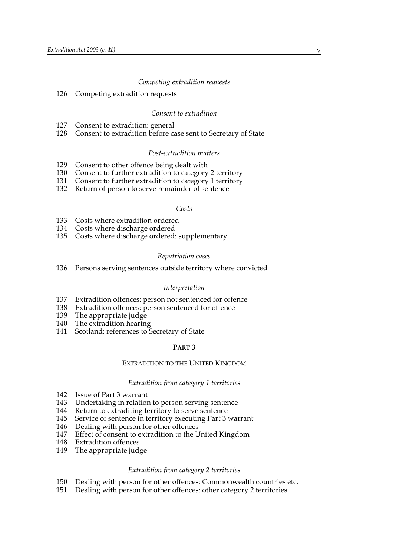#### *Competing extradition requests*

#### 126 Competing extradition requests

#### *Consent to extradition*

- 127 Consent to extradition: general
- 128 Consent to extradition before case sent to Secretary of State

#### *Post-extradition matters*

- 129 Consent to other offence being dealt with
- 130 Consent to further extradition to category 2 territory
- 131 Consent to further extradition to category 1 territory
- 132 Return of person to serve remainder of sentence

#### *Costs*

- 133 Costs where extradition ordered
- 134 Costs where discharge ordered
- 135 Costs where discharge ordered: supplementary

#### *Repatriation cases*

136 Persons serving sentences outside territory where convicted

#### *Interpretation*

- 137 Extradition offences: person not sentenced for offence
- 138 Extradition offences: person sentenced for offence
- 139 The appropriate judge
- 140 The extradition hearing
- 141 Scotland: references to Secretary of State

#### **PART 3**

#### EXTRADITION TO THE UNITED KINGDOM

#### *Extradition from category 1 territories*

- 142 Issue of Part 3 warrant
- 143 Undertaking in relation to person serving sentence<br>144 Return to extraditing territory to serve sentence
- 
- 144 Return to extraditing territory to serve sentence<br>145 Service of sentence in territory executing Part 3 Service of sentence in territory executing Part 3 warrant
- 146 Dealing with person for other offences
- 147 Effect of consent to extradition to the United Kingdom
- 148 Extradition offences
- 149 The appropriate judge

#### *Extradition from category 2 territories*

- 150 Dealing with person for other offences: Commonwealth countries etc.
- 151 Dealing with person for other offences: other category 2 territories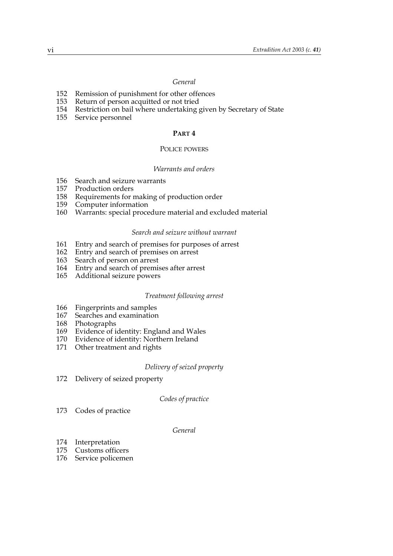#### *General*

- 152 Remission of punishment for other offences
- 153 Return of person acquitted or not tried
- 154 Restriction on bail where undertaking given by Secretary of State
- 155 Service personnel

#### **PART 4**

# POLICE POWERS

#### *Warrants and orders*

- 156 Search and seizure warrants
- 157 Production orders
- 158 Requirements for making of production order
- 159 Computer information
- 160 Warrants: special procedure material and excluded material

#### *Search and seizure without warrant*

- 161 Entry and search of premises for purposes of arrest<br>162 Entry and search of premises on arrest
- 162 Entry and search of premises on arrest
- 163 Search of person on arrest
- 164 Entry and search of premises after arrest
- 165 Additional seizure powers

#### *Treatment following arrest*

- 166 Fingerprints and samples<br>167 Searches and examination
- Searches and examination
- 168 Photographs
- 169 Evidence of identity: England and Wales
- 170 Evidence of identity: Northern Ireland
- 171 Other treatment and rights

#### *Delivery of seized property*

172 Delivery of seized property

*Codes of practice*

173 Codes of practice

#### *General*

- 174 Interpretation
- 175 Customs officers
- 176 Service policemen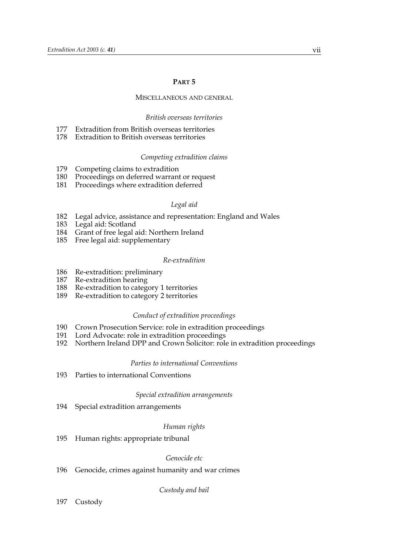#### **PART 5**

#### MISCELLANEOUS AND GENERAL

#### *British overseas territories*

- 177 Extradition from British overseas territories
- 178 Extradition to British overseas territories

#### *Competing extradition claims*

- 179 Competing claims to extradition
- 180 Proceedings on deferred warrant or request
- 181 Proceedings where extradition deferred

#### *Legal aid*

- 182 Legal advice, assistance and representation: England and Wales
- 183 Legal aid: Scotland
- 184 Grant of free legal aid: Northern Ireland
- 185 Free legal aid: supplementary

#### *Re-extradition*

- 186 Re-extradition: preliminary
- 187 Re-extradition hearing
- 188 Re-extradition to category 1 territories
- 189 Re-extradition to category 2 territories

#### *Conduct of extradition proceedings*

- 190 Crown Prosecution Service: role in extradition proceedings
- 191 Lord Advocate: role in extradition proceedings
- 192 Northern Ireland DPP and Crown Solicitor: role in extradition proceedings

#### *Parties to international Conventions*

193 Parties to international Conventions

#### *Special extradition arrangements*

194 Special extradition arrangements

#### *Human rights*

195 Human rights: appropriate tribunal

#### *Genocide etc*

196 Genocide, crimes against humanity and war crimes

*Custody and bail*

197 Custody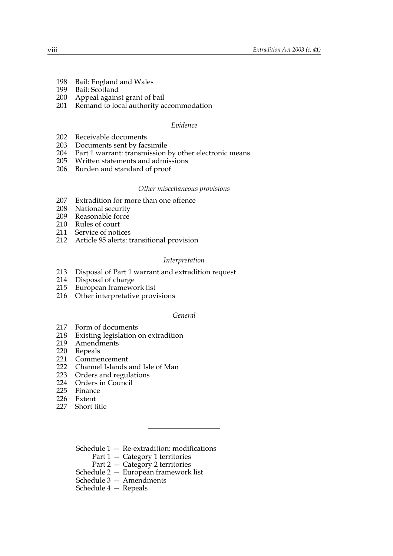- 198 Bail: England and Wales
- 199 Bail: Scotland
- 200 Appeal against grant of bail
- 201 Remand to local authority accommodation

#### *Evidence*

- 202 Receivable documents
- 203 Documents sent by facsimile
- 204 Part 1 warrant: transmission by other electronic means
- 205 Written statements and admissions
- 206 Burden and standard of proof

#### *Other miscellaneous provisions*

- 207 Extradition for more than one offence
- 208 National security
- 209 Reasonable force
- 210 Rules of court
- 211 Service of notices
- 212 Article 95 alerts: transitional provision

#### *Interpretation*

- 213 Disposal of Part 1 warrant and extradition request
- 214 Disposal of charge
- 215 European framework list
- 216 Other interpretative provisions

#### *General*

- 217 Form of documents
- 218 Existing legislation on extradition
- 219 Amendments
- 220 Repeals
- 221 Commencement
- 222 Channel Islands and Isle of Man
- 223 Orders and regulations
- 224 Orders in Council
- 225 Finance
- 226 Extent
- 227 Short title
	- Schedule 1 Re-extradition: modifications
		- Part 1 Category 1 territories
		- Part 2 Category 2 territories
	- Schedule 2 European framework list
	- Schedule 3 Amendments
	- Schedule 4 Repeals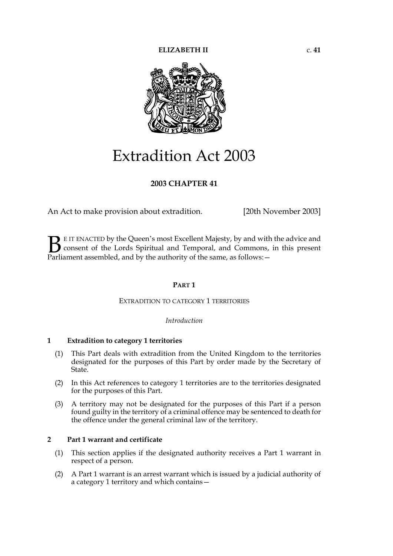# **ELIZABETH II** c. **41**



# Extradition Act 2003

# **2003 CHAPTER 41**

An Act to make provision about extradition. [20th November 2003]

E IT ENACTED by the Queen's most Excellent Majesty, by and with the advice and consent of the Lords Spiritual and Temporal, and Commons, in this present **B** E IT ENACTED by the Queen's most Excellent Majesty, by and with consent of the Lords Spiritual and Temporal, and Commons, Parliament assembled, and by the authority of the same, as follows:

# **PART 1**

# EXTRADITION TO CATEGORY 1 TERRITORIES

*Introduction*

# **1 Extradition to category 1 territories**

- (1) This Part deals with extradition from the United Kingdom to the territories designated for the purposes of this Part by order made by the Secretary of State.
- (2) In this Act references to category 1 territories are to the territories designated for the purposes of this Part.
- (3) A territory may not be designated for the purposes of this Part if a person found guilty in the territory of a criminal offence may be sentenced to death for the offence under the general criminal law of the territory.

# **2 Part 1 warrant and certificate**

- (1) This section applies if the designated authority receives a Part 1 warrant in respect of a person.
- (2) A Part 1 warrant is an arrest warrant which is issued by a judicial authority of a category 1 territory and which contains—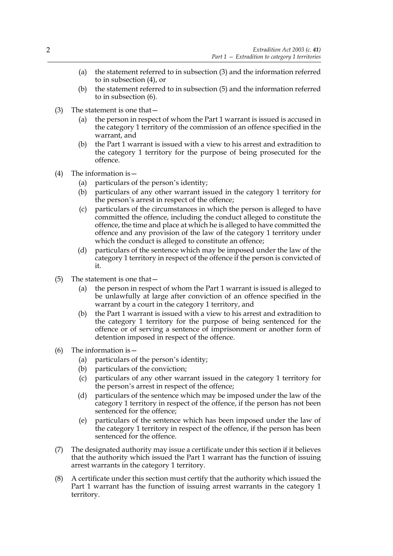- (a) the statement referred to in subsection (3) and the information referred to in subsection (4), or
- (b) the statement referred to in subsection (5) and the information referred to in subsection (6).
- (3) The statement is one that—
	- (a) the person in respect of whom the Part 1 warrant is issued is accused in the category 1 territory of the commission of an offence specified in the warrant, and
	- (b) the Part 1 warrant is issued with a view to his arrest and extradition to the category 1 territory for the purpose of being prosecuted for the offence.
- (4) The information is—
	- (a) particulars of the person's identity;
	- (b) particulars of any other warrant issued in the category 1 territory for the person's arrest in respect of the offence;
	- (c) particulars of the circumstances in which the person is alleged to have committed the offence, including the conduct alleged to constitute the offence, the time and place at which he is alleged to have committed the offence and any provision of the law of the category 1 territory under which the conduct is alleged to constitute an offence;
	- (d) particulars of the sentence which may be imposed under the law of the category 1 territory in respect of the offence if the person is convicted of it.
- (5) The statement is one that—
	- (a) the person in respect of whom the Part 1 warrant is issued is alleged to be unlawfully at large after conviction of an offence specified in the warrant by a court in the category 1 territory, and
	- (b) the Part 1 warrant is issued with a view to his arrest and extradition to the category 1 territory for the purpose of being sentenced for the offence or of serving a sentence of imprisonment or another form of detention imposed in respect of the offence.
- (6) The information is  $-$ 
	- (a) particulars of the person's identity;
	- (b) particulars of the conviction;
	- (c) particulars of any other warrant issued in the category 1 territory for the person's arrest in respect of the offence;
	- (d) particulars of the sentence which may be imposed under the law of the category 1 territory in respect of the offence, if the person has not been sentenced for the offence:
	- (e) particulars of the sentence which has been imposed under the law of the category 1 territory in respect of the offence, if the person has been sentenced for the offence.
- (7) The designated authority may issue a certificate under this section if it believes that the authority which issued the Part 1 warrant has the function of issuing arrest warrants in the category 1 territory.
- (8) A certificate under this section must certify that the authority which issued the Part 1 warrant has the function of issuing arrest warrants in the category 1 territory.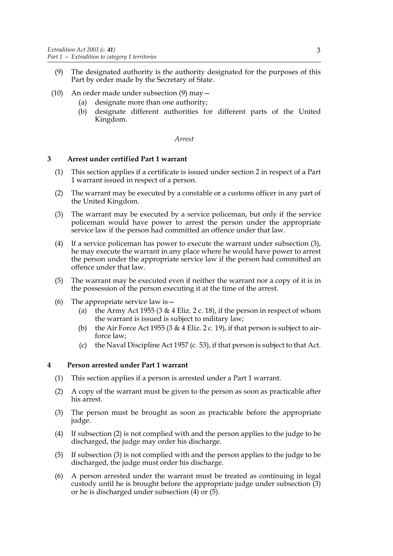- (9) The designated authority is the authority designated for the purposes of this Part by order made by the Secretary of State.
- (10) An order made under subsection (9) may—
	- (a) designate more than one authority;
	- (b) designate different authorities for different parts of the United Kingdom.

#### *Arrest*

#### **3 Arrest under certified Part 1 warrant**

- (1) This section applies if a certificate is issued under section 2 in respect of a Part 1 warrant issued in respect of a person.
- (2) The warrant may be executed by a constable or a customs officer in any part of the United Kingdom.
- (3) The warrant may be executed by a service policeman, but only if the service policeman would have power to arrest the person under the appropriate service law if the person had committed an offence under that law.
- (4) If a service policeman has power to execute the warrant under subsection (3), he may execute the warrant in any place where he would have power to arrest the person under the appropriate service law if the person had committed an offence under that law.
- (5) The warrant may be executed even if neither the warrant nor a copy of it is in the possession of the person executing it at the time of the arrest.
- (6) The appropriate service law is  $-$ 
	- (a) the Army Act 1955 (3  $\&$  4 Eliz. 2 c. 18), if the person in respect of whom the warrant is issued is subject to military law;
	- (b) the Air Force Act 1955 (3 & 4 Eliz. 2 c. 19), if that person is subject to airforce law;
	- (c) the Naval Discipline Act 1957 (c. 53), if that person is subject to that Act.

#### **4 Person arrested under Part 1 warrant**

- (1) This section applies if a person is arrested under a Part 1 warrant.
- (2) A copy of the warrant must be given to the person as soon as practicable after his arrest.
- (3) The person must be brought as soon as practicable before the appropriate judge.
- (4) If subsection (2) is not complied with and the person applies to the judge to be discharged, the judge may order his discharge.
- (5) If subsection (3) is not complied with and the person applies to the judge to be discharged, the judge must order his discharge.
- (6) A person arrested under the warrant must be treated as continuing in legal custody until he is brought before the appropriate judge under subsection (3) or he is discharged under subsection (4) or (5).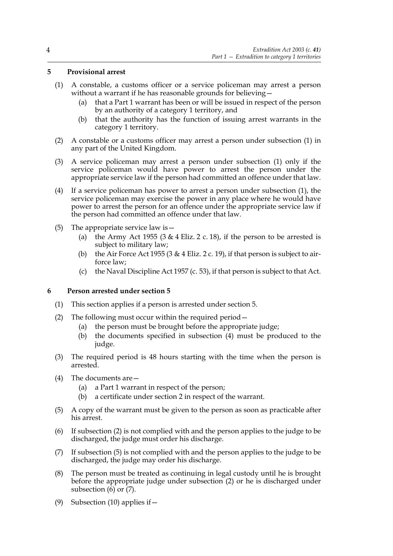# **5 Provisional arrest**

- (1) A constable, a customs officer or a service policeman may arrest a person without a warrant if he has reasonable grounds for believing -
	- (a) that a Part 1 warrant has been or will be issued in respect of the person by an authority of a category 1 territory, and
	- (b) that the authority has the function of issuing arrest warrants in the category 1 territory.
- (2) A constable or a customs officer may arrest a person under subsection (1) in any part of the United Kingdom.
- (3) A service policeman may arrest a person under subsection (1) only if the service policeman would have power to arrest the person under the appropriate service law if the person had committed an offence under that law.
- (4) If a service policeman has power to arrest a person under subsection (1), the service policeman may exercise the power in any place where he would have power to arrest the person for an offence under the appropriate service law if the person had committed an offence under that law.
- (5) The appropriate service law is—
	- (a) the Army Act 1955 (3  $&$  4 Eliz. 2 c. 18), if the person to be arrested is subject to military law;
	- (b) the Air Force Act 1955 (3 & 4 Eliz. 2 c. 19), if that person is subject to airforce law;
	- (c) the Naval Discipline Act 1957 (c. 53), if that person is subject to that Act.

# **6 Person arrested under section 5**

- (1) This section applies if a person is arrested under section 5.
- (2) The following must occur within the required period—
	- (a) the person must be brought before the appropriate judge;
	- (b) the documents specified in subsection (4) must be produced to the judge.
- (3) The required period is 48 hours starting with the time when the person is arrested.
- (4) The documents are—
	- (a) a Part 1 warrant in respect of the person;
	- (b) a certificate under section 2 in respect of the warrant.
- (5) A copy of the warrant must be given to the person as soon as practicable after his arrest.
- (6) If subsection (2) is not complied with and the person applies to the judge to be discharged, the judge must order his discharge.
- (7) If subsection (5) is not complied with and the person applies to the judge to be discharged, the judge may order his discharge.
- (8) The person must be treated as continuing in legal custody until he is brought before the appropriate judge under subsection (2) or he is discharged under subsection  $\overline{(6)}$  or  $\overline{(7)}$ .
- (9) Subsection  $(10)$  applies if  $-$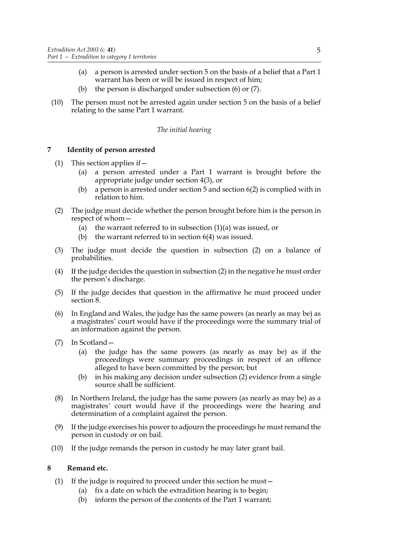- (a) a person is arrested under section 5 on the basis of a belief that a Part 1 warrant has been or will be issued in respect of him;
- (b) the person is discharged under subsection (6) or (7).
- (10) The person must not be arrested again under section 5 on the basis of a belief relating to the same Part 1 warrant.

# *The initial hearing*

# **7 Identity of person arrested**

- (1) This section applies if—
	- (a) a person arrested under a Part 1 warrant is brought before the appropriate judge under section 4(3), or
	- (b) a person is arrested under section 5 and section 6(2) is complied with in relation to him.
- (2) The judge must decide whether the person brought before him is the person in respect of whom—
	- (a) the warrant referred to in subsection  $(1)(a)$  was issued, or
	- (b) the warrant referred to in section 6(4) was issued.
- (3) The judge must decide the question in subsection (2) on a balance of probabilities.
- (4) If the judge decides the question in subsection (2) in the negative he must order the person's discharge.
- (5) If the judge decides that question in the affirmative he must proceed under section 8.
- (6) In England and Wales, the judge has the same powers (as nearly as may be) as a magistrates' court would have if the proceedings were the summary trial of an information against the person.
- (7) In Scotland—
	- (a) the judge has the same powers (as nearly as may be) as if the proceedings were summary proceedings in respect of an offence alleged to have been committed by the person; but
	- (b) in his making any decision under subsection (2) evidence from a single source shall be sufficient.
- (8) In Northern Ireland, the judge has the same powers (as nearly as may be) as a magistrates' court would have if the proceedings were the hearing and determination of a complaint against the person.
- (9) If the judge exercises his power to adjourn the proceedings he must remand the person in custody or on bail.
- (10) If the judge remands the person in custody he may later grant bail.

# **8 Remand etc.**

- (1) If the judge is required to proceed under this section he must—
	- (a) fix a date on which the extradition hearing is to begin;
	- (b) inform the person of the contents of the Part 1 warrant;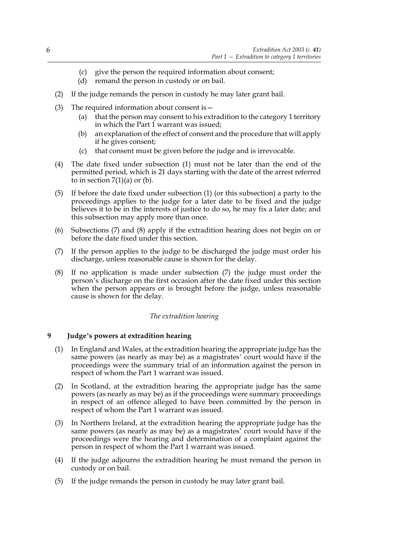- (c) give the person the required information about consent;
- (d) remand the person in custody or on bail.
- (2) If the judge remands the person in custody he may later grant bail.
- (3) The required information about consent is—
	- (a) that the person may consent to his extradition to the category 1 territory in which the Part 1 warrant was issued;
	- (b) an explanation of the effect of consent and the procedure that will apply if he gives consent;
	- (c) that consent must be given before the judge and is irrevocable.
- (4) The date fixed under subsection (1) must not be later than the end of the permitted period, which is 21 days starting with the date of the arrest referred to in section  $7(1)(a)$  or  $(b)$ .
- (5) If before the date fixed under subsection (1) (or this subsection) a party to the proceedings applies to the judge for a later date to be fixed and the judge believes it to be in the interests of justice to do so, he may fix a later date; and this subsection may apply more than once.
- (6) Subsections (7) and (8) apply if the extradition hearing does not begin on or before the date fixed under this section.
- (7) If the person applies to the judge to be discharged the judge must order his discharge, unless reasonable cause is shown for the delay.
- (8) If no application is made under subsection (7) the judge must order the person's discharge on the first occasion after the date fixed under this section when the person appears or is brought before the judge, unless reasonable cause is shown for the delay.

# *The extradition hearing*

# **9 Judge's powers at extradition hearing**

- (1) In England and Wales, at the extradition hearing the appropriate judge has the same powers (as nearly as may be) as a magistrates' court would have if the proceedings were the summary trial of an information against the person in respect of whom the Part 1 warrant was issued.
- (2) In Scotland, at the extradition hearing the appropriate judge has the same powers (as nearly as may be) as if the proceedings were summary proceedings in respect of an offence alleged to have been committed by the person in respect of whom the Part 1 warrant was issued.
- (3) In Northern Ireland, at the extradition hearing the appropriate judge has the same powers (as nearly as may be) as a magistrates' court would have if the proceedings were the hearing and determination of a complaint against the person in respect of whom the Part 1 warrant was issued.
- (4) If the judge adjourns the extradition hearing he must remand the person in custody or on bail.
- (5) If the judge remands the person in custody he may later grant bail.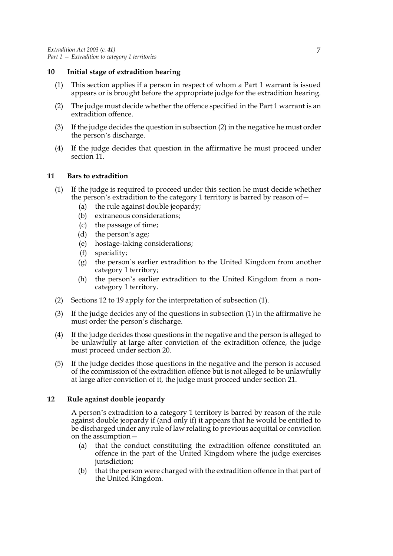# **10 Initial stage of extradition hearing**

- (1) This section applies if a person in respect of whom a Part 1 warrant is issued appears or is brought before the appropriate judge for the extradition hearing.
- (2) The judge must decide whether the offence specified in the Part 1 warrant is an extradition offence.
- (3) If the judge decides the question in subsection (2) in the negative he must order the person's discharge.
- (4) If the judge decides that question in the affirmative he must proceed under section 11.

# **11 Bars to extradition**

- (1) If the judge is required to proceed under this section he must decide whether the person's extradition to the category 1 territory is barred by reason of—
	- (a) the rule against double jeopardy;
	- (b) extraneous considerations;
	- (c) the passage of time;
	- (d) the person's age;
	- (e) hostage-taking considerations;
	- (f) speciality;
	- (g) the person's earlier extradition to the United Kingdom from another category 1 territory;
	- (h) the person's earlier extradition to the United Kingdom from a noncategory 1 territory.
- (2) Sections 12 to 19 apply for the interpretation of subsection (1).
- (3) If the judge decides any of the questions in subsection (1) in the affirmative he must order the person's discharge.
- (4) If the judge decides those questions in the negative and the person is alleged to be unlawfully at large after conviction of the extradition offence, the judge must proceed under section 20.
- (5) If the judge decides those questions in the negative and the person is accused of the commission of the extradition offence but is not alleged to be unlawfully at large after conviction of it, the judge must proceed under section 21.

# **12 Rule against double jeopardy**

A person's extradition to a category 1 territory is barred by reason of the rule against double jeopardy if (and only if) it appears that he would be entitled to be discharged under any rule of law relating to previous acquittal or conviction on the assumption—

- (a) that the conduct constituting the extradition offence constituted an offence in the part of the United Kingdom where the judge exercises jurisdiction;
- (b) that the person were charged with the extradition offence in that part of the United Kingdom.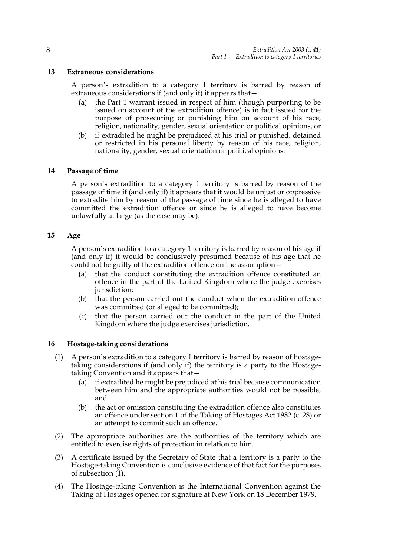# **13 Extraneous considerations**

A person's extradition to a category 1 territory is barred by reason of extraneous considerations if (and only if) it appears that—

- (a) the Part 1 warrant issued in respect of him (though purporting to be issued on account of the extradition offence) is in fact issued for the purpose of prosecuting or punishing him on account of his race, religion, nationality, gender, sexual orientation or political opinions, or
- (b) if extradited he might be prejudiced at his trial or punished, detained or restricted in his personal liberty by reason of his race, religion, nationality, gender, sexual orientation or political opinions.

#### **14 Passage of time**

A person's extradition to a category 1 territory is barred by reason of the passage of time if (and only if) it appears that it would be unjust or oppressive to extradite him by reason of the passage of time since he is alleged to have committed the extradition offence or since he is alleged to have become unlawfully at large (as the case may be).

#### **15 Age**

A person's extradition to a category 1 territory is barred by reason of his age if (and only if) it would be conclusively presumed because of his age that he could not be guilty of the extradition offence on the assumption—

- (a) that the conduct constituting the extradition offence constituted an offence in the part of the United Kingdom where the judge exercises jurisdiction;
- (b) that the person carried out the conduct when the extradition offence was committed (or alleged to be committed);
- (c) that the person carried out the conduct in the part of the United Kingdom where the judge exercises jurisdiction.

#### **16 Hostage-taking considerations**

- (1) A person's extradition to a category 1 territory is barred by reason of hostagetaking considerations if (and only if) the territory is a party to the Hostagetaking Convention and it appears that—
	- (a) if extradited he might be prejudiced at his trial because communication between him and the appropriate authorities would not be possible, and
	- (b) the act or omission constituting the extradition offence also constitutes an offence under section 1 of the Taking of Hostages Act 1982 (c. 28) or an attempt to commit such an offence.
- (2) The appropriate authorities are the authorities of the territory which are entitled to exercise rights of protection in relation to him.
- (3) A certificate issued by the Secretary of State that a territory is a party to the Hostage-taking Convention is conclusive evidence of that fact for the purposes of subsection  $(1)$ .
- (4) The Hostage-taking Convention is the International Convention against the Taking of Hostages opened for signature at New York on 18 December 1979.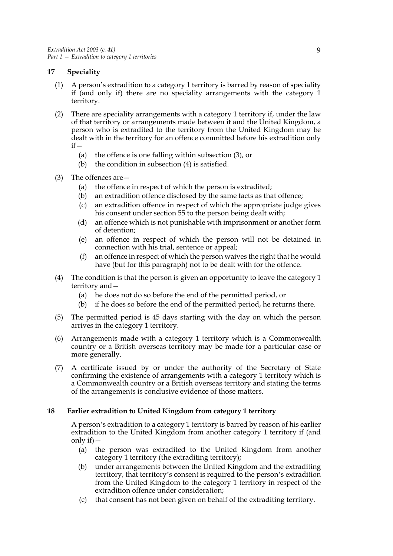# **17 Speciality**

- (1) A person's extradition to a category 1 territory is barred by reason of speciality if (and only if) there are no speciality arrangements with the category 1 territory.
- (2) There are speciality arrangements with a category 1 territory if, under the law of that territory or arrangements made between it and the United Kingdom, a person who is extradited to the territory from the United Kingdom may be dealt with in the territory for an offence committed before his extradition only  $if -$ 
	- (a) the offence is one falling within subsection (3), or
	- (b) the condition in subsection (4) is satisfied.
- (3) The offences are—
	- (a) the offence in respect of which the person is extradited;
	- (b) an extradition offence disclosed by the same facts as that offence;
	- (c) an extradition offence in respect of which the appropriate judge gives his consent under section 55 to the person being dealt with;
	- (d) an offence which is not punishable with imprisonment or another form of detention;
	- (e) an offence in respect of which the person will not be detained in connection with his trial, sentence or appeal;
	- (f) an offence in respect of which the person waives the right that he would have (but for this paragraph) not to be dealt with for the offence.
- (4) The condition is that the person is given an opportunity to leave the category 1 territory and—
	- (a) he does not do so before the end of the permitted period, or
	- (b) if he does so before the end of the permitted period, he returns there.
- (5) The permitted period is 45 days starting with the day on which the person arrives in the category 1 territory.
- (6) Arrangements made with a category 1 territory which is a Commonwealth country or a British overseas territory may be made for a particular case or more generally.
- (7) A certificate issued by or under the authority of the Secretary of State confirming the existence of arrangements with a category 1 territory which is a Commonwealth country or a British overseas territory and stating the terms of the arrangements is conclusive evidence of those matters.

# **18 Earlier extradition to United Kingdom from category 1 territory**

A person's extradition to a category 1 territory is barred by reason of his earlier extradition to the United Kingdom from another category 1 territory if (and only if)  $-$ 

- (a) the person was extradited to the United Kingdom from another category 1 territory (the extraditing territory);
- (b) under arrangements between the United Kingdom and the extraditing territory, that territory's consent is required to the person's extradition from the United Kingdom to the category 1 territory in respect of the extradition offence under consideration;
- (c) that consent has not been given on behalf of the extraditing territory.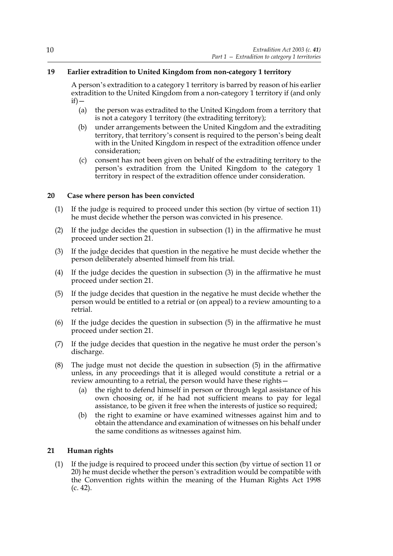# **19 Earlier extradition to United Kingdom from non-category 1 territory**

A person's extradition to a category 1 territory is barred by reason of his earlier extradition to the United Kingdom from a non-category 1 territory if (and only  $if)$  —

- (a) the person was extradited to the United Kingdom from a territory that is not a category 1 territory (the extraditing territory);
- (b) under arrangements between the United Kingdom and the extraditing territory, that territory's consent is required to the person's being dealt with in the United Kingdom in respect of the extradition offence under consideration;
- (c) consent has not been given on behalf of the extraditing territory to the person's extradition from the United Kingdom to the category 1 territory in respect of the extradition offence under consideration.

# **20 Case where person has been convicted**

- (1) If the judge is required to proceed under this section (by virtue of section 11) he must decide whether the person was convicted in his presence.
- (2) If the judge decides the question in subsection (1) in the affirmative he must proceed under section 21.
- (3) If the judge decides that question in the negative he must decide whether the person deliberately absented himself from his trial.
- (4) If the judge decides the question in subsection (3) in the affirmative he must proceed under section 21.
- (5) If the judge decides that question in the negative he must decide whether the person would be entitled to a retrial or (on appeal) to a review amounting to a retrial.
- (6) If the judge decides the question in subsection (5) in the affirmative he must proceed under section 21.
- (7) If the judge decides that question in the negative he must order the person's discharge.
- (8) The judge must not decide the question in subsection (5) in the affirmative unless, in any proceedings that it is alleged would constitute a retrial or a review amounting to a retrial, the person would have these rights—
	- (a) the right to defend himself in person or through legal assistance of his own choosing or, if he had not sufficient means to pay for legal assistance, to be given it free when the interests of justice so required;
	- (b) the right to examine or have examined witnesses against him and to obtain the attendance and examination of witnesses on his behalf under the same conditions as witnesses against him.

# **21 Human rights**

(1) If the judge is required to proceed under this section (by virtue of section 11 or 20) he must decide whether the person's extradition would be compatible with the Convention rights within the meaning of the Human Rights Act 1998 (c. 42).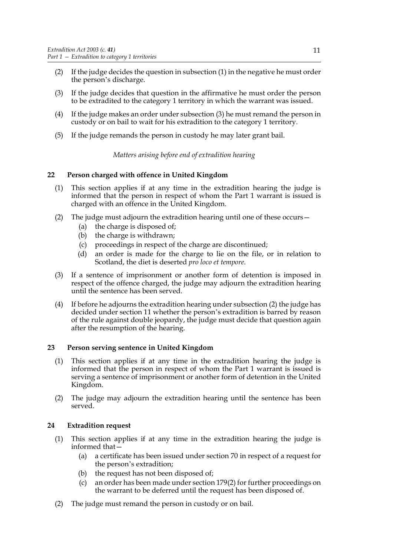- (2) If the judge decides the question in subsection (1) in the negative he must order the person's discharge.
- (3) If the judge decides that question in the affirmative he must order the person to be extradited to the category 1 territory in which the warrant was issued.
- (4) If the judge makes an order under subsection (3) he must remand the person in custody or on bail to wait for his extradition to the category 1 territory.
- (5) If the judge remands the person in custody he may later grant bail.

*Matters arising before end of extradition hearing*

# **22 Person charged with offence in United Kingdom**

- (1) This section applies if at any time in the extradition hearing the judge is informed that the person in respect of whom the Part 1 warrant is issued is charged with an offence in the United Kingdom.
- (2) The judge must adjourn the extradition hearing until one of these occurs—
	- (a) the charge is disposed of;
	- (b) the charge is withdrawn;
	- (c) proceedings in respect of the charge are discontinued;
	- (d) an order is made for the charge to lie on the file, or in relation to Scotland, the diet is deserted *pro loco et tempore*.
- (3) If a sentence of imprisonment or another form of detention is imposed in respect of the offence charged, the judge may adjourn the extradition hearing until the sentence has been served.
- (4) If before he adjourns the extradition hearing under subsection (2) the judge has decided under section 11 whether the person's extradition is barred by reason of the rule against double jeopardy, the judge must decide that question again after the resumption of the hearing.

# **23 Person serving sentence in United Kingdom**

- (1) This section applies if at any time in the extradition hearing the judge is informed that the person in respect of whom the Part 1 warrant is issued is serving a sentence of imprisonment or another form of detention in the United Kingdom.
- (2) The judge may adjourn the extradition hearing until the sentence has been served.

# **24 Extradition request**

- (1) This section applies if at any time in the extradition hearing the judge is informed that—
	- (a) a certificate has been issued under section 70 in respect of a request for the person's extradition;
	- (b) the request has not been disposed of;
	- (c) an order has been made under section 179(2) for further proceedings on the warrant to be deferred until the request has been disposed of.
- (2) The judge must remand the person in custody or on bail.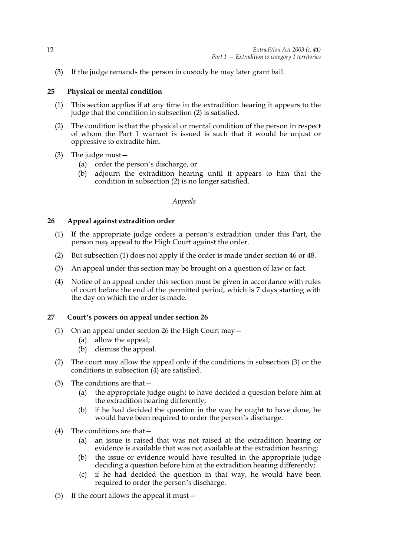(3) If the judge remands the person in custody he may later grant bail.

# **25 Physical or mental condition**

- (1) This section applies if at any time in the extradition hearing it appears to the judge that the condition in subsection (2) is satisfied.
- (2) The condition is that the physical or mental condition of the person in respect of whom the Part 1 warrant is issued is such that it would be unjust or oppressive to extradite him.
- (3) The judge must—
	- (a) order the person's discharge, or
	- (b) adjourn the extradition hearing until it appears to him that the condition in subsection (2) is no longer satisfied.

*Appeals*

# **26 Appeal against extradition order**

- (1) If the appropriate judge orders a person's extradition under this Part, the person may appeal to the High Court against the order.
- (2) But subsection (1) does not apply if the order is made under section 46 or 48.
- (3) An appeal under this section may be brought on a question of law or fact.
- (4) Notice of an appeal under this section must be given in accordance with rules of court before the end of the permitted period, which is 7 days starting with the day on which the order is made.

# **27 Court's powers on appeal under section 26**

- (1) On an appeal under section 26 the High Court may—
	- (a) allow the appeal;
	- (b) dismiss the appeal.
- (2) The court may allow the appeal only if the conditions in subsection (3) or the conditions in subsection (4) are satisfied.
- (3) The conditions are that—
	- (a) the appropriate judge ought to have decided a question before him at the extradition hearing differently;
	- (b) if he had decided the question in the way he ought to have done, he would have been required to order the person's discharge.
- (4) The conditions are that—
	- (a) an issue is raised that was not raised at the extradition hearing or evidence is available that was not available at the extradition hearing;
	- (b) the issue or evidence would have resulted in the appropriate judge deciding a question before him at the extradition hearing differently;
	- (c) if he had decided the question in that way, he would have been required to order the person's discharge.
- (5) If the court allows the appeal it must—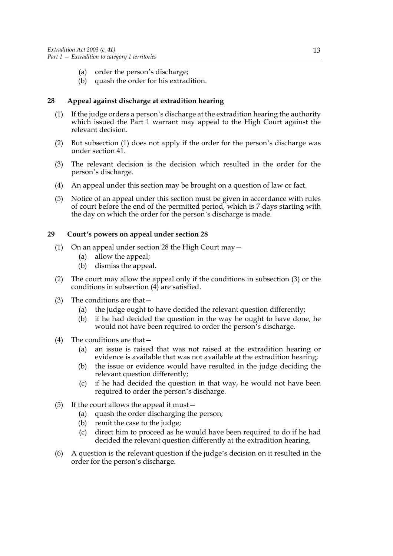- (a) order the person's discharge;
- (b) quash the order for his extradition.

# **28 Appeal against discharge at extradition hearing**

- (1) If the judge orders a person's discharge at the extradition hearing the authority which issued the Part 1 warrant may appeal to the High Court against the relevant decision.
- (2) But subsection (1) does not apply if the order for the person's discharge was under section 41.
- (3) The relevant decision is the decision which resulted in the order for the person's discharge.
- (4) An appeal under this section may be brought on a question of law or fact.
- (5) Notice of an appeal under this section must be given in accordance with rules of court before the end of the permitted period, which is 7 days starting with the day on which the order for the person's discharge is made.

# **29 Court's powers on appeal under section 28**

- (1) On an appeal under section 28 the High Court may—
	- (a) allow the appeal;
	- (b) dismiss the appeal.
- (2) The court may allow the appeal only if the conditions in subsection (3) or the conditions in subsection (4) are satisfied.
- (3) The conditions are that—
	- (a) the judge ought to have decided the relevant question differently;
	- (b) if he had decided the question in the way he ought to have done, he would not have been required to order the person's discharge.
- (4) The conditions are that—
	- (a) an issue is raised that was not raised at the extradition hearing or evidence is available that was not available at the extradition hearing;
	- (b) the issue or evidence would have resulted in the judge deciding the relevant question differently;
	- (c) if he had decided the question in that way, he would not have been required to order the person's discharge.
- (5) If the court allows the appeal it must—
	- (a) quash the order discharging the person;
	- (b) remit the case to the judge;
	- (c) direct him to proceed as he would have been required to do if he had decided the relevant question differently at the extradition hearing.
- (6) A question is the relevant question if the judge's decision on it resulted in the order for the person's discharge.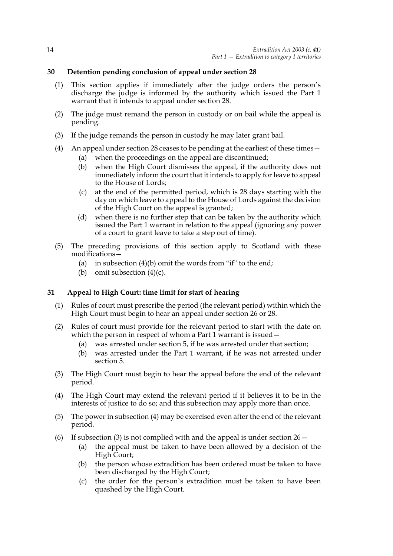# **30 Detention pending conclusion of appeal under section 28**

- (1) This section applies if immediately after the judge orders the person's discharge the judge is informed by the authority which issued the Part 1 warrant that it intends to appeal under section 28.
- (2) The judge must remand the person in custody or on bail while the appeal is pending.
- (3) If the judge remands the person in custody he may later grant bail.
- (4) An appeal under section 28 ceases to be pending at the earliest of these times—
	- (a) when the proceedings on the appeal are discontinued;
	- (b) when the High Court dismisses the appeal, if the authority does not immediately inform the court that it intends to apply for leave to appeal to the House of Lords;
	- (c) at the end of the permitted period, which is 28 days starting with the day on which leave to appeal to the House of Lords against the decision of the High Court on the appeal is granted;
	- (d) when there is no further step that can be taken by the authority which issued the Part 1 warrant in relation to the appeal (ignoring any power of a court to grant leave to take a step out of time).
- (5) The preceding provisions of this section apply to Scotland with these modifications—
	- (a) in subsection  $(4)(b)$  omit the words from "if" to the end;
	- (b) omit subsection (4)(c).

# **31 Appeal to High Court: time limit for start of hearing**

- (1) Rules of court must prescribe the period (the relevant period) within which the High Court must begin to hear an appeal under section 26 or 28.
- (2) Rules of court must provide for the relevant period to start with the date on which the person in respect of whom a Part 1 warrant is issued—
	- (a) was arrested under section 5, if he was arrested under that section;
	- (b) was arrested under the Part 1 warrant, if he was not arrested under section 5.
- (3) The High Court must begin to hear the appeal before the end of the relevant period.
- (4) The High Court may extend the relevant period if it believes it to be in the interests of justice to do so; and this subsection may apply more than once.
- (5) The power in subsection (4) may be exercised even after the end of the relevant period.
- (6) If subsection (3) is not complied with and the appeal is under section  $26-$ 
	- (a) the appeal must be taken to have been allowed by a decision of the High Court;
	- (b) the person whose extradition has been ordered must be taken to have been discharged by the High Court;
	- (c) the order for the person's extradition must be taken to have been quashed by the High Court.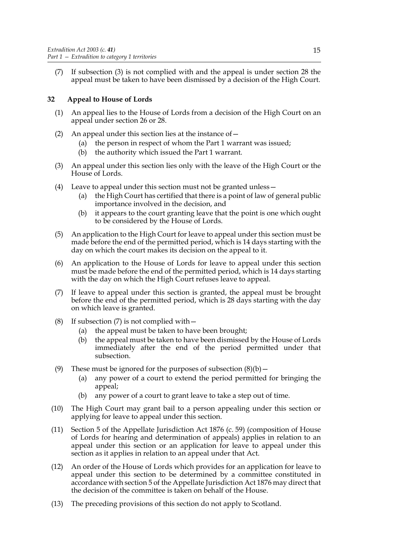(7) If subsection (3) is not complied with and the appeal is under section 28 the appeal must be taken to have been dismissed by a decision of the High Court.

# **32 Appeal to House of Lords**

- (1) An appeal lies to the House of Lords from a decision of the High Court on an appeal under section 26 or 28.
- (2) An appeal under this section lies at the instance of  $-$ 
	- (a) the person in respect of whom the Part 1 warrant was issued;
	- (b) the authority which issued the Part 1 warrant.
- (3) An appeal under this section lies only with the leave of the High Court or the House of Lords.
- (4) Leave to appeal under this section must not be granted unless
	- the High Court has certified that there is a point of law of general public importance involved in the decision, and
	- (b) it appears to the court granting leave that the point is one which ought to be considered by the House of Lords.
- (5) An application to the High Court for leave to appeal under this section must be made before the end of the permitted period, which is 14 days starting with the day on which the court makes its decision on the appeal to it.
- (6) An application to the House of Lords for leave to appeal under this section must be made before the end of the permitted period, which is 14 days starting with the day on which the High Court refuses leave to appeal.
- (7) If leave to appeal under this section is granted, the appeal must be brought before the end of the permitted period, which is 28 days starting with the day on which leave is granted.
- (8) If subsection  $(7)$  is not complied with  $-$ 
	- (a) the appeal must be taken to have been brought;
	- (b) the appeal must be taken to have been dismissed by the House of Lords immediately after the end of the period permitted under that subsection.
- (9) These must be ignored for the purposes of subsection  $(8)(b)$ 
	- (a) any power of a court to extend the period permitted for bringing the appeal;
	- (b) any power of a court to grant leave to take a step out of time.
- (10) The High Court may grant bail to a person appealing under this section or applying for leave to appeal under this section.
- (11) Section 5 of the Appellate Jurisdiction Act 1876 (c. 59) (composition of House of Lords for hearing and determination of appeals) applies in relation to an appeal under this section or an application for leave to appeal under this section as it applies in relation to an appeal under that Act.
- (12) An order of the House of Lords which provides for an application for leave to appeal under this section to be determined by a committee constituted in accordance with section 5 of the Appellate Jurisdiction Act 1876 may direct that the decision of the committee is taken on behalf of the House.
- (13) The preceding provisions of this section do not apply to Scotland.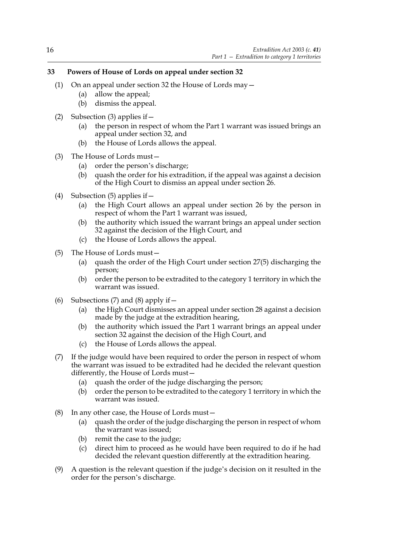# **33 Powers of House of Lords on appeal under section 32**

- (1) On an appeal under section 32 the House of Lords may—
	- (a) allow the appeal;
	- (b) dismiss the appeal.
- (2) Subsection (3) applies if  $-$ 
	- (a) the person in respect of whom the Part 1 warrant was issued brings an appeal under section 32, and
	- (b) the House of Lords allows the appeal.
- (3) The House of Lords must—
	- (a) order the person's discharge;
	- (b) quash the order for his extradition, if the appeal was against a decision of the High Court to dismiss an appeal under section 26.
- (4) Subsection (5) applies if  $-$ 
	- (a) the High Court allows an appeal under section 26 by the person in respect of whom the Part 1 warrant was issued,
	- (b) the authority which issued the warrant brings an appeal under section 32 against the decision of the High Court, and
	- (c) the House of Lords allows the appeal.
- (5) The House of Lords must—
	- (a) quash the order of the High Court under section 27(5) discharging the person;
	- (b) order the person to be extradited to the category 1 territory in which the warrant was issued.
- (6) Subsections (7) and (8) apply if  $-$ 
	- (a) the High Court dismisses an appeal under section 28 against a decision made by the judge at the extradition hearing,
	- (b) the authority which issued the Part 1 warrant brings an appeal under section 32 against the decision of the High Court, and
	- (c) the House of Lords allows the appeal.
- (7) If the judge would have been required to order the person in respect of whom the warrant was issued to be extradited had he decided the relevant question differently, the House of Lords must—
	- (a) quash the order of the judge discharging the person;
	- (b) order the person to be extradited to the category 1 territory in which the warrant was issued.
- (8) In any other case, the House of Lords must—
	- (a) quash the order of the judge discharging the person in respect of whom the warrant was issued;
	- (b) remit the case to the judge;
	- (c) direct him to proceed as he would have been required to do if he had decided the relevant question differently at the extradition hearing.
- (9) A question is the relevant question if the judge's decision on it resulted in the order for the person's discharge.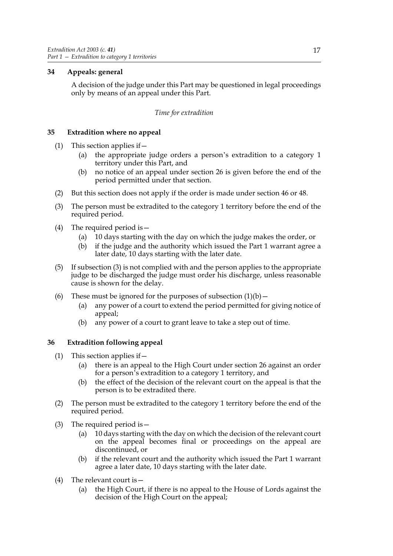# **34 Appeals: general**

A decision of the judge under this Part may be questioned in legal proceedings only by means of an appeal under this Part.

# *Time for extradition*

# **35 Extradition where no appeal**

- (1) This section applies if  $-$ 
	- (a) the appropriate judge orders a person's extradition to a category 1 territory under this Part, and
	- (b) no notice of an appeal under section 26 is given before the end of the period permitted under that section.
- (2) But this section does not apply if the order is made under section 46 or 48.
- (3) The person must be extradited to the category 1 territory before the end of the required period.
- (4) The required period is—
	- (a) 10 days starting with the day on which the judge makes the order, or
	- (b) if the judge and the authority which issued the Part 1 warrant agree a later date, 10 days starting with the later date.
- (5) If subsection (3) is not complied with and the person applies to the appropriate judge to be discharged the judge must order his discharge, unless reasonable cause is shown for the delay.
- (6) These must be ignored for the purposes of subsection  $(1)(b)$ 
	- (a) any power of a court to extend the period permitted for giving notice of appeal;
	- (b) any power of a court to grant leave to take a step out of time.

# **36 Extradition following appeal**

- (1) This section applies if  $-$ 
	- (a) there is an appeal to the High Court under section 26 against an order for a person's extradition to a category 1 territory, and
	- (b) the effect of the decision of the relevant court on the appeal is that the person is to be extradited there.
- (2) The person must be extradited to the category 1 territory before the end of the required period.
- (3) The required period is—
	- (a) 10 days starting with the day on which the decision of the relevant court on the appeal becomes final or proceedings on the appeal are discontinued, or
	- (b) if the relevant court and the authority which issued the Part 1 warrant agree a later date, 10 days starting with the later date.
- (4) The relevant court is—
	- (a) the High Court, if there is no appeal to the House of Lords against the decision of the High Court on the appeal;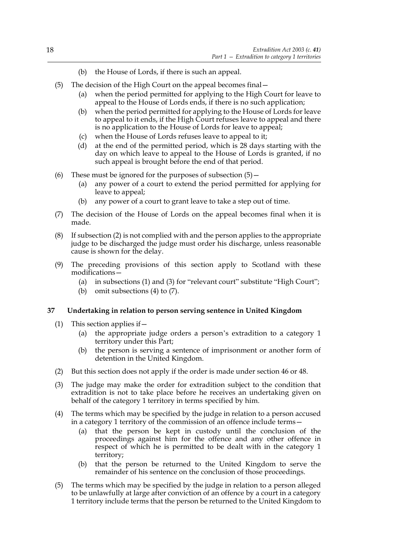- (b) the House of Lords, if there is such an appeal.
- (5) The decision of the High Court on the appeal becomes final—
	- (a) when the period permitted for applying to the High Court for leave to appeal to the House of Lords ends, if there is no such application;
	- (b) when the period permitted for applying to the House of Lords for leave to appeal to it ends, if the High Court refuses leave to appeal and there is no application to the House of Lords for leave to appeal;
	- (c) when the House of Lords refuses leave to appeal to it;
	- (d) at the end of the permitted period, which is 28 days starting with the day on which leave to appeal to the House of Lords is granted, if no such appeal is brought before the end of that period.
- (6) These must be ignored for the purposes of subsection  $(5)$  -
	- (a) any power of a court to extend the period permitted for applying for leave to appeal;
	- (b) any power of a court to grant leave to take a step out of time.
- (7) The decision of the House of Lords on the appeal becomes final when it is made.
- (8) If subsection (2) is not complied with and the person applies to the appropriate judge to be discharged the judge must order his discharge, unless reasonable cause is shown for the delay.
- (9) The preceding provisions of this section apply to Scotland with these modifications—
	- (a) in subsections (1) and (3) for "relevant court" substitute "High Court";
	- (b) omit subsections (4) to (7).

#### **37 Undertaking in relation to person serving sentence in United Kingdom**

- (1) This section applies if  $-$ 
	- (a) the appropriate judge orders a person's extradition to a category 1 territory under this Part;
	- (b) the person is serving a sentence of imprisonment or another form of detention in the United Kingdom.
- (2) But this section does not apply if the order is made under section 46 or 48.
- (3) The judge may make the order for extradition subject to the condition that extradition is not to take place before he receives an undertaking given on behalf of the category 1 territory in terms specified by him.
- (4) The terms which may be specified by the judge in relation to a person accused in a category 1 territory of the commission of an offence include terms—
	- (a) that the person be kept in custody until the conclusion of the proceedings against him for the offence and any other offence in respect of which he is permitted to be dealt with in the category 1 territory;
	- (b) that the person be returned to the United Kingdom to serve the remainder of his sentence on the conclusion of those proceedings.
- (5) The terms which may be specified by the judge in relation to a person alleged to be unlawfully at large after conviction of an offence by a court in a category 1 territory include terms that the person be returned to the United Kingdom to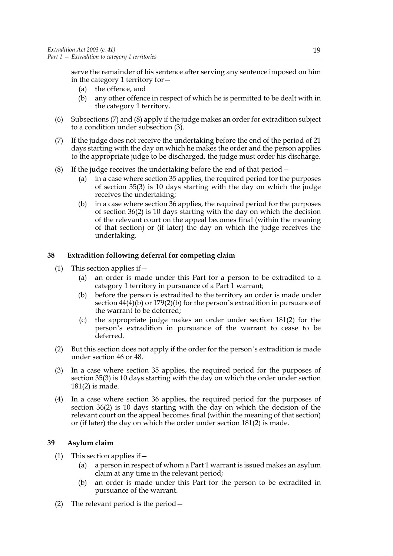serve the remainder of his sentence after serving any sentence imposed on him in the category 1 territory for—

- (a) the offence, and
- (b) any other offence in respect of which he is permitted to be dealt with in the category 1 territory.
- (6) Subsections (7) and (8) apply if the judge makes an order for extradition subject to a condition under subsection (3).
- (7) If the judge does not receive the undertaking before the end of the period of 21 days starting with the day on which he makes the order and the person applies to the appropriate judge to be discharged, the judge must order his discharge.
- (8) If the judge receives the undertaking before the end of that period—
	- (a) in a case where section 35 applies, the required period for the purposes of section 35(3) is 10 days starting with the day on which the judge receives the undertaking;
	- (b) in a case where section 36 applies, the required period for the purposes of section 36(2) is 10 days starting with the day on which the decision of the relevant court on the appeal becomes final (within the meaning of that section) or (if later) the day on which the judge receives the undertaking.

# **38 Extradition following deferral for competing claim**

- (1) This section applies if  $-$ 
	- (a) an order is made under this Part for a person to be extradited to a category 1 territory in pursuance of a Part 1 warrant;
	- (b) before the person is extradited to the territory an order is made under section 44(4)(b) or 179(2)(b) for the person's extradition in pursuance of the warrant to be deferred;
	- (c) the appropriate judge makes an order under section 181(2) for the person's extradition in pursuance of the warrant to cease to be deferred.
- (2) But this section does not apply if the order for the person's extradition is made under section 46 or 48.
- (3) In a case where section 35 applies, the required period for the purposes of section 35(3) is 10 days starting with the day on which the order under section 181(2) is made.
- (4) In a case where section 36 applies, the required period for the purposes of section 36(2) is 10 days starting with the day on which the decision of the relevant court on the appeal becomes final (within the meaning of that section) or (if later) the day on which the order under section 181(2) is made.

# **39 Asylum claim**

- (1) This section applies if  $-$ 
	- (a) a person in respect of whom a Part 1 warrant is issued makes an asylum claim at any time in the relevant period;
	- (b) an order is made under this Part for the person to be extradited in pursuance of the warrant.
- (2) The relevant period is the period—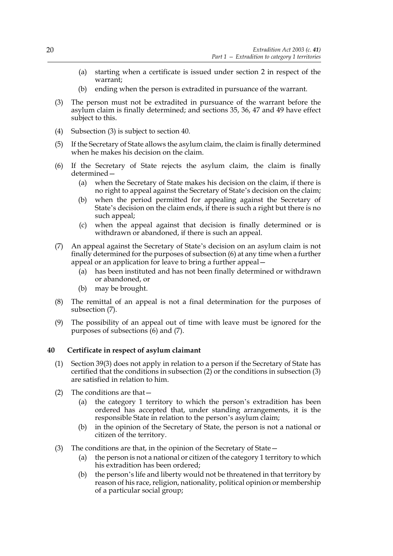- (a) starting when a certificate is issued under section 2 in respect of the warrant;
- (b) ending when the person is extradited in pursuance of the warrant.
- (3) The person must not be extradited in pursuance of the warrant before the asylum claim is finally determined; and sections 35, 36, 47 and 49 have effect subject to this.
- (4) Subsection (3) is subject to section 40.
- (5) If the Secretary of State allows the asylum claim, the claim is finally determined when he makes his decision on the claim.
- (6) If the Secretary of State rejects the asylum claim, the claim is finally determined—
	- (a) when the Secretary of State makes his decision on the claim, if there is no right to appeal against the Secretary of State's decision on the claim;
	- (b) when the period permitted for appealing against the Secretary of State's decision on the claim ends, if there is such a right but there is no such appeal;
	- (c) when the appeal against that decision is finally determined or is withdrawn or abandoned, if there is such an appeal.
- (7) An appeal against the Secretary of State's decision on an asylum claim is not finally determined for the purposes of subsection (6) at any time when a further appeal or an application for leave to bring a further appeal—
	- (a) has been instituted and has not been finally determined or withdrawn or abandoned, or
	- (b) may be brought.
- (8) The remittal of an appeal is not a final determination for the purposes of subsection (7).
- (9) The possibility of an appeal out of time with leave must be ignored for the purposes of subsections (6) and (7).

# **40 Certificate in respect of asylum claimant**

- (1) Section 39(3) does not apply in relation to a person if the Secretary of State has certified that the conditions in subsection  $(2)$  or the conditions in subsection  $(3)$ are satisfied in relation to him.
- (2) The conditions are that—
	- (a) the category 1 territory to which the person's extradition has been ordered has accepted that, under standing arrangements, it is the responsible State in relation to the person's asylum claim;
	- (b) in the opinion of the Secretary of State, the person is not a national or citizen of the territory.
- (3) The conditions are that, in the opinion of the Secretary of State—
	- (a) the person is not a national or citizen of the category 1 territory to which his extradition has been ordered;
	- (b) the person's life and liberty would not be threatened in that territory by reason of his race, religion, nationality, political opinion or membership of a particular social group;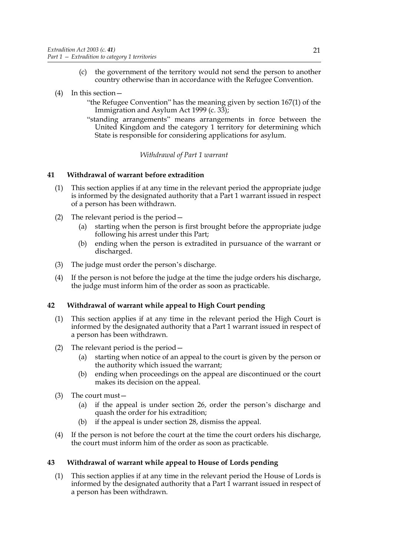- (c) the government of the territory would not send the person to another country otherwise than in accordance with the Refugee Convention.
- (4) In this section—
	- "the Refugee Convention" has the meaning given by section 167(1) of the Immigration and Asylum Act 1999 (c. 33);
	- "standing arrangements" means arrangements in force between the United Kingdom and the category 1 territory for determining which State is responsible for considering applications for asylum.

# *Withdrawal of Part 1 warrant*

# **41 Withdrawal of warrant before extradition**

- (1) This section applies if at any time in the relevant period the appropriate judge is informed by the designated authority that a Part 1 warrant issued in respect of a person has been withdrawn.
- (2) The relevant period is the period—
	- (a) starting when the person is first brought before the appropriate judge following his arrest under this Part;
	- (b) ending when the person is extradited in pursuance of the warrant or discharged.
- (3) The judge must order the person's discharge.
- (4) If the person is not before the judge at the time the judge orders his discharge, the judge must inform him of the order as soon as practicable.

# **42 Withdrawal of warrant while appeal to High Court pending**

- (1) This section applies if at any time in the relevant period the High Court is informed by the designated authority that a Part 1 warrant issued in respect of a person has been withdrawn.
- (2) The relevant period is the period
	- starting when notice of an appeal to the court is given by the person or the authority which issued the warrant;
	- (b) ending when proceedings on the appeal are discontinued or the court makes its decision on the appeal.
- (3) The court must—
	- (a) if the appeal is under section 26, order the person's discharge and quash the order for his extradition;
	- (b) if the appeal is under section 28, dismiss the appeal.
- (4) If the person is not before the court at the time the court orders his discharge, the court must inform him of the order as soon as practicable.

# **43 Withdrawal of warrant while appeal to House of Lords pending**

(1) This section applies if at any time in the relevant period the House of Lords is informed by the designated authority that a Part 1 warrant issued in respect of a person has been withdrawn.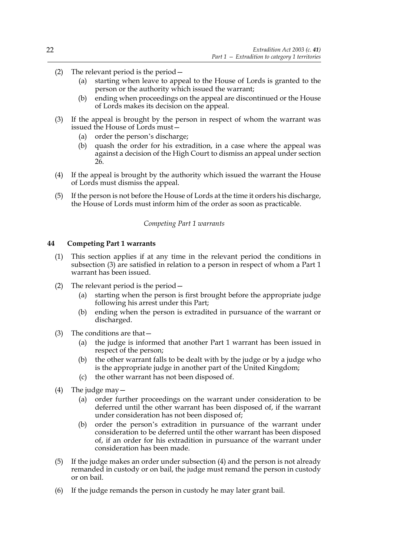- (2) The relevant period is the period—
	- (a) starting when leave to appeal to the House of Lords is granted to the person or the authority which issued the warrant;
	- (b) ending when proceedings on the appeal are discontinued or the House of Lords makes its decision on the appeal.
- (3) If the appeal is brought by the person in respect of whom the warrant was issued the House of Lords must—
	- (a) order the person's discharge;
	- (b) quash the order for his extradition, in a case where the appeal was against a decision of the High Court to dismiss an appeal under section 26.
- (4) If the appeal is brought by the authority which issued the warrant the House of Lords must dismiss the appeal.
- (5) If the person is not before the House of Lords at the time it orders his discharge, the House of Lords must inform him of the order as soon as practicable.

#### *Competing Part 1 warrants*

# **44 Competing Part 1 warrants**

- (1) This section applies if at any time in the relevant period the conditions in subsection (3) are satisfied in relation to a person in respect of whom a Part 1 warrant has been issued.
- (2) The relevant period is the period—
	- (a) starting when the person is first brought before the appropriate judge following his arrest under this Part;
	- (b) ending when the person is extradited in pursuance of the warrant or discharged.
- (3) The conditions are that—
	- (a) the judge is informed that another Part 1 warrant has been issued in respect of the person;
	- (b) the other warrant falls to be dealt with by the judge or by a judge who is the appropriate judge in another part of the United Kingdom;
	- (c) the other warrant has not been disposed of.
- (4) The judge may—
	- (a) order further proceedings on the warrant under consideration to be deferred until the other warrant has been disposed of, if the warrant under consideration has not been disposed of;
	- (b) order the person's extradition in pursuance of the warrant under consideration to be deferred until the other warrant has been disposed of, if an order for his extradition in pursuance of the warrant under consideration has been made.
- (5) If the judge makes an order under subsection (4) and the person is not already remanded in custody or on bail, the judge must remand the person in custody or on bail.
- (6) If the judge remands the person in custody he may later grant bail.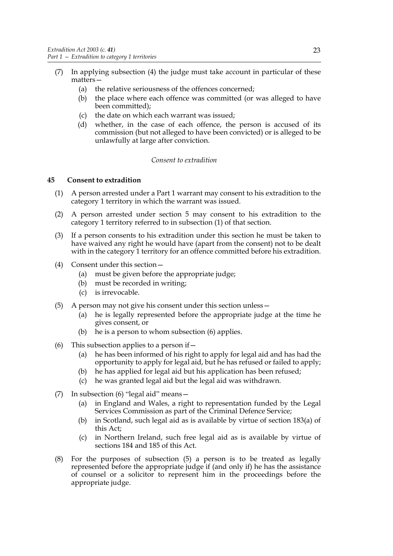- (7) In applying subsection (4) the judge must take account in particular of these matters—
	- (a) the relative seriousness of the offences concerned;
	- (b) the place where each offence was committed (or was alleged to have been committed);
	- (c) the date on which each warrant was issued;
	- (d) whether, in the case of each offence, the person is accused of its commission (but not alleged to have been convicted) or is alleged to be unlawfully at large after conviction.

# *Consent to extradition*

# **45 Consent to extradition**

- (1) A person arrested under a Part 1 warrant may consent to his extradition to the category 1 territory in which the warrant was issued.
- (2) A person arrested under section 5 may consent to his extradition to the category 1 territory referred to in subsection (1) of that section.
- (3) If a person consents to his extradition under this section he must be taken to have waived any right he would have (apart from the consent) not to be dealt with in the category 1 territory for an offence committed before his extradition.
- (4) Consent under this section—
	- (a) must be given before the appropriate judge;
	- (b) must be recorded in writing;
	- (c) is irrevocable.
- (5) A person may not give his consent under this section unless—
	- (a) he is legally represented before the appropriate judge at the time he gives consent, or
	- (b) he is a person to whom subsection (6) applies.
- (6) This subsection applies to a person if  $-$ 
	- (a) he has been informed of his right to apply for legal aid and has had the opportunity to apply for legal aid, but he has refused or failed to apply;
	- (b) he has applied for legal aid but his application has been refused;
	- (c) he was granted legal aid but the legal aid was withdrawn.
- (7) In subsection (6) "legal aid" means—
	- (a) in England and Wales, a right to representation funded by the Legal Services Commission as part of the Criminal Defence Service;
	- (b) in Scotland, such legal aid as is available by virtue of section 183(a) of this Act;
	- (c) in Northern Ireland, such free legal aid as is available by virtue of sections 184 and 185 of this Act.
- (8) For the purposes of subsection (5) a person is to be treated as legally represented before the appropriate judge if (and only if) he has the assistance of counsel or a solicitor to represent him in the proceedings before the appropriate judge.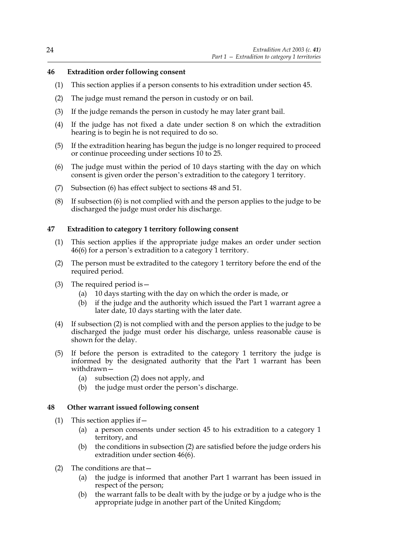# **46 Extradition order following consent**

- (1) This section applies if a person consents to his extradition under section 45.
- (2) The judge must remand the person in custody or on bail.
- (3) If the judge remands the person in custody he may later grant bail.
- (4) If the judge has not fixed a date under section 8 on which the extradition hearing is to begin he is not required to do so.
- (5) If the extradition hearing has begun the judge is no longer required to proceed or continue proceeding under sections 10 to 25.
- (6) The judge must within the period of 10 days starting with the day on which consent is given order the person's extradition to the category 1 territory.
- (7) Subsection (6) has effect subject to sections 48 and 51.
- (8) If subsection (6) is not complied with and the person applies to the judge to be discharged the judge must order his discharge.

# **47 Extradition to category 1 territory following consent**

- (1) This section applies if the appropriate judge makes an order under section 46(6) for a person's extradition to a category 1 territory.
- (2) The person must be extradited to the category 1 territory before the end of the required period.
- (3) The required period is—
	- (a) 10 days starting with the day on which the order is made, or
	- (b) if the judge and the authority which issued the Part 1 warrant agree a later date, 10 days starting with the later date.
- (4) If subsection (2) is not complied with and the person applies to the judge to be discharged the judge must order his discharge, unless reasonable cause is shown for the delay.
- (5) If before the person is extradited to the category 1 territory the judge is informed by the designated authority that the Part 1 warrant has been withdrawn—
	- (a) subsection (2) does not apply, and
	- (b) the judge must order the person's discharge.

#### **48 Other warrant issued following consent**

- (1) This section applies if  $-$ 
	- (a) a person consents under section 45 to his extradition to a category 1 territory, and
	- (b) the conditions in subsection (2) are satisfied before the judge orders his extradition under section 46(6).
- (2) The conditions are that—
	- (a) the judge is informed that another Part 1 warrant has been issued in respect of the person;
	- (b) the warrant falls to be dealt with by the judge or by a judge who is the appropriate judge in another part of the United Kingdom;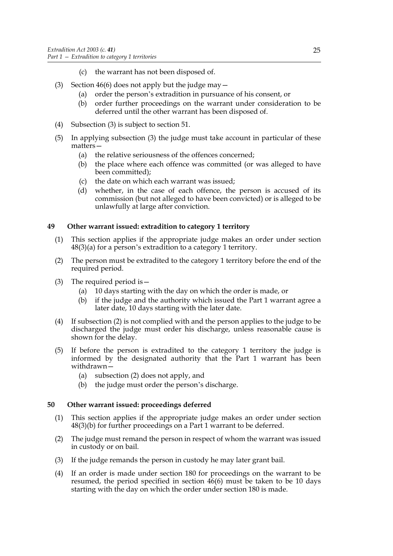- (c) the warrant has not been disposed of.
- (3) Section 46(6) does not apply but the judge may  $-$ 
	- (a) order the person's extradition in pursuance of his consent, or
	- (b) order further proceedings on the warrant under consideration to be deferred until the other warrant has been disposed of.
- (4) Subsection (3) is subject to section 51.
- (5) In applying subsection (3) the judge must take account in particular of these matters—
	- (a) the relative seriousness of the offences concerned;
	- (b) the place where each offence was committed (or was alleged to have been committed);
	- (c) the date on which each warrant was issued;
	- (d) whether, in the case of each offence, the person is accused of its commission (but not alleged to have been convicted) or is alleged to be unlawfully at large after conviction.

# **49 Other warrant issued: extradition to category 1 territory**

- (1) This section applies if the appropriate judge makes an order under section 48(3)(a) for a person's extradition to a category 1 territory.
- (2) The person must be extradited to the category 1 territory before the end of the required period.
- (3) The required period is—
	- (a) 10 days starting with the day on which the order is made, or
	- (b) if the judge and the authority which issued the Part 1 warrant agree a later date, 10 days starting with the later date.
- (4) If subsection (2) is not complied with and the person applies to the judge to be discharged the judge must order his discharge, unless reasonable cause is shown for the delay.
- (5) If before the person is extradited to the category 1 territory the judge is informed by the designated authority that the Part 1 warrant has been withdrawn—
	- (a) subsection (2) does not apply, and
	- (b) the judge must order the person's discharge.

# **50 Other warrant issued: proceedings deferred**

- (1) This section applies if the appropriate judge makes an order under section 48(3)(b) for further proceedings on a Part 1 warrant to be deferred.
- (2) The judge must remand the person in respect of whom the warrant was issued in custody or on bail.
- (3) If the judge remands the person in custody he may later grant bail.
- (4) If an order is made under section 180 for proceedings on the warrant to be resumed, the period specified in section 46(6) must be taken to be 10 days starting with the day on which the order under section 180 is made.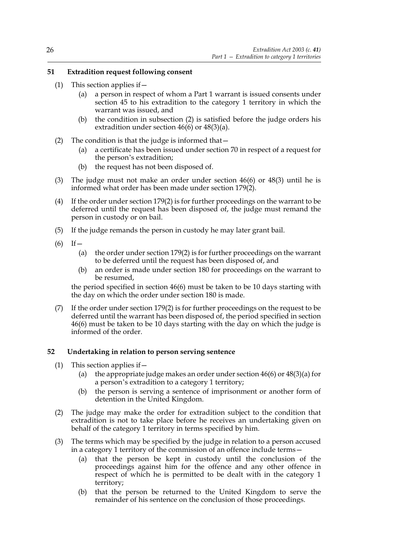# **51 Extradition request following consent**

- (1) This section applies if  $-$ 
	- (a) a person in respect of whom a Part 1 warrant is issued consents under section 45 to his extradition to the category 1 territory in which the warrant was issued, and
	- (b) the condition in subsection (2) is satisfied before the judge orders his extradition under section  $46(6)$  or  $48(3)(a)$ .
- (2) The condition is that the judge is informed that—
	- (a) a certificate has been issued under section 70 in respect of a request for the person's extradition;
	- (b) the request has not been disposed of.
- (3) The judge must not make an order under section 46(6) or 48(3) until he is informed what order has been made under section 179(2).
- (4) If the order under section 179(2) is for further proceedings on the warrant to be deferred until the request has been disposed of, the judge must remand the person in custody or on bail.
- (5) If the judge remands the person in custody he may later grant bail.
- $(6)$  If
	- (a) the order under section 179(2) is for further proceedings on the warrant to be deferred until the request has been disposed of, and
	- (b) an order is made under section 180 for proceedings on the warrant to be resumed,

the period specified in section 46(6) must be taken to be 10 days starting with the day on which the order under section 180 is made.

(7) If the order under section 179(2) is for further proceedings on the request to be deferred until the warrant has been disposed of, the period specified in section 46(6) must be taken to be 10 days starting with the day on which the judge is informed of the order.

# **52 Undertaking in relation to person serving sentence**

- (1) This section applies if  $-$ 
	- (a) the appropriate judge makes an order under section 46(6) or 48(3)(a) for a person's extradition to a category 1 territory;
	- (b) the person is serving a sentence of imprisonment or another form of detention in the United Kingdom.
- (2) The judge may make the order for extradition subject to the condition that extradition is not to take place before he receives an undertaking given on behalf of the category 1 territory in terms specified by him.
- (3) The terms which may be specified by the judge in relation to a person accused in a category 1 territory of the commission of an offence include terms—
	- (a) that the person be kept in custody until the conclusion of the proceedings against him for the offence and any other offence in respect of which he is permitted to be dealt with in the category 1 territory;
	- (b) that the person be returned to the United Kingdom to serve the remainder of his sentence on the conclusion of those proceedings.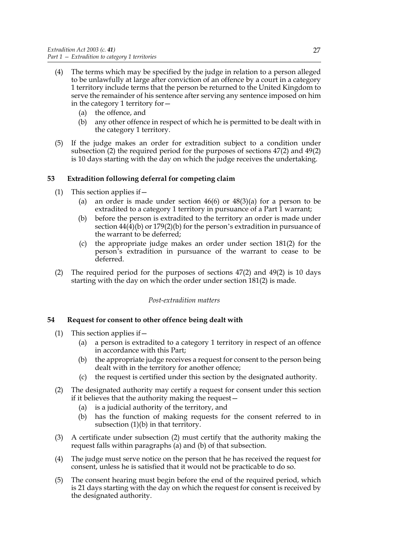- (4) The terms which may be specified by the judge in relation to a person alleged to be unlawfully at large after conviction of an offence by a court in a category 1 territory include terms that the person be returned to the United Kingdom to serve the remainder of his sentence after serving any sentence imposed on him in the category 1 territory for—
	- (a) the offence, and
	- (b) any other offence in respect of which he is permitted to be dealt with in the category 1 territory.
- (5) If the judge makes an order for extradition subject to a condition under subsection (2) the required period for the purposes of sections 47(2) and 49(2) is 10 days starting with the day on which the judge receives the undertaking.

# **53 Extradition following deferral for competing claim**

- (1) This section applies if  $-$ 
	- (a) an order is made under section  $46(6)$  or  $48(3)(a)$  for a person to be extradited to a category 1 territory in pursuance of a Part 1 warrant;
	- (b) before the person is extradited to the territory an order is made under section  $44(\overline{4})(b)$  or  $179(2)(b)$  for the person's extradition in pursuance of the warrant to be deferred;
	- (c) the appropriate judge makes an order under section 181(2) for the person's extradition in pursuance of the warrant to cease to be deferred.
- (2) The required period for the purposes of sections  $47(2)$  and  $49(2)$  is 10 days starting with the day on which the order under section 181(2) is made.

### *Post-extradition matters*

### **54 Request for consent to other offence being dealt with**

- (1) This section applies if  $-$ 
	- (a) a person is extradited to a category 1 territory in respect of an offence in accordance with this Part;
	- (b) the appropriate judge receives a request for consent to the person being dealt with in the territory for another offence;
	- (c) the request is certified under this section by the designated authority.
- (2) The designated authority may certify a request for consent under this section if it believes that the authority making the request—
	- (a) is a judicial authority of the territory, and
	- (b) has the function of making requests for the consent referred to in subsection  $(1)(b)$  in that territory.
- (3) A certificate under subsection (2) must certify that the authority making the request falls within paragraphs (a) and (b) of that subsection.
- (4) The judge must serve notice on the person that he has received the request for consent, unless he is satisfied that it would not be practicable to do so.
- (5) The consent hearing must begin before the end of the required period, which is 21 days starting with the day on which the request for consent is received by the designated authority.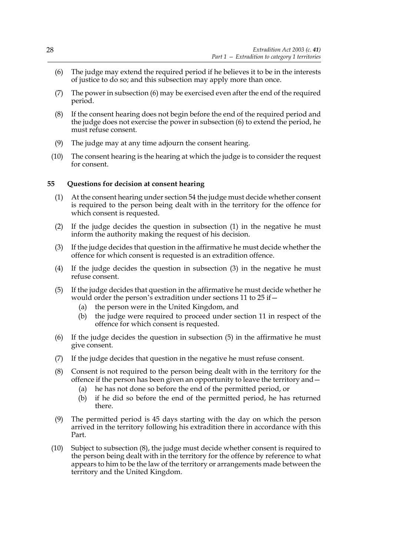- (6) The judge may extend the required period if he believes it to be in the interests of justice to do so; and this subsection may apply more than once.
- (7) The power in subsection (6) may be exercised even after the end of the required period.
- (8) If the consent hearing does not begin before the end of the required period and the judge does not exercise the power in subsection (6) to extend the period, he must refuse consent.
- (9) The judge may at any time adjourn the consent hearing.
- (10) The consent hearing is the hearing at which the judge is to consider the request for consent.

#### **55 Questions for decision at consent hearing**

- (1) At the consent hearing under section 54 the judge must decide whether consent is required to the person being dealt with in the territory for the offence for which consent is requested.
- (2) If the judge decides the question in subsection (1) in the negative he must inform the authority making the request of his decision.
- (3) If the judge decides that question in the affirmative he must decide whether the offence for which consent is requested is an extradition offence.
- (4) If the judge decides the question in subsection (3) in the negative he must refuse consent.
- (5) If the judge decides that question in the affirmative he must decide whether he would order the person's extradition under sections 11 to 25 if—
	- (a) the person were in the United Kingdom, and
	- (b) the judge were required to proceed under section 11 in respect of the offence for which consent is requested.
- (6) If the judge decides the question in subsection (5) in the affirmative he must give consent.
- (7) If the judge decides that question in the negative he must refuse consent.
- (8) Consent is not required to the person being dealt with in the territory for the offence if the person has been given an opportunity to leave the territory and—
	- (a) he has not done so before the end of the permitted period, or
	- (b) if he did so before the end of the permitted period, he has returned there.
- (9) The permitted period is 45 days starting with the day on which the person arrived in the territory following his extradition there in accordance with this Part.
- (10) Subject to subsection (8), the judge must decide whether consent is required to the person being dealt with in the territory for the offence by reference to what appears to him to be the law of the territory or arrangements made between the territory and the United Kingdom.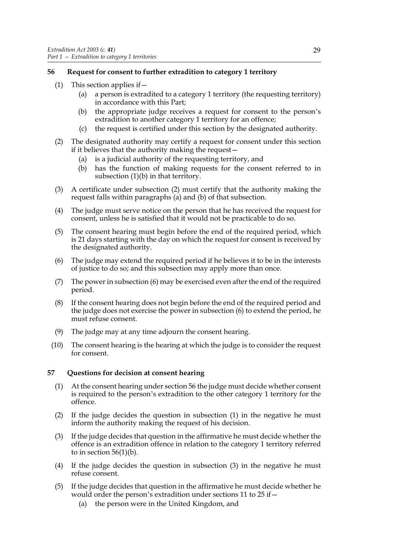# **56 Request for consent to further extradition to category 1 territory**

- (1) This section applies if  $-$ 
	- (a) a person is extradited to a category 1 territory (the requesting territory) in accordance with this Part;
	- (b) the appropriate judge receives a request for consent to the person's extradition to another category 1 territory for an offence;
	- (c) the request is certified under this section by the designated authority.
- (2) The designated authority may certify a request for consent under this section if it believes that the authority making the request—
	- (a) is a judicial authority of the requesting territory, and
	- (b) has the function of making requests for the consent referred to in subsection  $(1)(b)$  in that territory.
- (3) A certificate under subsection (2) must certify that the authority making the request falls within paragraphs (a) and (b) of that subsection.
- (4) The judge must serve notice on the person that he has received the request for consent, unless he is satisfied that it would not be practicable to do so.
- (5) The consent hearing must begin before the end of the required period, which is 21 days starting with the day on which the request for consent is received by the designated authority.
- (6) The judge may extend the required period if he believes it to be in the interests of justice to do so; and this subsection may apply more than once.
- (7) The power in subsection (6) may be exercised even after the end of the required period.
- (8) If the consent hearing does not begin before the end of the required period and the judge does not exercise the power in subsection (6) to extend the period, he must refuse consent.
- (9) The judge may at any time adjourn the consent hearing.
- (10) The consent hearing is the hearing at which the judge is to consider the request for consent.

# **57 Questions for decision at consent hearing**

- (1) At the consent hearing under section 56 the judge must decide whether consent is required to the person's extradition to the other category 1 territory for the offence.
- (2) If the judge decides the question in subsection (1) in the negative he must inform the authority making the request of his decision.
- (3) If the judge decides that question in the affirmative he must decide whether the offence is an extradition offence in relation to the category 1 territory referred to in section  $56(1)(b)$ .
- (4) If the judge decides the question in subsection (3) in the negative he must refuse consent.
- (5) If the judge decides that question in the affirmative he must decide whether he would order the person's extradition under sections 11 to 25 if—
	- (a) the person were in the United Kingdom, and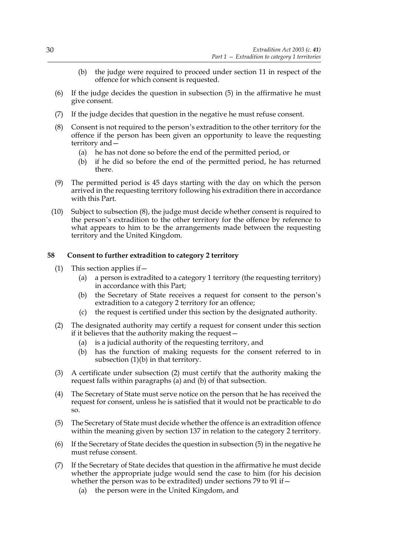- (b) the judge were required to proceed under section 11 in respect of the offence for which consent is requested.
- (6) If the judge decides the question in subsection (5) in the affirmative he must give consent.
- (7) If the judge decides that question in the negative he must refuse consent.
- (8) Consent is not required to the person's extradition to the other territory for the offence if the person has been given an opportunity to leave the requesting territory and—
	- (a) he has not done so before the end of the permitted period, or
	- (b) if he did so before the end of the permitted period, he has returned there.
- (9) The permitted period is 45 days starting with the day on which the person arrived in the requesting territory following his extradition there in accordance with this Part.
- (10) Subject to subsection (8), the judge must decide whether consent is required to the person's extradition to the other territory for the offence by reference to what appears to him to be the arrangements made between the requesting territory and the United Kingdom.

#### **58 Consent to further extradition to category 2 territory**

- (1) This section applies if  $-$ 
	- (a) a person is extradited to a category 1 territory (the requesting territory) in accordance with this Part;
	- (b) the Secretary of State receives a request for consent to the person's extradition to a category 2 territory for an offence;
	- (c) the request is certified under this section by the designated authority.
- (2) The designated authority may certify a request for consent under this section if it believes that the authority making the request—
	- (a) is a judicial authority of the requesting territory, and
	- (b) has the function of making requests for the consent referred to in subsection  $(1)(b)$  in that territory.
- (3) A certificate under subsection (2) must certify that the authority making the request falls within paragraphs (a) and (b) of that subsection.
- (4) The Secretary of State must serve notice on the person that he has received the request for consent, unless he is satisfied that it would not be practicable to do so.
- (5) The Secretary of State must decide whether the offence is an extradition offence within the meaning given by section 137 in relation to the category 2 territory.
- (6) If the Secretary of State decides the question in subsection (5) in the negative he must refuse consent.
- (7) If the Secretary of State decides that question in the affirmative he must decide whether the appropriate judge would send the case to him (for his decision whether the person was to be extradited) under sections 79 to 91 if—
	- (a) the person were in the United Kingdom, and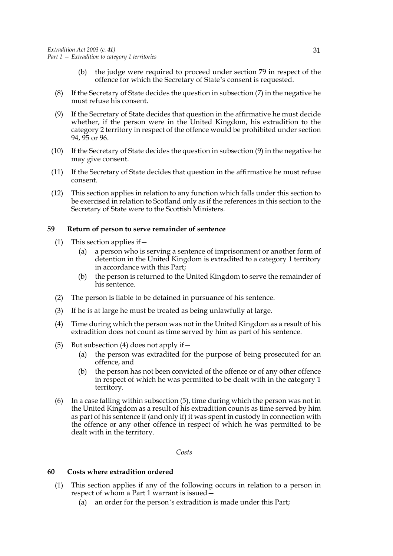- (b) the judge were required to proceed under section 79 in respect of the offence for which the Secretary of State's consent is requested.
- (8) If the Secretary of State decides the question in subsection (7) in the negative he must refuse his consent.
- (9) If the Secretary of State decides that question in the affirmative he must decide whether, if the person were in the United Kingdom, his extradition to the category 2 territory in respect of the offence would be prohibited under section 94, 95 or 96.
- (10) If the Secretary of State decides the question in subsection (9) in the negative he may give consent.
- (11) If the Secretary of State decides that question in the affirmative he must refuse consent.
- (12) This section applies in relation to any function which falls under this section to be exercised in relation to Scotland only as if the references in this section to the Secretary of State were to the Scottish Ministers.

#### **59 Return of person to serve remainder of sentence**

- (1) This section applies if  $-$ 
	- (a) a person who is serving a sentence of imprisonment or another form of detention in the United Kingdom is extradited to a category 1 territory in accordance with this Part;
	- (b) the person is returned to the United Kingdom to serve the remainder of his sentence.
- (2) The person is liable to be detained in pursuance of his sentence.
- (3) If he is at large he must be treated as being unlawfully at large.
- (4) Time during which the person was not in the United Kingdom as a result of his extradition does not count as time served by him as part of his sentence.
- (5) But subsection (4) does not apply if  $-$ 
	- (a) the person was extradited for the purpose of being prosecuted for an offence, and
	- (b) the person has not been convicted of the offence or of any other offence in respect of which he was permitted to be dealt with in the category 1 territory.
- (6) In a case falling within subsection (5), time during which the person was not in the United Kingdom as a result of his extradition counts as time served by him as part of his sentence if (and only if) it was spent in custody in connection with the offence or any other offence in respect of which he was permitted to be dealt with in the territory.

#### *Costs*

#### **60 Costs where extradition ordered**

- (1) This section applies if any of the following occurs in relation to a person in respect of whom a Part 1 warrant is issued—
	- (a) an order for the person's extradition is made under this Part;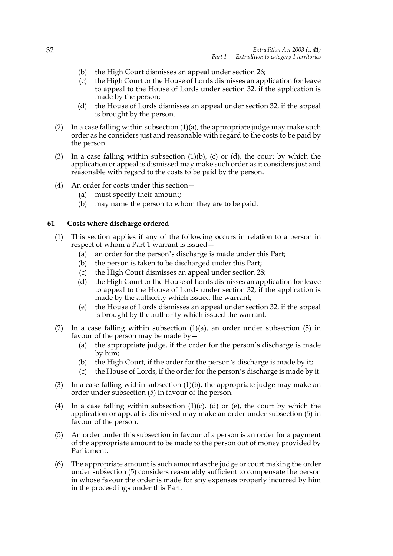- (b) the High Court dismisses an appeal under section 26;
- (c) the High Court or the House of Lords dismisses an application for leave to appeal to the House of Lords under section 32, if the application is made by the person;
- (d) the House of Lords dismisses an appeal under section 32, if the appeal is brought by the person.
- (2) In a case falling within subsection  $(1)(a)$ , the appropriate judge may make such order as he considers just and reasonable with regard to the costs to be paid by the person.
- (3) In a case falling within subsection  $(1)(b)$ , (c) or (d), the court by which the application or appeal is dismissed may make such order as it considers just and reasonable with regard to the costs to be paid by the person.
- (4) An order for costs under this section—
	- (a) must specify their amount;
	- (b) may name the person to whom they are to be paid.

### **61 Costs where discharge ordered**

- (1) This section applies if any of the following occurs in relation to a person in respect of whom a Part 1 warrant is issued—
	- (a) an order for the person's discharge is made under this Part;
	- (b) the person is taken to be discharged under this Part;
	- (c) the High Court dismisses an appeal under section 28;
	- (d) the High Court or the House of Lords dismisses an application for leave to appeal to the House of Lords under section 32, if the application is made by the authority which issued the warrant;
	- (e) the House of Lords dismisses an appeal under section 32, if the appeal is brought by the authority which issued the warrant.
- (2) In a case falling within subsection  $(1)(a)$ , an order under subsection  $(5)$  in favour of the person may be made by  $-$ 
	- (a) the appropriate judge, if the order for the person's discharge is made by him;
	- (b) the High Court, if the order for the person's discharge is made by it;
	- (c) the House of Lords, if the order for the person's discharge is made by it.
- (3) In a case falling within subsection  $(1)(b)$ , the appropriate judge may make an order under subsection (5) in favour of the person.
- (4) In a case falling within subsection  $(1)(c)$ ,  $(d)$  or  $(e)$ , the court by which the application or appeal is dismissed may make an order under subsection (5) in favour of the person.
- (5) An order under this subsection in favour of a person is an order for a payment of the appropriate amount to be made to the person out of money provided by Parliament.
- (6) The appropriate amount is such amount as the judge or court making the order under subsection (5) considers reasonably sufficient to compensate the person in whose favour the order is made for any expenses properly incurred by him in the proceedings under this Part.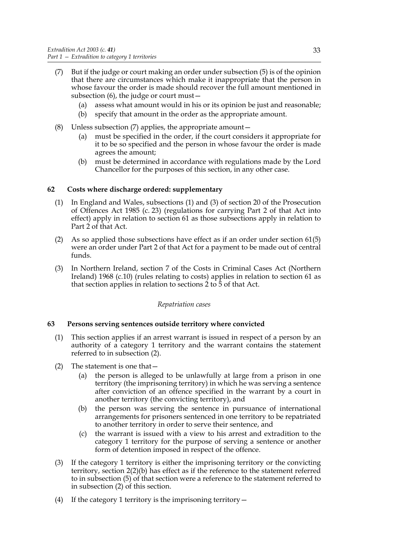- (7) But if the judge or court making an order under subsection (5) is of the opinion that there are circumstances which make it inappropriate that the person in whose favour the order is made should recover the full amount mentioned in subsection (6), the judge or court must—
	- (a) assess what amount would in his or its opinion be just and reasonable;
	- (b) specify that amount in the order as the appropriate amount.
- (8) Unless subsection (7) applies, the appropriate amount—
	- (a) must be specified in the order, if the court considers it appropriate for it to be so specified and the person in whose favour the order is made agrees the amount;
	- (b) must be determined in accordance with regulations made by the Lord Chancellor for the purposes of this section, in any other case.

# **62 Costs where discharge ordered: supplementary**

- (1) In England and Wales, subsections (1) and (3) of section 20 of the Prosecution of Offences Act 1985 (c. 23) (regulations for carrying Part 2 of that Act into effect) apply in relation to section 61 as those subsections apply in relation to Part 2 of that Act.
- (2) As so applied those subsections have effect as if an order under section 61(5) were an order under Part 2 of that Act for a payment to be made out of central funds.
- (3) In Northern Ireland, section 7 of the Costs in Criminal Cases Act (Northern Ireland) 1968 (c.10) (rules relating to costs) applies in relation to section 61 as that section applies in relation to sections  $2 \text{ to } 5$  of that Act.

### *Repatriation cases*

### **63 Persons serving sentences outside territory where convicted**

- (1) This section applies if an arrest warrant is issued in respect of a person by an authority of a category 1 territory and the warrant contains the statement referred to in subsection (2).
- (2) The statement is one that—
	- (a) the person is alleged to be unlawfully at large from a prison in one territory (the imprisoning territory) in which he was serving a sentence after conviction of an offence specified in the warrant by a court in another territory (the convicting territory), and
	- (b) the person was serving the sentence in pursuance of international arrangements for prisoners sentenced in one territory to be repatriated to another territory in order to serve their sentence, and
	- (c) the warrant is issued with a view to his arrest and extradition to the category 1 territory for the purpose of serving a sentence or another form of detention imposed in respect of the offence.
- (3) If the category 1 territory is either the imprisoning territory or the convicting territory, section 2(2)(b) has effect as if the reference to the statement referred to in subsection (5) of that section were a reference to the statement referred to in subsection (2) of this section.
- (4) If the category 1 territory is the imprisoning territory—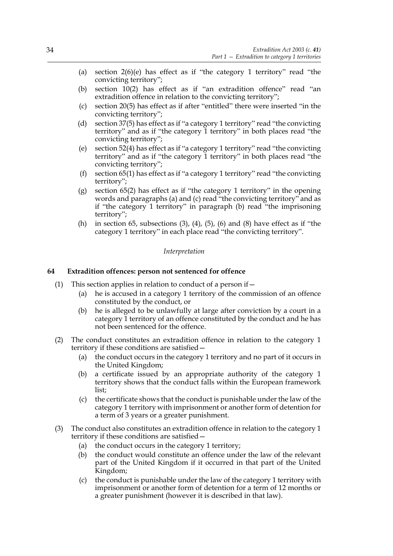- (a) section  $2(6)(e)$  has effect as if "the category 1 territory" read "the convicting territory";
- (b) section 10(2) has effect as if "an extradition offence" read "an extradition offence in relation to the convicting territory";
- (c) section 20(5) has effect as if after "entitled" there were inserted "in the convicting territory";
- (d) section 37(5) has effect as if "a category 1 territory" read "the convicting territory" and as if "the category 1 territory" in both places read "the convicting territory";
- (e) section 52(4) has effect as if "a category 1 territory" read "the convicting territory" and as if "the category 1 territory" in both places read "the convicting territory";
- (f) section 65(1) has effect as if "a category 1 territory" read "the convicting territory";
- (g) section 65(2) has effect as if "the category 1 territory" in the opening words and paragraphs (a) and (c) read "the convicting territory" and as if "the category 1 territory" in paragraph (b) read "the imprisoning territory";
- (h) in section 65, subsections  $(3)$ ,  $(4)$ ,  $(5)$ ,  $(6)$  and  $(8)$  have effect as if "the category 1 territory" in each place read "the convicting territory".

#### *Interpretation*

### **64 Extradition offences: person not sentenced for offence**

- (1) This section applies in relation to conduct of a person if  $-$ 
	- (a) he is accused in a category 1 territory of the commission of an offence constituted by the conduct, or
	- (b) he is alleged to be unlawfully at large after conviction by a court in a category 1 territory of an offence constituted by the conduct and he has not been sentenced for the offence.
- (2) The conduct constitutes an extradition offence in relation to the category 1 territory if these conditions are satisfied—
	- (a) the conduct occurs in the category 1 territory and no part of it occurs in the United Kingdom;
	- (b) a certificate issued by an appropriate authority of the category 1 territory shows that the conduct falls within the European framework list;
	- (c) the certificate shows that the conduct is punishable under the law of the category 1 territory with imprisonment or another form of detention for a term of 3 years or a greater punishment.
- (3) The conduct also constitutes an extradition offence in relation to the category 1 territory if these conditions are satisfied—
	- (a) the conduct occurs in the category 1 territory;
	- (b) the conduct would constitute an offence under the law of the relevant part of the United Kingdom if it occurred in that part of the United Kingdom;
	- (c) the conduct is punishable under the law of the category 1 territory with imprisonment or another form of detention for a term of 12 months or a greater punishment (however it is described in that law).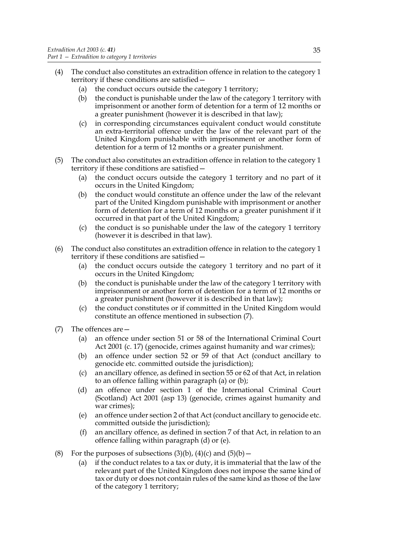- (4) The conduct also constitutes an extradition offence in relation to the category 1 territory if these conditions are satisfied—
	- (a) the conduct occurs outside the category 1 territory;
	- (b) the conduct is punishable under the law of the category 1 territory with imprisonment or another form of detention for a term of 12 months or a greater punishment (however it is described in that law);
	- (c) in corresponding circumstances equivalent conduct would constitute an extra-territorial offence under the law of the relevant part of the United Kingdom punishable with imprisonment or another form of detention for a term of 12 months or a greater punishment.
- (5) The conduct also constitutes an extradition offence in relation to the category 1 territory if these conditions are satisfied—
	- (a) the conduct occurs outside the category 1 territory and no part of it occurs in the United Kingdom;
	- (b) the conduct would constitute an offence under the law of the relevant part of the United Kingdom punishable with imprisonment or another form of detention for a term of 12 months or a greater punishment if it occurred in that part of the United Kingdom;
	- (c) the conduct is so punishable under the law of the category 1 territory (however it is described in that law).
- (6) The conduct also constitutes an extradition offence in relation to the category 1 territory if these conditions are satisfied—
	- (a) the conduct occurs outside the category 1 territory and no part of it occurs in the United Kingdom;
	- (b) the conduct is punishable under the law of the category 1 territory with imprisonment or another form of detention for a term of 12 months or a greater punishment (however it is described in that law);
	- (c) the conduct constitutes or if committed in the United Kingdom would constitute an offence mentioned in subsection (7).
- (7) The offences are—
	- (a) an offence under section 51 or 58 of the International Criminal Court Act 2001 (c. 17) (genocide, crimes against humanity and war crimes);
	- (b) an offence under section 52 or 59 of that Act (conduct ancillary to genocide etc. committed outside the jurisdiction);
	- (c) an ancillary offence, as defined in section 55 or 62 of that Act, in relation to an offence falling within paragraph (a) or (b);
	- (d) an offence under section 1 of the International Criminal Court (Scotland) Act 2001 (asp 13) (genocide, crimes against humanity and war crimes);
	- (e) an offence under section 2 of that Act (conduct ancillary to genocide etc. committed outside the jurisdiction);
	- (f) an ancillary offence, as defined in section 7 of that Act, in relation to an offence falling within paragraph (d) or (e).
- (8) For the purposes of subsections  $(3)(b)$ ,  $(4)(c)$  and  $(5)(b)$  -
	- (a) if the conduct relates to a tax or duty, it is immaterial that the law of the relevant part of the United Kingdom does not impose the same kind of tax or duty or does not contain rules of the same kind as those of the law of the category 1 territory;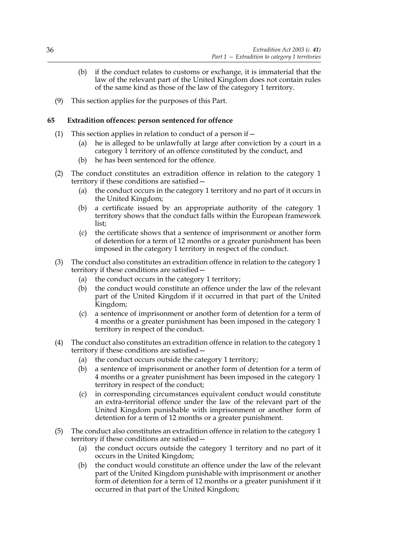- (b) if the conduct relates to customs or exchange, it is immaterial that the law of the relevant part of the United Kingdom does not contain rules of the same kind as those of the law of the category 1 territory.
- (9) This section applies for the purposes of this Part.

### **65 Extradition offences: person sentenced for offence**

- (1) This section applies in relation to conduct of a person if  $-$ 
	- (a) he is alleged to be unlawfully at large after conviction by a court in a category 1 territory of an offence constituted by the conduct, and
	- (b) he has been sentenced for the offence.
- (2) The conduct constitutes an extradition offence in relation to the category 1 territory if these conditions are satisfied—
	- (a) the conduct occurs in the category 1 territory and no part of it occurs in the United Kingdom;
	- (b) a certificate issued by an appropriate authority of the category 1 territory shows that the conduct falls within the European framework list;
	- (c) the certificate shows that a sentence of imprisonment or another form of detention for a term of 12 months or a greater punishment has been imposed in the category 1 territory in respect of the conduct.
- (3) The conduct also constitutes an extradition offence in relation to the category 1 territory if these conditions are satisfied—
	- (a) the conduct occurs in the category 1 territory;
	- (b) the conduct would constitute an offence under the law of the relevant part of the United Kingdom if it occurred in that part of the United Kingdom;
	- (c) a sentence of imprisonment or another form of detention for a term of 4 months or a greater punishment has been imposed in the category 1 territory in respect of the conduct.
- (4) The conduct also constitutes an extradition offence in relation to the category 1 territory if these conditions are satisfied—
	- (a) the conduct occurs outside the category 1 territory;
	- (b) a sentence of imprisonment or another form of detention for a term of 4 months or a greater punishment has been imposed in the category 1 territory in respect of the conduct;
	- (c) in corresponding circumstances equivalent conduct would constitute an extra-territorial offence under the law of the relevant part of the United Kingdom punishable with imprisonment or another form of detention for a term of 12 months or a greater punishment.
- (5) The conduct also constitutes an extradition offence in relation to the category 1 territory if these conditions are satisfied—
	- (a) the conduct occurs outside the category 1 territory and no part of it occurs in the United Kingdom;
	- (b) the conduct would constitute an offence under the law of the relevant part of the United Kingdom punishable with imprisonment or another form of detention for a term of 12 months or a greater punishment if it occurred in that part of the United Kingdom;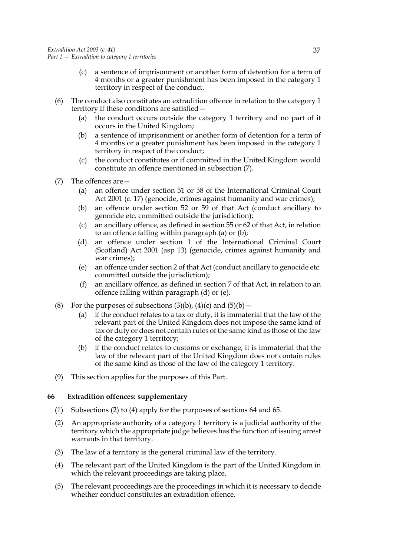- (c) a sentence of imprisonment or another form of detention for a term of 4 months or a greater punishment has been imposed in the category 1 territory in respect of the conduct.
- (6) The conduct also constitutes an extradition offence in relation to the category 1 territory if these conditions are satisfied—
	- (a) the conduct occurs outside the category 1 territory and no part of it occurs in the United Kingdom;
	- (b) a sentence of imprisonment or another form of detention for a term of 4 months or a greater punishment has been imposed in the category 1 territory in respect of the conduct;
	- (c) the conduct constitutes or if committed in the United Kingdom would constitute an offence mentioned in subsection (7).
- (7) The offences are—
	- (a) an offence under section 51 or 58 of the International Criminal Court Act 2001 (c. 17) (genocide, crimes against humanity and war crimes);
	- (b) an offence under section 52 or 59 of that Act (conduct ancillary to genocide etc. committed outside the jurisdiction);
	- (c) an ancillary offence, as defined in section 55 or 62 of that Act, in relation to an offence falling within paragraph (a) or (b);
	- (d) an offence under section 1 of the International Criminal Court (Scotland) Act 2001 (asp 13) (genocide, crimes against humanity and war crimes);
	- (e) an offence under section 2 of that Act (conduct ancillary to genocide etc. committed outside the jurisdiction);
	- (f) an ancillary offence, as defined in section 7 of that Act, in relation to an offence falling within paragraph (d) or (e).
- (8) For the purposes of subsections  $(3)(b)$ ,  $(4)(c)$  and  $(5)(b)$  -
	- (a) if the conduct relates to a tax or duty, it is immaterial that the law of the relevant part of the United Kingdom does not impose the same kind of tax or duty or does not contain rules of the same kind as those of the law of the category 1 territory;
	- (b) if the conduct relates to customs or exchange, it is immaterial that the law of the relevant part of the United Kingdom does not contain rules of the same kind as those of the law of the category 1 territory.
- (9) This section applies for the purposes of this Part.

### **66 Extradition offences: supplementary**

- (1) Subsections (2) to (4) apply for the purposes of sections 64 and 65.
- (2) An appropriate authority of a category 1 territory is a judicial authority of the territory which the appropriate judge believes has the function of issuing arrest warrants in that territory.
- (3) The law of a territory is the general criminal law of the territory.
- (4) The relevant part of the United Kingdom is the part of the United Kingdom in which the relevant proceedings are taking place.
- (5) The relevant proceedings are the proceedings in which it is necessary to decide whether conduct constitutes an extradition offence.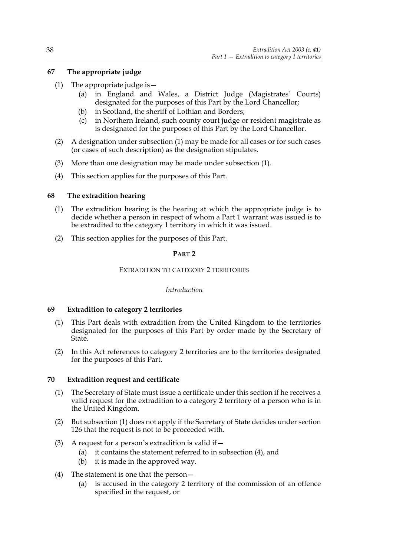# **67 The appropriate judge**

- (1) The appropriate judge is—
	- (a) in England and Wales, a District Judge (Magistrates' Courts) designated for the purposes of this Part by the Lord Chancellor;
	- (b) in Scotland, the sheriff of Lothian and Borders;
	- (c) in Northern Ireland, such county court judge or resident magistrate as is designated for the purposes of this Part by the Lord Chancellor.
- (2) A designation under subsection (1) may be made for all cases or for such cases (or cases of such description) as the designation stipulates.
- (3) More than one designation may be made under subsection (1).
- (4) This section applies for the purposes of this Part.

### **68 The extradition hearing**

- (1) The extradition hearing is the hearing at which the appropriate judge is to decide whether a person in respect of whom a Part 1 warrant was issued is to be extradited to the category 1 territory in which it was issued.
- (2) This section applies for the purposes of this Part.

### **PART 2**

#### EXTRADITION TO CATEGORY 2 TERRITORIES

#### *Introduction*

### **69 Extradition to category 2 territories**

- (1) This Part deals with extradition from the United Kingdom to the territories designated for the purposes of this Part by order made by the Secretary of State.
- (2) In this Act references to category 2 territories are to the territories designated for the purposes of this Part.

### **70 Extradition request and certificate**

- (1) The Secretary of State must issue a certificate under this section if he receives a valid request for the extradition to a category 2 territory of a person who is in the United Kingdom.
- (2) But subsection (1) does not apply if the Secretary of State decides under section 126 that the request is not to be proceeded with.
- (3) A request for a person's extradition is valid if  $-$ 
	- (a) it contains the statement referred to in subsection (4), and
	- (b) it is made in the approved way.
- (4) The statement is one that the person—
	- (a) is accused in the category 2 territory of the commission of an offence specified in the request, or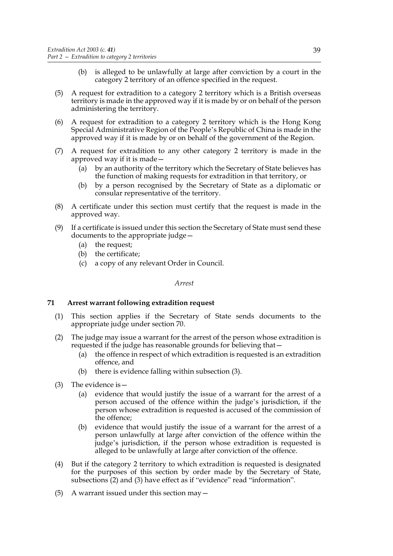- (b) is alleged to be unlawfully at large after conviction by a court in the category 2 territory of an offence specified in the request.
- (5) A request for extradition to a category 2 territory which is a British overseas territory is made in the approved way if it is made by or on behalf of the person administering the territory.
- (6) A request for extradition to a category 2 territory which is the Hong Kong Special Administrative Region of the People's Republic of China is made in the approved way if it is made by or on behalf of the government of the Region.
- (7) A request for extradition to any other category 2 territory is made in the approved way if it is made—
	- (a) by an authority of the territory which the Secretary of State believes has the function of making requests for extradition in that territory, or
	- (b) by a person recognised by the Secretary of State as a diplomatic or consular representative of the territory.
- (8) A certificate under this section must certify that the request is made in the approved way.
- (9) If a certificate is issued under this section the Secretary of State must send these documents to the appropriate judge—
	- (a) the request;
	- (b) the certificate;
	- (c) a copy of any relevant Order in Council.

*Arrest*

### **71 Arrest warrant following extradition request**

- (1) This section applies if the Secretary of State sends documents to the appropriate judge under section 70.
- (2) The judge may issue a warrant for the arrest of the person whose extradition is requested if the judge has reasonable grounds for believing that—
	- (a) the offence in respect of which extradition is requested is an extradition offence, and
	- (b) there is evidence falling within subsection (3).
- (3) The evidence is—
	- (a) evidence that would justify the issue of a warrant for the arrest of a person accused of the offence within the judge's jurisdiction, if the person whose extradition is requested is accused of the commission of the offence;
	- (b) evidence that would justify the issue of a warrant for the arrest of a person unlawfully at large after conviction of the offence within the judge's jurisdiction, if the person whose extradition is requested is alleged to be unlawfully at large after conviction of the offence.
- (4) But if the category 2 territory to which extradition is requested is designated for the purposes of this section by order made by the Secretary of State, subsections (2) and (3) have effect as if "evidence" read "information".
- (5) A warrant issued under this section may—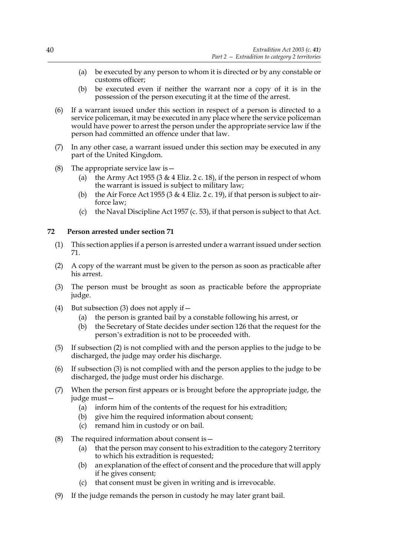- (a) be executed by any person to whom it is directed or by any constable or customs officer;
- (b) be executed even if neither the warrant nor a copy of it is in the possession of the person executing it at the time of the arrest.
- (6) If a warrant issued under this section in respect of a person is directed to a service policeman, it may be executed in any place where the service policeman would have power to arrest the person under the appropriate service law if the person had committed an offence under that law.
- (7) In any other case, a warrant issued under this section may be executed in any part of the United Kingdom.
- (8) The appropriate service law is  $-$ 
	- (a) the Army Act 1955 (3  $\&$  4 Eliz. 2 c. 18), if the person in respect of whom the warrant is issued is subject to military law;
	- (b) the Air Force Act 1955 (3 & 4 Eliz. 2 c. 19), if that person is subject to airforce law;
	- (c) the Naval Discipline Act 1957 (c. 53), if that person is subject to that Act.

# **72 Person arrested under section 71**

- (1) This section applies if a person is arrested under a warrant issued under section 71.
- (2) A copy of the warrant must be given to the person as soon as practicable after his arrest.
- (3) The person must be brought as soon as practicable before the appropriate judge.
- (4) But subsection (3) does not apply if  $-$ 
	- (a) the person is granted bail by a constable following his arrest, or
	- (b) the Secretary of State decides under section 126 that the request for the person's extradition is not to be proceeded with.
- (5) If subsection (2) is not complied with and the person applies to the judge to be discharged, the judge may order his discharge.
- (6) If subsection (3) is not complied with and the person applies to the judge to be discharged, the judge must order his discharge.
- (7) When the person first appears or is brought before the appropriate judge, the judge must—
	- (a) inform him of the contents of the request for his extradition;
	- (b) give him the required information about consent;
	- (c) remand him in custody or on bail.
- (8) The required information about consent is  $-$ 
	- (a) that the person may consent to his extradition to the category 2 territory to which his extradition is requested;
	- (b) an explanation of the effect of consent and the procedure that will apply if he gives consent;
	- (c) that consent must be given in writing and is irrevocable.
- (9) If the judge remands the person in custody he may later grant bail.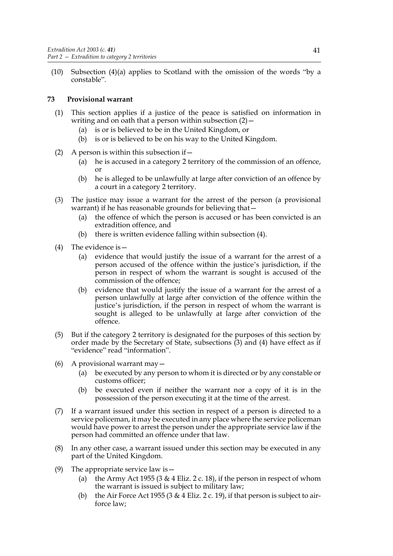(10) Subsection (4)(a) applies to Scotland with the omission of the words "by a constable".

# **73 Provisional warrant**

- (1) This section applies if a justice of the peace is satisfied on information in writing and on oath that a person within subsection  $(2)$  –
	- (a) is or is believed to be in the United Kingdom, or
	- (b) is or is believed to be on his way to the United Kingdom.
- (2) A person is within this subsection if  $-$ 
	- (a) he is accused in a category 2 territory of the commission of an offence, or
	- (b) he is alleged to be unlawfully at large after conviction of an offence by a court in a category 2 territory.
- (3) The justice may issue a warrant for the arrest of the person (a provisional warrant) if he has reasonable grounds for believing that -
	- (a) the offence of which the person is accused or has been convicted is an extradition offence, and
	- (b) there is written evidence falling within subsection (4).
- (4) The evidence is—
	- (a) evidence that would justify the issue of a warrant for the arrest of a person accused of the offence within the justice's jurisdiction, if the person in respect of whom the warrant is sought is accused of the commission of the offence;
	- (b) evidence that would justify the issue of a warrant for the arrest of a person unlawfully at large after conviction of the offence within the justice's jurisdiction, if the person in respect of whom the warrant is sought is alleged to be unlawfully at large after conviction of the offence.
- (5) But if the category 2 territory is designated for the purposes of this section by order made by the Secretary of State, subsections (3) and (4) have effect as if "evidence" read "information".
- (6) A provisional warrant may—
	- (a) be executed by any person to whom it is directed or by any constable or customs officer;
	- (b) be executed even if neither the warrant nor a copy of it is in the possession of the person executing it at the time of the arrest.
- (7) If a warrant issued under this section in respect of a person is directed to a service policeman, it may be executed in any place where the service policeman would have power to arrest the person under the appropriate service law if the person had committed an offence under that law.
- (8) In any other case, a warrant issued under this section may be executed in any part of the United Kingdom.
- (9) The appropriate service law is—
	- (a) the Army Act 1955 (3  $&$  4 Eliz. 2 c. 18), if the person in respect of whom the warrant is issued is subject to military law;
	- (b) the Air Force Act 1955 (3 & 4 Eliz. 2 c. 19), if that person is subject to airforce law;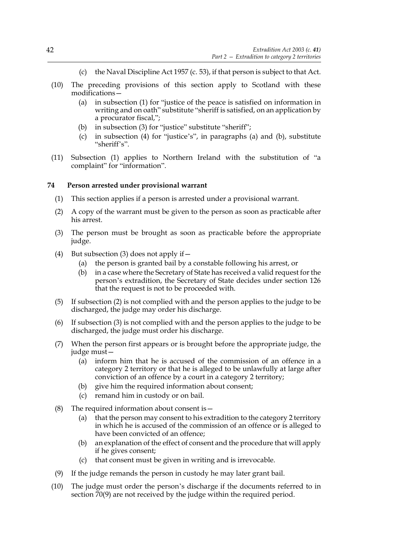- (c) the Naval Discipline Act 1957 (c. 53), if that person is subject to that Act.
- (10) The preceding provisions of this section apply to Scotland with these modifications—
	- (a) in subsection (1) for "justice of the peace is satisfied on information in writing and on oath" substitute "sheriff is satisfied, on an application by a procurator fiscal,";
	- (b) in subsection (3) for "justice" substitute "sheriff";
	- (c) in subsection (4) for "justice's", in paragraphs (a) and (b), substitute "sheriff's".
- (11) Subsection (1) applies to Northern Ireland with the substitution of "a complaint" for "information".

### **74 Person arrested under provisional warrant**

- (1) This section applies if a person is arrested under a provisional warrant.
- (2) A copy of the warrant must be given to the person as soon as practicable after his arrest.
- (3) The person must be brought as soon as practicable before the appropriate judge.
- (4) But subsection (3) does not apply if—
	- (a) the person is granted bail by a constable following his arrest, or
	- (b) in a case where the Secretary of State has received a valid request for the person's extradition, the Secretary of State decides under section 126 that the request is not to be proceeded with.
- (5) If subsection (2) is not complied with and the person applies to the judge to be discharged, the judge may order his discharge.
- (6) If subsection (3) is not complied with and the person applies to the judge to be discharged, the judge must order his discharge.
- (7) When the person first appears or is brought before the appropriate judge, the judge must—
	- (a) inform him that he is accused of the commission of an offence in a category 2 territory or that he is alleged to be unlawfully at large after conviction of an offence by a court in a category 2 territory;
	- (b) give him the required information about consent;
	- (c) remand him in custody or on bail.
- (8) The required information about consent is—
	- (a) that the person may consent to his extradition to the category 2 territory in which he is accused of the commission of an offence or is alleged to have been convicted of an offence;
	- (b) an explanation of the effect of consent and the procedure that will apply if he gives consent;
	- (c) that consent must be given in writing and is irrevocable.
- (9) If the judge remands the person in custody he may later grant bail.
- (10) The judge must order the person's discharge if the documents referred to in section 70(9) are not received by the judge within the required period.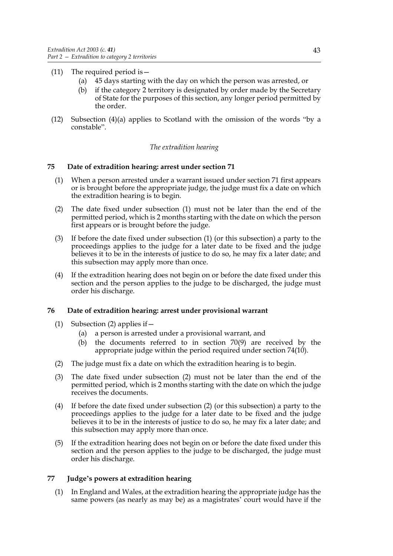- (11) The required period is  $-$ 
	- (a) 45 days starting with the day on which the person was arrested, or
	- (b) if the category 2 territory is designated by order made by the Secretary of State for the purposes of this section, any longer period permitted by the order.
- (12) Subsection (4)(a) applies to Scotland with the omission of the words "by a constable".

# *The extradition hearing*

# **75 Date of extradition hearing: arrest under section 71**

- (1) When a person arrested under a warrant issued under section 71 first appears or is brought before the appropriate judge, the judge must fix a date on which the extradition hearing is to begin.
- (2) The date fixed under subsection (1) must not be later than the end of the permitted period, which is 2 months starting with the date on which the person first appears or is brought before the judge.
- (3) If before the date fixed under subsection (1) (or this subsection) a party to the proceedings applies to the judge for a later date to be fixed and the judge believes it to be in the interests of justice to do so, he may fix a later date; and this subsection may apply more than once.
- (4) If the extradition hearing does not begin on or before the date fixed under this section and the person applies to the judge to be discharged, the judge must order his discharge.

### **76 Date of extradition hearing: arrest under provisional warrant**

- (1) Subsection (2) applies if  $-$ 
	- (a) a person is arrested under a provisional warrant, and
	- (b) the documents referred to in section 70(9) are received by the appropriate judge within the period required under section 74(10).
- (2) The judge must fix a date on which the extradition hearing is to begin.
- (3) The date fixed under subsection (2) must not be later than the end of the permitted period, which is 2 months starting with the date on which the judge receives the documents.
- (4) If before the date fixed under subsection (2) (or this subsection) a party to the proceedings applies to the judge for a later date to be fixed and the judge believes it to be in the interests of justice to do so, he may fix a later date; and this subsection may apply more than once.
- (5) If the extradition hearing does not begin on or before the date fixed under this section and the person applies to the judge to be discharged, the judge must order his discharge.

# **77 Judge's powers at extradition hearing**

(1) In England and Wales, at the extradition hearing the appropriate judge has the same powers (as nearly as may be) as a magistrates' court would have if the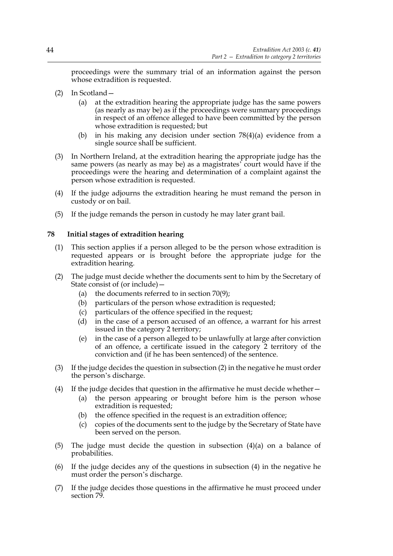proceedings were the summary trial of an information against the person whose extradition is requested.

- (2) In Scotland—
	- (a) at the extradition hearing the appropriate judge has the same powers (as nearly as may be) as if the proceedings were summary proceedings in respect of an offence alleged to have been committed by the person whose extradition is requested; but
	- (b) in his making any decision under section 78(4)(a) evidence from a single source shall be sufficient.
- (3) In Northern Ireland, at the extradition hearing the appropriate judge has the same powers (as nearly as may be) as a magistrates' court would have if the proceedings were the hearing and determination of a complaint against the person whose extradition is requested.
- (4) If the judge adjourns the extradition hearing he must remand the person in custody or on bail.
- (5) If the judge remands the person in custody he may later grant bail.

# **78 Initial stages of extradition hearing**

- (1) This section applies if a person alleged to be the person whose extradition is requested appears or is brought before the appropriate judge for the extradition hearing.
- (2) The judge must decide whether the documents sent to him by the Secretary of State consist of (or include)—
	- (a) the documents referred to in section 70(9);
	- (b) particulars of the person whose extradition is requested;
	- (c) particulars of the offence specified in the request;
	- (d) in the case of a person accused of an offence, a warrant for his arrest issued in the category 2 territory;
	- (e) in the case of a person alleged to be unlawfully at large after conviction of an offence, a certificate issued in the category 2 territory of the conviction and (if he has been sentenced) of the sentence.
- (3) If the judge decides the question in subsection (2) in the negative he must order the person's discharge.
- (4) If the judge decides that question in the affirmative he must decide whether  $-$ 
	- (a) the person appearing or brought before him is the person whose extradition is requested;
	- (b) the offence specified in the request is an extradition offence;
	- (c) copies of the documents sent to the judge by the Secretary of State have been served on the person.
- (5) The judge must decide the question in subsection  $(4)(a)$  on a balance of probabilities.
- (6) If the judge decides any of the questions in subsection (4) in the negative he must order the person's discharge.
- (7) If the judge decides those questions in the affirmative he must proceed under section 79.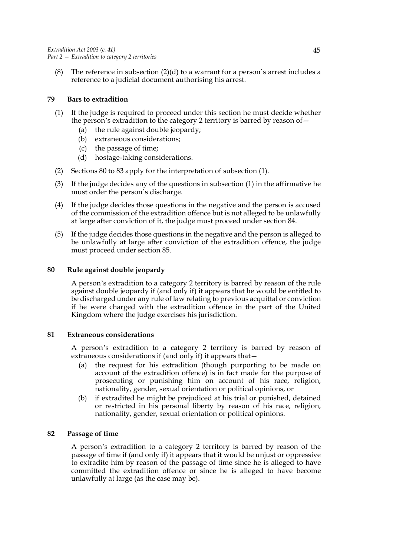(8) The reference in subsection  $(2)(d)$  to a warrant for a person's arrest includes a reference to a judicial document authorising his arrest.

# **79 Bars to extradition**

- (1) If the judge is required to proceed under this section he must decide whether the person's extradition to the category 2 territory is barred by reason of—
	- (a) the rule against double jeopardy;
	- (b) extraneous considerations;
	- (c) the passage of time;
	- (d) hostage-taking considerations.
- (2) Sections 80 to 83 apply for the interpretation of subsection (1).
- (3) If the judge decides any of the questions in subsection (1) in the affirmative he must order the person's discharge.
- (4) If the judge decides those questions in the negative and the person is accused of the commission of the extradition offence but is not alleged to be unlawfully at large after conviction of it, the judge must proceed under section 84.
- (5) If the judge decides those questions in the negative and the person is alleged to be unlawfully at large after conviction of the extradition offence, the judge must proceed under section 85.

# **80 Rule against double jeopardy**

A person's extradition to a category 2 territory is barred by reason of the rule against double jeopardy if (and only if) it appears that he would be entitled to be discharged under any rule of law relating to previous acquittal or conviction if he were charged with the extradition offence in the part of the United Kingdom where the judge exercises his jurisdiction.

### **81 Extraneous considerations**

A person's extradition to a category 2 territory is barred by reason of extraneous considerations if (and only if) it appears that—

- (a) the request for his extradition (though purporting to be made on account of the extradition offence) is in fact made for the purpose of prosecuting or punishing him on account of his race, religion, nationality, gender, sexual orientation or political opinions, or
- (b) if extradited he might be prejudiced at his trial or punished, detained or restricted in his personal liberty by reason of his race, religion, nationality, gender, sexual orientation or political opinions.

### **82 Passage of time**

A person's extradition to a category 2 territory is barred by reason of the passage of time if (and only if) it appears that it would be unjust or oppressive to extradite him by reason of the passage of time since he is alleged to have committed the extradition offence or since he is alleged to have become unlawfully at large (as the case may be).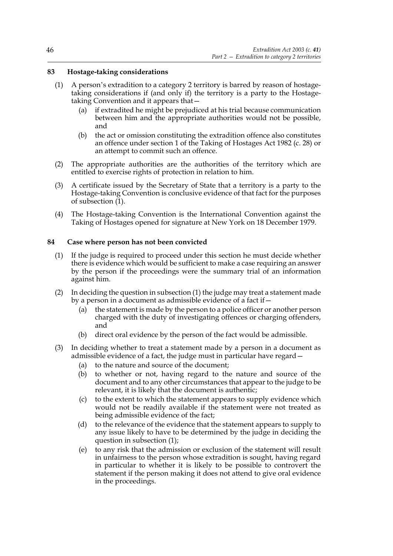### **83 Hostage-taking considerations**

- (1) A person's extradition to a category 2 territory is barred by reason of hostagetaking considerations if (and only if) the territory is a party to the Hostagetaking Convention and it appears that—
	- (a) if extradited he might be prejudiced at his trial because communication between him and the appropriate authorities would not be possible, and
	- (b) the act or omission constituting the extradition offence also constitutes an offence under section 1 of the Taking of Hostages Act 1982 (c. 28) or an attempt to commit such an offence.
- (2) The appropriate authorities are the authorities of the territory which are entitled to exercise rights of protection in relation to him.
- (3) A certificate issued by the Secretary of State that a territory is a party to the Hostage-taking Convention is conclusive evidence of that fact for the purposes of subsection  $(1)$ .
- (4) The Hostage-taking Convention is the International Convention against the Taking of Hostages opened for signature at New York on 18 December 1979.

### **84 Case where person has not been convicted**

- (1) If the judge is required to proceed under this section he must decide whether there is evidence which would be sufficient to make a case requiring an answer by the person if the proceedings were the summary trial of an information against him.
- (2) In deciding the question in subsection (1) the judge may treat a statement made by a person in a document as admissible evidence of a fact if—
	- (a) the statement is made by the person to a police officer or another person charged with the duty of investigating offences or charging offenders, and
	- (b) direct oral evidence by the person of the fact would be admissible.
- (3) In deciding whether to treat a statement made by a person in a document as admissible evidence of a fact, the judge must in particular have regard—
	- (a) to the nature and source of the document;
	- (b) to whether or not, having regard to the nature and source of the document and to any other circumstances that appear to the judge to be relevant, it is likely that the document is authentic;
	- (c) to the extent to which the statement appears to supply evidence which would not be readily available if the statement were not treated as being admissible evidence of the fact;
	- (d) to the relevance of the evidence that the statement appears to supply to any issue likely to have to be determined by the judge in deciding the question in subsection (1);
	- (e) to any risk that the admission or exclusion of the statement will result in unfairness to the person whose extradition is sought, having regard in particular to whether it is likely to be possible to controvert the statement if the person making it does not attend to give oral evidence in the proceedings.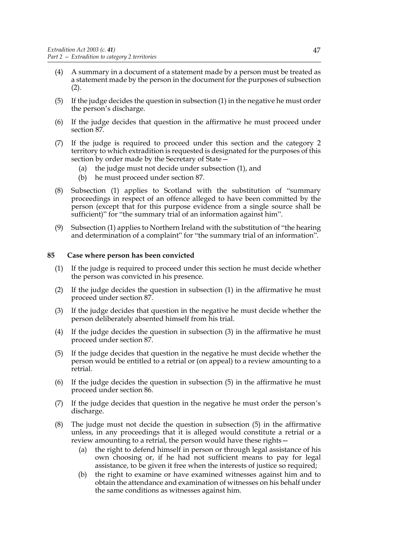- (4) A summary in a document of a statement made by a person must be treated as a statement made by the person in the document for the purposes of subsection  $(2).$
- (5) If the judge decides the question in subsection (1) in the negative he must order the person's discharge.
- (6) If the judge decides that question in the affirmative he must proceed under section 87.
- (7) If the judge is required to proceed under this section and the category 2 territory to which extradition is requested is designated for the purposes of this section by order made by the Secretary of State—
	- (a) the judge must not decide under subsection (1), and
	- (b) he must proceed under section 87.
- (8) Subsection (1) applies to Scotland with the substitution of "summary proceedings in respect of an offence alleged to have been committed by the person (except that for this purpose evidence from a single source shall be sufficient)" for "the summary trial of an information against him".
- (9) Subsection (1) applies to Northern Ireland with the substitution of "the hearing and determination of a complaint" for "the summary trial of an information".

#### **85 Case where person has been convicted**

- (1) If the judge is required to proceed under this section he must decide whether the person was convicted in his presence.
- (2) If the judge decides the question in subsection (1) in the affirmative he must proceed under section 87.
- (3) If the judge decides that question in the negative he must decide whether the person deliberately absented himself from his trial.
- (4) If the judge decides the question in subsection (3) in the affirmative he must proceed under section 87.
- (5) If the judge decides that question in the negative he must decide whether the person would be entitled to a retrial or (on appeal) to a review amounting to a retrial.
- (6) If the judge decides the question in subsection (5) in the affirmative he must proceed under section 86.
- (7) If the judge decides that question in the negative he must order the person's discharge.
- (8) The judge must not decide the question in subsection (5) in the affirmative unless, in any proceedings that it is alleged would constitute a retrial or a review amounting to a retrial, the person would have these rights—
	- (a) the right to defend himself in person or through legal assistance of his own choosing or, if he had not sufficient means to pay for legal assistance, to be given it free when the interests of justice so required;
	- (b) the right to examine or have examined witnesses against him and to obtain the attendance and examination of witnesses on his behalf under the same conditions as witnesses against him.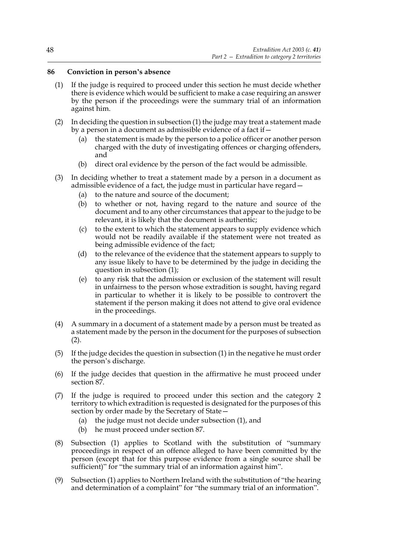### **86 Conviction in person's absence**

- (1) If the judge is required to proceed under this section he must decide whether there is evidence which would be sufficient to make a case requiring an answer by the person if the proceedings were the summary trial of an information against him.
- (2) In deciding the question in subsection (1) the judge may treat a statement made by a person in a document as admissible evidence of a fact if—
	- (a) the statement is made by the person to a police officer or another person charged with the duty of investigating offences or charging offenders, and
	- (b) direct oral evidence by the person of the fact would be admissible.
- (3) In deciding whether to treat a statement made by a person in a document as admissible evidence of a fact, the judge must in particular have regard—
	- (a) to the nature and source of the document;
	- (b) to whether or not, having regard to the nature and source of the document and to any other circumstances that appear to the judge to be relevant, it is likely that the document is authentic;
	- (c) to the extent to which the statement appears to supply evidence which would not be readily available if the statement were not treated as being admissible evidence of the fact;
	- (d) to the relevance of the evidence that the statement appears to supply to any issue likely to have to be determined by the judge in deciding the question in subsection (1);
	- (e) to any risk that the admission or exclusion of the statement will result in unfairness to the person whose extradition is sought, having regard in particular to whether it is likely to be possible to controvert the statement if the person making it does not attend to give oral evidence in the proceedings.
- (4) A summary in a document of a statement made by a person must be treated as a statement made by the person in the document for the purposes of subsection  $(2).$
- (5) If the judge decides the question in subsection (1) in the negative he must order the person's discharge.
- (6) If the judge decides that question in the affirmative he must proceed under section 87.
- (7) If the judge is required to proceed under this section and the category 2 territory to which extradition is requested is designated for the purposes of this section by order made by the Secretary of State -
	- (a) the judge must not decide under subsection (1), and
	- (b) he must proceed under section 87.
- (8) Subsection (1) applies to Scotland with the substitution of "summary proceedings in respect of an offence alleged to have been committed by the person (except that for this purpose evidence from a single source shall be sufficient)" for "the summary trial of an information against him".
- (9) Subsection (1) applies to Northern Ireland with the substitution of "the hearing and determination of a complaint" for "the summary trial of an information".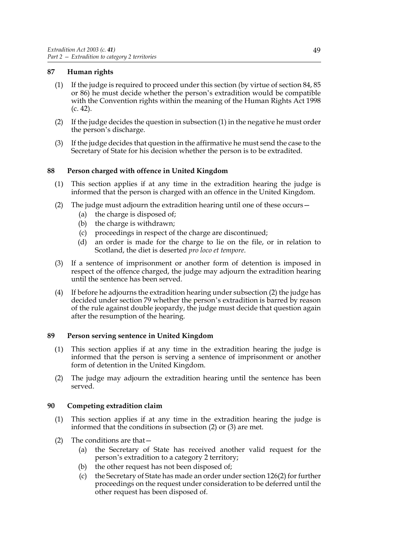# **87 Human rights**

- (1) If the judge is required to proceed under this section (by virtue of section 84, 85 or 86) he must decide whether the person's extradition would be compatible with the Convention rights within the meaning of the Human Rights Act 1998 (c. 42).
- (2) If the judge decides the question in subsection (1) in the negative he must order the person's discharge.
- (3) If the judge decides that question in the affirmative he must send the case to the Secretary of State for his decision whether the person is to be extradited.

# **88 Person charged with offence in United Kingdom**

- (1) This section applies if at any time in the extradition hearing the judge is informed that the person is charged with an offence in the United Kingdom.
- (2) The judge must adjourn the extradition hearing until one of these occurs—
	- (a) the charge is disposed of;
	- (b) the charge is withdrawn;
	- (c) proceedings in respect of the charge are discontinued;
	- (d) an order is made for the charge to lie on the file, or in relation to Scotland, the diet is deserted *pro loco et tempore*.
- (3) If a sentence of imprisonment or another form of detention is imposed in respect of the offence charged, the judge may adjourn the extradition hearing until the sentence has been served.
- (4) If before he adjourns the extradition hearing under subsection (2) the judge has decided under section 79 whether the person's extradition is barred by reason of the rule against double jeopardy, the judge must decide that question again after the resumption of the hearing.

### **89 Person serving sentence in United Kingdom**

- (1) This section applies if at any time in the extradition hearing the judge is informed that the person is serving a sentence of imprisonment or another form of detention in the United Kingdom.
- (2) The judge may adjourn the extradition hearing until the sentence has been served.

### **90 Competing extradition claim**

- (1) This section applies if at any time in the extradition hearing the judge is informed that the conditions in subsection (2) or (3) are met.
- (2) The conditions are that—
	- (a) the Secretary of State has received another valid request for the person's extradition to a category 2 territory;
	- (b) the other request has not been disposed of;
	- (c) the Secretary of State has made an order under section 126(2) for further proceedings on the request under consideration to be deferred until the other request has been disposed of.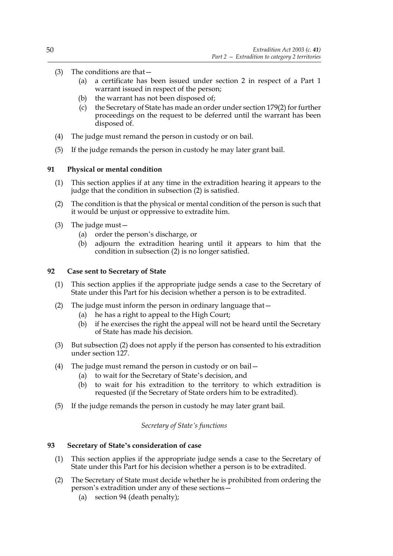- (3) The conditions are that—
	- (a) a certificate has been issued under section 2 in respect of a Part 1 warrant issued in respect of the person;
	- (b) the warrant has not been disposed of;
	- (c) the Secretary of State has made an order under section 179(2) for further proceedings on the request to be deferred until the warrant has been disposed of.
- (4) The judge must remand the person in custody or on bail.
- (5) If the judge remands the person in custody he may later grant bail.

# **91 Physical or mental condition**

- (1) This section applies if at any time in the extradition hearing it appears to the judge that the condition in subsection (2) is satisfied.
- (2) The condition is that the physical or mental condition of the person is such that it would be unjust or oppressive to extradite him.
- (3) The judge must—
	- (a) order the person's discharge, or
	- (b) adjourn the extradition hearing until it appears to him that the condition in subsection (2) is no longer satisfied.

### **92 Case sent to Secretary of State**

- (1) This section applies if the appropriate judge sends a case to the Secretary of State under this Part for his decision whether a person is to be extradited.
- (2) The judge must inform the person in ordinary language that—
	- (a) he has a right to appeal to the High Court;
	- (b) if he exercises the right the appeal will not be heard until the Secretary of State has made his decision.
- (3) But subsection (2) does not apply if the person has consented to his extradition under section 127.
- (4) The judge must remand the person in custody or on bail—
	- (a) to wait for the Secretary of State's decision, and
	- (b) to wait for his extradition to the territory to which extradition is requested (if the Secretary of State orders him to be extradited).
- (5) If the judge remands the person in custody he may later grant bail.

*Secretary of State's functions*

### **93 Secretary of State's consideration of case**

- (1) This section applies if the appropriate judge sends a case to the Secretary of State under this Part for his decision whether a person is to be extradited.
- (2) The Secretary of State must decide whether he is prohibited from ordering the person's extradition under any of these sections—
	- (a) section 94 (death penalty);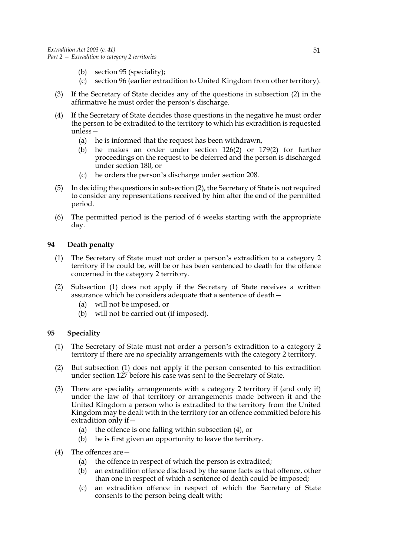- (b) section 95 (speciality);
- (c) section 96 (earlier extradition to United Kingdom from other territory).
- (3) If the Secretary of State decides any of the questions in subsection (2) in the affirmative he must order the person's discharge.
- (4) If the Secretary of State decides those questions in the negative he must order the person to be extradited to the territory to which his extradition is requested unless—
	- (a) he is informed that the request has been withdrawn,
	- (b) he makes an order under section 126(2) or 179(2) for further proceedings on the request to be deferred and the person is discharged under section 180, or
	- (c) he orders the person's discharge under section 208.
- (5) In deciding the questions in subsection (2), the Secretary of State is not required to consider any representations received by him after the end of the permitted period.
- (6) The permitted period is the period of 6 weeks starting with the appropriate day.

### **94 Death penalty**

- (1) The Secretary of State must not order a person's extradition to a category 2 territory if he could be, will be or has been sentenced to death for the offence concerned in the category 2 territory.
- (2) Subsection (1) does not apply if the Secretary of State receives a written assurance which he considers adequate that a sentence of death—
	- (a) will not be imposed, or
	- (b) will not be carried out (if imposed).

### **95 Speciality**

- (1) The Secretary of State must not order a person's extradition to a category 2 territory if there are no speciality arrangements with the category 2 territory.
- (2) But subsection (1) does not apply if the person consented to his extradition under section 127 before his case was sent to the Secretary of State.
- (3) There are speciality arrangements with a category 2 territory if (and only if) under the law of that territory or arrangements made between it and the United Kingdom a person who is extradited to the territory from the United Kingdom may be dealt with in the territory for an offence committed before his extradition only if—
	- (a) the offence is one falling within subsection (4), or
	- (b) he is first given an opportunity to leave the territory.
- (4) The offences are—
	- (a) the offence in respect of which the person is extradited;
	- (b) an extradition offence disclosed by the same facts as that offence, other than one in respect of which a sentence of death could be imposed;
	- (c) an extradition offence in respect of which the Secretary of State consents to the person being dealt with;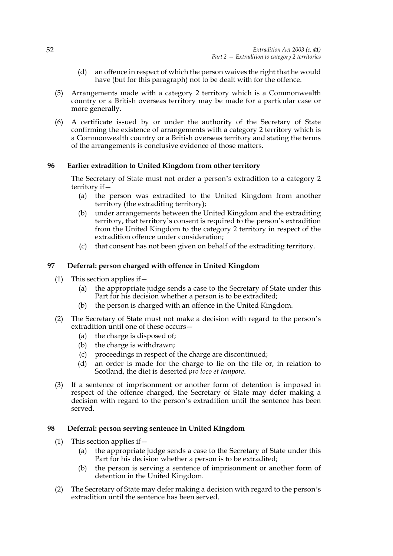- (d) an offence in respect of which the person waives the right that he would have (but for this paragraph) not to be dealt with for the offence.
- (5) Arrangements made with a category 2 territory which is a Commonwealth country or a British overseas territory may be made for a particular case or more generally.
- (6) A certificate issued by or under the authority of the Secretary of State confirming the existence of arrangements with a category 2 territory which is a Commonwealth country or a British overseas territory and stating the terms of the arrangements is conclusive evidence of those matters.

### **96 Earlier extradition to United Kingdom from other territory**

The Secretary of State must not order a person's extradition to a category 2 territory if—

- (a) the person was extradited to the United Kingdom from another territory (the extraditing territory);
- (b) under arrangements between the United Kingdom and the extraditing territory, that territory's consent is required to the person's extradition from the United Kingdom to the category 2 territory in respect of the extradition offence under consideration;
- (c) that consent has not been given on behalf of the extraditing territory.

# **97 Deferral: person charged with offence in United Kingdom**

- (1) This section applies if  $-$ 
	- (a) the appropriate judge sends a case to the Secretary of State under this Part for his decision whether a person is to be extradited;
	- (b) the person is charged with an offence in the United Kingdom.
- (2) The Secretary of State must not make a decision with regard to the person's extradition until one of these occurs—
	- (a) the charge is disposed of;
	- (b) the charge is withdrawn;
	- (c) proceedings in respect of the charge are discontinued;
	- (d) an order is made for the charge to lie on the file or, in relation to Scotland, the diet is deserted *pro loco et tempore*.
- (3) If a sentence of imprisonment or another form of detention is imposed in respect of the offence charged, the Secretary of State may defer making a decision with regard to the person's extradition until the sentence has been served.

### **98 Deferral: person serving sentence in United Kingdom**

- (1) This section applies if  $-$ 
	- (a) the appropriate judge sends a case to the Secretary of State under this Part for his decision whether a person is to be extradited;
	- (b) the person is serving a sentence of imprisonment or another form of detention in the United Kingdom.
- (2) The Secretary of State may defer making a decision with regard to the person's extradition until the sentence has been served.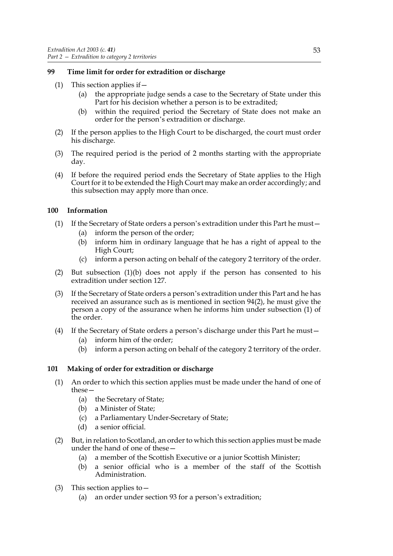# **99 Time limit for order for extradition or discharge**

- (1) This section applies if  $-$ 
	- (a) the appropriate judge sends a case to the Secretary of State under this Part for his decision whether a person is to be extradited;
	- (b) within the required period the Secretary of State does not make an order for the person's extradition or discharge.
- (2) If the person applies to the High Court to be discharged, the court must order his discharge.
- (3) The required period is the period of 2 months starting with the appropriate day.
- (4) If before the required period ends the Secretary of State applies to the High Court for it to be extended the High Court may make an order accordingly; and this subsection may apply more than once.

### **100 Information**

- (1) If the Secretary of State orders a person's extradition under this Part he must—
	- (a) inform the person of the order;
	- (b) inform him in ordinary language that he has a right of appeal to the High Court;
	- (c) inform a person acting on behalf of the category 2 territory of the order.
- (2) But subsection (1)(b) does not apply if the person has consented to his extradition under section 127.
- (3) If the Secretary of State orders a person's extradition under this Part and he has received an assurance such as is mentioned in section 94(2), he must give the person a copy of the assurance when he informs him under subsection (1) of the order.
- (4) If the Secretary of State orders a person's discharge under this Part he must—
	- (a) inform him of the order;
	- (b) inform a person acting on behalf of the category 2 territory of the order.

### **101 Making of order for extradition or discharge**

- (1) An order to which this section applies must be made under the hand of one of these—
	- (a) the Secretary of State;
	- (b) a Minister of State;
	- (c) a Parliamentary Under-Secretary of State;
	- (d) a senior official.
- (2) But, in relation to Scotland, an order to which this section applies must be made under the hand of one of these—
	- (a) a member of the Scottish Executive or a junior Scottish Minister;
	- (b) a senior official who is a member of the staff of the Scottish Administration.
- (3) This section applies to  $-$ 
	- (a) an order under section 93 for a person's extradition;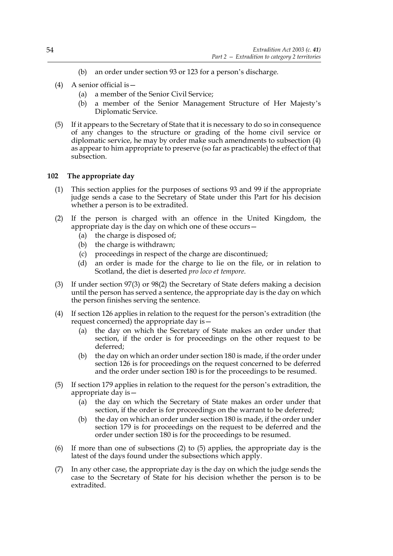- (b) an order under section 93 or 123 for a person's discharge.
- (4) A senior official is—
	- (a) a member of the Senior Civil Service;
	- (b) a member of the Senior Management Structure of Her Majesty's Diplomatic Service.
- (5) If it appears to the Secretary of State that it is necessary to do so in consequence of any changes to the structure or grading of the home civil service or diplomatic service, he may by order make such amendments to subsection (4) as appear to him appropriate to preserve (so far as practicable) the effect of that subsection.

### **102 The appropriate day**

- (1) This section applies for the purposes of sections 93 and 99 if the appropriate judge sends a case to the Secretary of State under this Part for his decision whether a person is to be extradited.
- (2) If the person is charged with an offence in the United Kingdom, the appropriate day is the day on which one of these occurs—
	- (a) the charge is disposed of;
	- (b) the charge is withdrawn;
	- (c) proceedings in respect of the charge are discontinued;
	- (d) an order is made for the charge to lie on the file, or in relation to Scotland, the diet is deserted *pro loco et tempore*.
- (3) If under section 97(3) or 98(2) the Secretary of State defers making a decision until the person has served a sentence, the appropriate day is the day on which the person finishes serving the sentence.
- (4) If section 126 applies in relation to the request for the person's extradition (the request concerned) the appropriate day is—
	- (a) the day on which the Secretary of State makes an order under that section, if the order is for proceedings on the other request to be deferred;
	- (b) the day on which an order under section 180 is made, if the order under section 126 is for proceedings on the request concerned to be deferred and the order under section 180 is for the proceedings to be resumed.
- (5) If section 179 applies in relation to the request for the person's extradition, the appropriate day is—
	- (a) the day on which the Secretary of State makes an order under that section, if the order is for proceedings on the warrant to be deferred;
	- (b) the day on which an order under section 180 is made, if the order under section 179 is for proceedings on the request to be deferred and the order under section 180 is for the proceedings to be resumed.
- (6) If more than one of subsections (2) to (5) applies, the appropriate day is the latest of the days found under the subsections which apply.
- (7) In any other case, the appropriate day is the day on which the judge sends the case to the Secretary of State for his decision whether the person is to be extradited.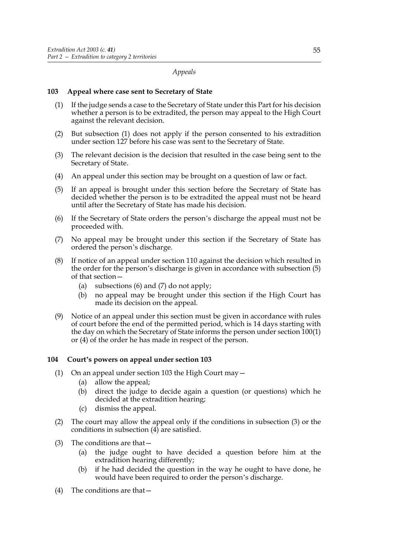#### *Appeals*

### **103 Appeal where case sent to Secretary of State**

- (1) If the judge sends a case to the Secretary of State under this Part for his decision whether a person is to be extradited, the person may appeal to the High Court against the relevant decision.
- (2) But subsection (1) does not apply if the person consented to his extradition under section 127 before his case was sent to the Secretary of State.
- (3) The relevant decision is the decision that resulted in the case being sent to the Secretary of State.
- (4) An appeal under this section may be brought on a question of law or fact.
- (5) If an appeal is brought under this section before the Secretary of State has decided whether the person is to be extradited the appeal must not be heard until after the Secretary of State has made his decision.
- (6) If the Secretary of State orders the person's discharge the appeal must not be proceeded with.
- (7) No appeal may be brought under this section if the Secretary of State has ordered the person's discharge.
- (8) If notice of an appeal under section 110 against the decision which resulted in the order for the person's discharge is given in accordance with subsection (5) of that section—
	- (a) subsections (6) and (7) do not apply;
	- (b) no appeal may be brought under this section if the High Court has made its decision on the appeal.
- (9) Notice of an appeal under this section must be given in accordance with rules of court before the end of the permitted period, which is 14 days starting with the day on which the Secretary of State informs the person under section 100(1) or (4) of the order he has made in respect of the person.

### **104 Court's powers on appeal under section 103**

- (1) On an appeal under section 103 the High Court may—
	- (a) allow the appeal;
	- (b) direct the judge to decide again a question (or questions) which he decided at the extradition hearing;
	- (c) dismiss the appeal.
- (2) The court may allow the appeal only if the conditions in subsection (3) or the conditions in subsection (4) are satisfied.
- (3) The conditions are that—
	- (a) the judge ought to have decided a question before him at the extradition hearing differently;
	- (b) if he had decided the question in the way he ought to have done, he would have been required to order the person's discharge.
- (4) The conditions are that—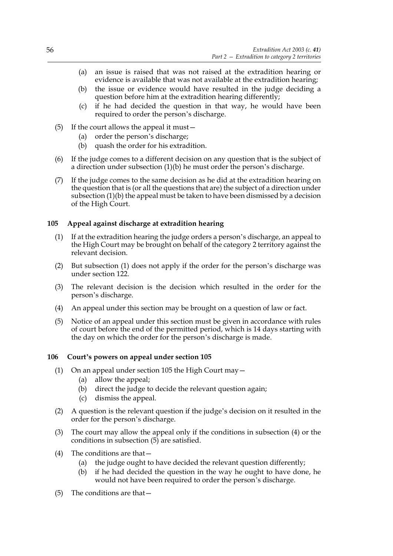- (a) an issue is raised that was not raised at the extradition hearing or evidence is available that was not available at the extradition hearing;
- (b) the issue or evidence would have resulted in the judge deciding a question before him at the extradition hearing differently;
- (c) if he had decided the question in that way, he would have been required to order the person's discharge.
- (5) If the court allows the appeal it must—
	- (a) order the person's discharge;
	- (b) quash the order for his extradition.
- (6) If the judge comes to a different decision on any question that is the subject of a direction under subsection (1)(b) he must order the person's discharge.
- (7) If the judge comes to the same decision as he did at the extradition hearing on the question that is (or all the questions that are) the subject of a direction under subsection  $(1)(b)$  the appeal must be taken to have been dismissed by a decision of the High Court.

# **105 Appeal against discharge at extradition hearing**

- (1) If at the extradition hearing the judge orders a person's discharge, an appeal to the High Court may be brought on behalf of the category 2 territory against the relevant decision.
- (2) But subsection (1) does not apply if the order for the person's discharge was under section 122.
- (3) The relevant decision is the decision which resulted in the order for the person's discharge.
- (4) An appeal under this section may be brought on a question of law or fact.
- (5) Notice of an appeal under this section must be given in accordance with rules of court before the end of the permitted period, which is 14 days starting with the day on which the order for the person's discharge is made.

### **106 Court's powers on appeal under section 105**

- (1) On an appeal under section 105 the High Court may—
	- (a) allow the appeal;
	- (b) direct the judge to decide the relevant question again;
	- (c) dismiss the appeal.
- (2) A question is the relevant question if the judge's decision on it resulted in the order for the person's discharge.
- (3) The court may allow the appeal only if the conditions in subsection (4) or the conditions in subsection (5) are satisfied.
- (4) The conditions are that—
	- (a) the judge ought to have decided the relevant question differently;
	- (b) if he had decided the question in the way he ought to have done, he would not have been required to order the person's discharge.
- (5) The conditions are that—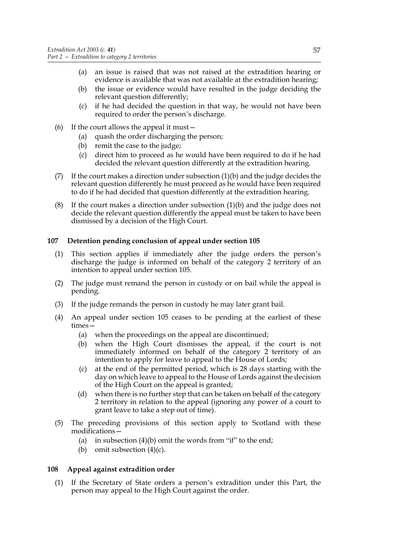- (a) an issue is raised that was not raised at the extradition hearing or evidence is available that was not available at the extradition hearing;
- (b) the issue or evidence would have resulted in the judge deciding the relevant question differently;
- (c) if he had decided the question in that way, he would not have been required to order the person's discharge.
- (6) If the court allows the appeal it must—
	- (a) quash the order discharging the person;
	- (b) remit the case to the judge;
	- (c) direct him to proceed as he would have been required to do if he had decided the relevant question differently at the extradition hearing.
- $(7)$  If the court makes a direction under subsection  $(1)(b)$  and the judge decides the relevant question differently he must proceed as he would have been required to do if he had decided that question differently at the extradition hearing.
- (8) If the court makes a direction under subsection (1)(b) and the judge does not decide the relevant question differently the appeal must be taken to have been dismissed by a decision of the High Court.

### **107 Detention pending conclusion of appeal under section 105**

- (1) This section applies if immediately after the judge orders the person's discharge the judge is informed on behalf of the category 2 territory of an intention to appeal under section 105.
- (2) The judge must remand the person in custody or on bail while the appeal is pending.
- (3) If the judge remands the person in custody he may later grant bail.
- (4) An appeal under section 105 ceases to be pending at the earliest of these times—
	- (a) when the proceedings on the appeal are discontinued;
	- (b) when the High Court dismisses the appeal, if the court is not immediately informed on behalf of the category 2 territory of an intention to apply for leave to appeal to the House of Lords;
	- (c) at the end of the permitted period, which is 28 days starting with the day on which leave to appeal to the House of Lords against the decision of the High Court on the appeal is granted;
	- (d) when there is no further step that can be taken on behalf of the category 2 territory in relation to the appeal (ignoring any power of a court to grant leave to take a step out of time).
- (5) The preceding provisions of this section apply to Scotland with these modifications—
	- (a) in subsection  $(4)(b)$  omit the words from "if" to the end;
	- (b) omit subsection  $(4)(c)$ .

### **108 Appeal against extradition order**

(1) If the Secretary of State orders a person's extradition under this Part, the person may appeal to the High Court against the order.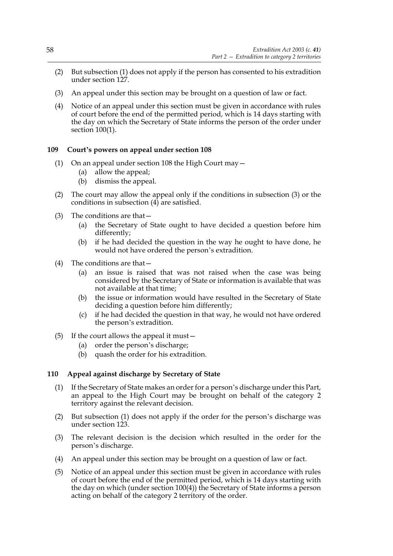- (2) But subsection (1) does not apply if the person has consented to his extradition under section 127.
- (3) An appeal under this section may be brought on a question of law or fact.
- (4) Notice of an appeal under this section must be given in accordance with rules of court before the end of the permitted period, which is 14 days starting with the day on which the Secretary of State informs the person of the order under section 100(1).

# **109 Court's powers on appeal under section 108**

- (1) On an appeal under section 108 the High Court may—
	- (a) allow the appeal;
	- (b) dismiss the appeal.
- (2) The court may allow the appeal only if the conditions in subsection (3) or the conditions in subsection (4) are satisfied.
- (3) The conditions are that—
	- (a) the Secretary of State ought to have decided a question before him differently;
	- (b) if he had decided the question in the way he ought to have done, he would not have ordered the person's extradition.
- (4) The conditions are that—
	- (a) an issue is raised that was not raised when the case was being considered by the Secretary of State or information is available that was not available at that time;
	- (b) the issue or information would have resulted in the Secretary of State deciding a question before him differently;
	- (c) if he had decided the question in that way, he would not have ordered the person's extradition.
- (5) If the court allows the appeal it must—
	- (a) order the person's discharge;
	- (b) quash the order for his extradition.

### **110 Appeal against discharge by Secretary of State**

- (1) If the Secretary of State makes an order for a person's discharge under this Part, an appeal to the High Court may be brought on behalf of the category 2 territory against the relevant decision.
- (2) But subsection (1) does not apply if the order for the person's discharge was under section 123.
- (3) The relevant decision is the decision which resulted in the order for the person's discharge.
- (4) An appeal under this section may be brought on a question of law or fact.
- (5) Notice of an appeal under this section must be given in accordance with rules of court before the end of the permitted period, which is 14 days starting with the day on which (under section 100(4)) the Secretary of State informs a person acting on behalf of the category 2 territory of the order.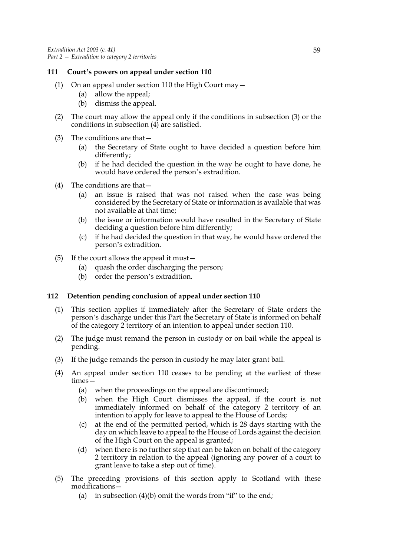# **111 Court's powers on appeal under section 110**

- (1) On an appeal under section 110 the High Court may—
	- (a) allow the appeal;
	- (b) dismiss the appeal.
- (2) The court may allow the appeal only if the conditions in subsection (3) or the conditions in subsection (4) are satisfied.
- (3) The conditions are that—
	- (a) the Secretary of State ought to have decided a question before him differently;
	- (b) if he had decided the question in the way he ought to have done, he would have ordered the person's extradition.
- (4) The conditions are that—
	- (a) an issue is raised that was not raised when the case was being considered by the Secretary of State or information is available that was not available at that time;
	- (b) the issue or information would have resulted in the Secretary of State deciding a question before him differently;
	- (c) if he had decided the question in that way, he would have ordered the person's extradition.
- (5) If the court allows the appeal it must—
	- (a) quash the order discharging the person;
	- (b) order the person's extradition.

### **112 Detention pending conclusion of appeal under section 110**

- (1) This section applies if immediately after the Secretary of State orders the person's discharge under this Part the Secretary of State is informed on behalf of the category 2 territory of an intention to appeal under section 110.
- (2) The judge must remand the person in custody or on bail while the appeal is pending.
- (3) If the judge remands the person in custody he may later grant bail.
- (4) An appeal under section 110 ceases to be pending at the earliest of these times—
	- (a) when the proceedings on the appeal are discontinued;
	- (b) when the High Court dismisses the appeal, if the court is not immediately informed on behalf of the category 2 territory of an intention to apply for leave to appeal to the House of Lords;
	- (c) at the end of the permitted period, which is 28 days starting with the day on which leave to appeal to the House of Lords against the decision of the High Court on the appeal is granted;
	- (d) when there is no further step that can be taken on behalf of the category 2 territory in relation to the appeal (ignoring any power of a court to grant leave to take a step out of time).
- (5) The preceding provisions of this section apply to Scotland with these modifications—
	- (a) in subsection  $(4)(b)$  omit the words from "if" to the end;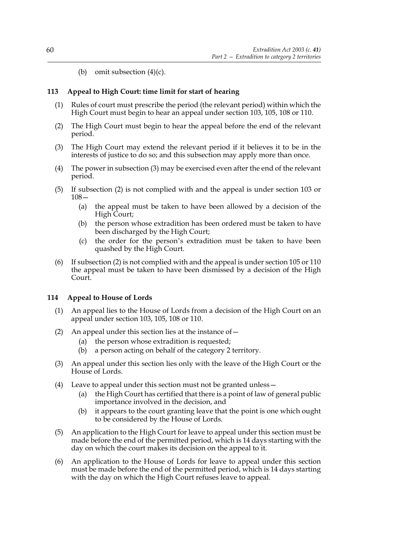(b) omit subsection  $(4)(c)$ .

### **113 Appeal to High Court: time limit for start of hearing**

- (1) Rules of court must prescribe the period (the relevant period) within which the High Court must begin to hear an appeal under section 103, 105, 108 or 110.
- (2) The High Court must begin to hear the appeal before the end of the relevant period.
- (3) The High Court may extend the relevant period if it believes it to be in the interests of justice to do so; and this subsection may apply more than once.
- (4) The power in subsection (3) may be exercised even after the end of the relevant period.
- (5) If subsection (2) is not complied with and the appeal is under section 103 or  $108 -$ 
	- (a) the appeal must be taken to have been allowed by a decision of the High Court;
	- (b) the person whose extradition has been ordered must be taken to have been discharged by the High Court;
	- (c) the order for the person's extradition must be taken to have been quashed by the High Court.
- (6) If subsection (2) is not complied with and the appeal is under section 105 or 110 the appeal must be taken to have been dismissed by a decision of the High Court.

#### **114 Appeal to House of Lords**

- (1) An appeal lies to the House of Lords from a decision of the High Court on an appeal under section 103, 105, 108 or 110.
- (2) An appeal under this section lies at the instance of  $-$ 
	- (a) the person whose extradition is requested;
	- (b) a person acting on behalf of the category 2 territory.
- (3) An appeal under this section lies only with the leave of the High Court or the House of Lords.
- (4) Leave to appeal under this section must not be granted unless—
	- (a) the High Court has certified that there is a point of law of general public importance involved in the decision, and
	- (b) it appears to the court granting leave that the point is one which ought to be considered by the House of Lords.
- (5) An application to the High Court for leave to appeal under this section must be made before the end of the permitted period, which is 14 days starting with the day on which the court makes its decision on the appeal to it.
- (6) An application to the House of Lords for leave to appeal under this section must be made before the end of the permitted period, which is 14 days starting with the day on which the High Court refuses leave to appeal.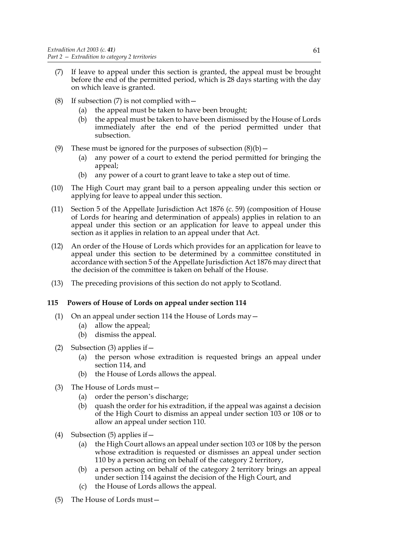- (7) If leave to appeal under this section is granted, the appeal must be brought before the end of the permitted period, which is 28 days starting with the day on which leave is granted.
- (8) If subsection  $(7)$  is not complied with  $-$ 
	- (a) the appeal must be taken to have been brought;
	- (b) the appeal must be taken to have been dismissed by the House of Lords immediately after the end of the period permitted under that subsection.
- (9) These must be ignored for the purposes of subsection  $(8)(b)$ 
	- (a) any power of a court to extend the period permitted for bringing the appeal;
	- (b) any power of a court to grant leave to take a step out of time.
- (10) The High Court may grant bail to a person appealing under this section or applying for leave to appeal under this section.
- (11) Section 5 of the Appellate Jurisdiction Act 1876 (c. 59) (composition of House of Lords for hearing and determination of appeals) applies in relation to an appeal under this section or an application for leave to appeal under this section as it applies in relation to an appeal under that Act.
- (12) An order of the House of Lords which provides for an application for leave to appeal under this section to be determined by a committee constituted in accordance with section 5 of the Appellate Jurisdiction Act 1876 may direct that the decision of the committee is taken on behalf of the House.
- (13) The preceding provisions of this section do not apply to Scotland.

# **115 Powers of House of Lords on appeal under section 114**

- (1) On an appeal under section 114 the House of Lords may—
	- (a) allow the appeal;
	- (b) dismiss the appeal.
- (2) Subsection (3) applies if  $-$ 
	- (a) the person whose extradition is requested brings an appeal under section 114, and
	- (b) the House of Lords allows the appeal.
- (3) The House of Lords must—
	- (a) order the person's discharge;
	- (b) quash the order for his extradition, if the appeal was against a decision of the High Court to dismiss an appeal under section 103 or 108 or to allow an appeal under section 110.
- (4) Subsection (5) applies if—
	- (a) the High Court allows an appeal under section 103 or 108 by the person whose extradition is requested or dismisses an appeal under section 110 by a person acting on behalf of the category 2 territory,
	- (b) a person acting on behalf of the category 2 territory brings an appeal under section 114 against the decision of the High Court, and
	- (c) the House of Lords allows the appeal.
- (5) The House of Lords must—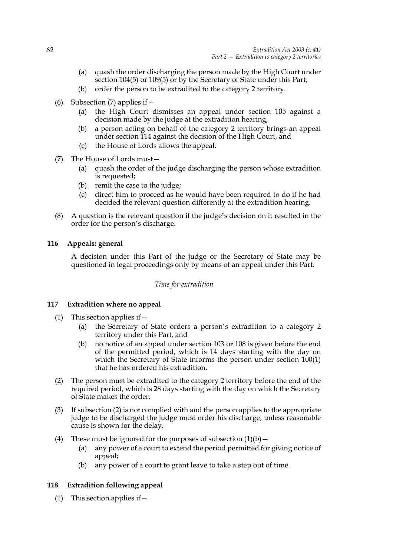- (a) quash the order discharging the person made by the High Court under section 104(5) or 109(5) or by the Secretary of State under this Part;
- (b) order the person to be extradited to the category 2 territory.
- (6) Subsection (7) applies if  $-$ 
	- (a) the High Court dismisses an appeal under section 105 against a decision made by the judge at the extradition hearing,
	- (b) a person acting on behalf of the category 2 territory brings an appeal under section 114 against the decision of the High Court, and
	- (c) the House of Lords allows the appeal.
- (7) The House of Lords must—
	- (a) quash the order of the judge discharging the person whose extradition is requested;
	- (b) remit the case to the judge;
	- (c) direct him to proceed as he would have been required to do if he had decided the relevant question differently at the extradition hearing.
- (8) A question is the relevant question if the judge's decision on it resulted in the order for the person's discharge.

# **116 Appeals: general**

A decision under this Part of the judge or the Secretary of State may be questioned in legal proceedings only by means of an appeal under this Part.

### *Time for extradition*

### **117 Extradition where no appeal**

- (1) This section applies if  $-$ 
	- (a) the Secretary of State orders a person's extradition to a category 2 territory under this Part, and
	- (b) no notice of an appeal under section 103 or 108 is given before the end of the permitted period, which is 14 days starting with the day on which the Secretary of State informs the person under section  $100(1)$ that he has ordered his extradition.
- (2) The person must be extradited to the category 2 territory before the end of the required period, which is 28 days starting with the day on which the Secretary of State makes the order.
- (3) If subsection (2) is not complied with and the person applies to the appropriate judge to be discharged the judge must order his discharge, unless reasonable cause is shown for the delay.
- (4) These must be ignored for the purposes of subsection  $(1)(b)$ 
	- (a) any power of a court to extend the period permitted for giving notice of appeal;
	- (b) any power of a court to grant leave to take a step out of time.

# **118 Extradition following appeal**

(1) This section applies if  $-$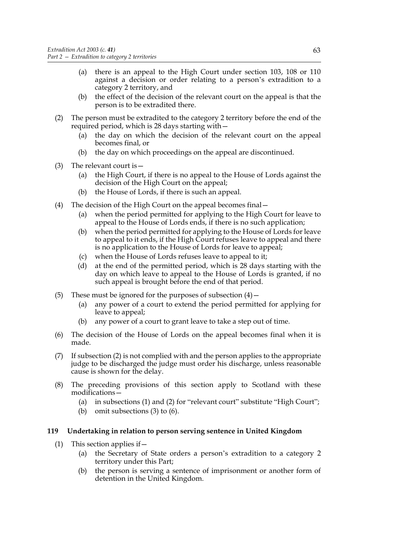- (a) there is an appeal to the High Court under section 103, 108 or 110 against a decision or order relating to a person's extradition to a category 2 territory, and
- (b) the effect of the decision of the relevant court on the appeal is that the person is to be extradited there.
- (2) The person must be extradited to the category 2 territory before the end of the required period, which is 28 days starting with—
	- (a) the day on which the decision of the relevant court on the appeal becomes final, or
	- (b) the day on which proceedings on the appeal are discontinued.
- (3) The relevant court is—
	- (a) the High Court, if there is no appeal to the House of Lords against the decision of the High Court on the appeal;
	- (b) the House of Lords, if there is such an appeal.
- (4) The decision of the High Court on the appeal becomes final—
	- (a) when the period permitted for applying to the High Court for leave to appeal to the House of Lords ends, if there is no such application;
	- (b) when the period permitted for applying to the House of Lords for leave to appeal to it ends, if the High Court refuses leave to appeal and there is no application to the House of Lords for leave to appeal;
	- (c) when the House of Lords refuses leave to appeal to it;
	- (d) at the end of the permitted period, which is 28 days starting with the day on which leave to appeal to the House of Lords is granted, if no such appeal is brought before the end of that period.
- (5) These must be ignored for the purposes of subsection  $(4)$  -
	- (a) any power of a court to extend the period permitted for applying for leave to appeal;
	- (b) any power of a court to grant leave to take a step out of time.
- (6) The decision of the House of Lords on the appeal becomes final when it is made.
- (7) If subsection (2) is not complied with and the person applies to the appropriate judge to be discharged the judge must order his discharge, unless reasonable cause is shown for the delay.
- (8) The preceding provisions of this section apply to Scotland with these modifications—
	- (a) in subsections (1) and (2) for "relevant court" substitute "High Court";
	- (b) omit subsections (3) to (6).

## **119 Undertaking in relation to person serving sentence in United Kingdom**

- (1) This section applies if  $-$ 
	- (a) the Secretary of State orders a person's extradition to a category 2 territory under this Part;
	- (b) the person is serving a sentence of imprisonment or another form of detention in the United Kingdom.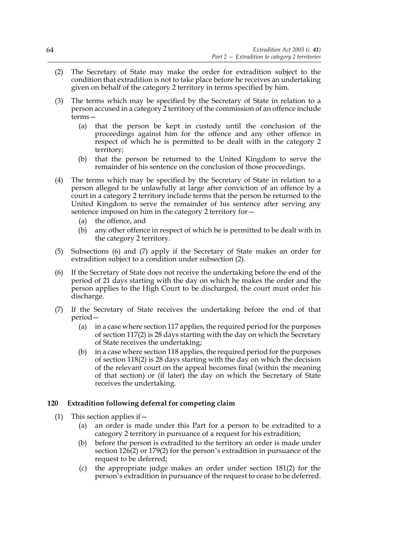- (2) The Secretary of State may make the order for extradition subject to the condition that extradition is not to take place before he receives an undertaking given on behalf of the category 2 territory in terms specified by him.
- (3) The terms which may be specified by the Secretary of State in relation to a person accused in a category 2 territory of the commission of an offence include terms—
	- (a) that the person be kept in custody until the conclusion of the proceedings against him for the offence and any other offence in respect of which he is permitted to be dealt with in the category 2 territory;
	- (b) that the person be returned to the United Kingdom to serve the remainder of his sentence on the conclusion of those proceedings.
- (4) The terms which may be specified by the Secretary of State in relation to a person alleged to be unlawfully at large after conviction of an offence by a court in a category 2 territory include terms that the person be returned to the United Kingdom to serve the remainder of his sentence after serving any sentence imposed on him in the category 2 territory for—
	- (a) the offence, and
	- (b) any other offence in respect of which he is permitted to be dealt with in the category 2 territory.
- (5) Subsections (6) and (7) apply if the Secretary of State makes an order for extradition subject to a condition under subsection (2).
- (6) If the Secretary of State does not receive the undertaking before the end of the period of 21 days starting with the day on which he makes the order and the person applies to the High Court to be discharged, the court must order his discharge.
- (7) If the Secretary of State receives the undertaking before the end of that period—
	- (a) in a case where section 117 applies, the required period for the purposes of section 117(2) is 28 days starting with the day on which the Secretary of State receives the undertaking;
	- (b) in a case where section 118 applies, the required period for the purposes of section 118(2) is 28 days starting with the day on which the decision of the relevant court on the appeal becomes final (within the meaning of that section) or (if later) the day on which the Secretary of State receives the undertaking.

## **120 Extradition following deferral for competing claim**

- (1) This section applies if  $-$ 
	- (a) an order is made under this Part for a person to be extradited to a category 2 territory in pursuance of a request for his extradition;
	- (b) before the person is extradited to the territory an order is made under section 126(2) or 179(2) for the person's extradition in pursuance of the request to be deferred;
	- (c) the appropriate judge makes an order under section 181(2) for the person's extradition in pursuance of the request to cease to be deferred.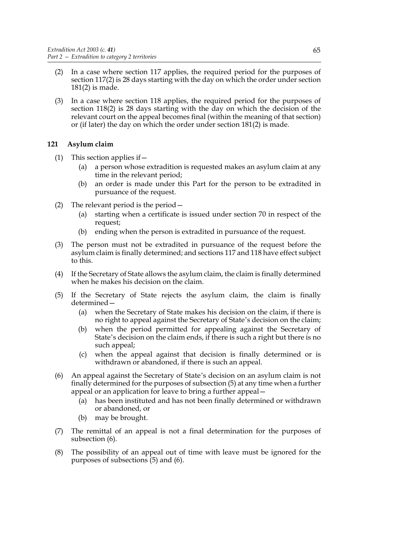- (2) In a case where section 117 applies, the required period for the purposes of section 117(2) is 28 days starting with the day on which the order under section 181(2) is made.
- (3) In a case where section 118 applies, the required period for the purposes of section 118(2) is 28 days starting with the day on which the decision of the relevant court on the appeal becomes final (within the meaning of that section) or (if later) the day on which the order under section 181(2) is made.

# **121 Asylum claim**

- (1) This section applies if  $-$ 
	- (a) a person whose extradition is requested makes an asylum claim at any time in the relevant period;
	- (b) an order is made under this Part for the person to be extradited in pursuance of the request.
- (2) The relevant period is the period—
	- (a) starting when a certificate is issued under section 70 in respect of the request;
	- (b) ending when the person is extradited in pursuance of the request.
- (3) The person must not be extradited in pursuance of the request before the asylum claim is finally determined; and sections 117 and 118 have effect subject to this.
- (4) If the Secretary of State allows the asylum claim, the claim is finally determined when he makes his decision on the claim.
- (5) If the Secretary of State rejects the asylum claim, the claim is finally determined—
	- (a) when the Secretary of State makes his decision on the claim, if there is no right to appeal against the Secretary of State's decision on the claim;
	- (b) when the period permitted for appealing against the Secretary of State's decision on the claim ends, if there is such a right but there is no such appeal;
	- (c) when the appeal against that decision is finally determined or is withdrawn or abandoned, if there is such an appeal.
- (6) An appeal against the Secretary of State's decision on an asylum claim is not finally determined for the purposes of subsection (5) at any time when a further appeal or an application for leave to bring a further appeal—
	- (a) has been instituted and has not been finally determined or withdrawn or abandoned, or
	- (b) may be brought.
- (7) The remittal of an appeal is not a final determination for the purposes of subsection (6).
- (8) The possibility of an appeal out of time with leave must be ignored for the purposes of subsections (5) and (6).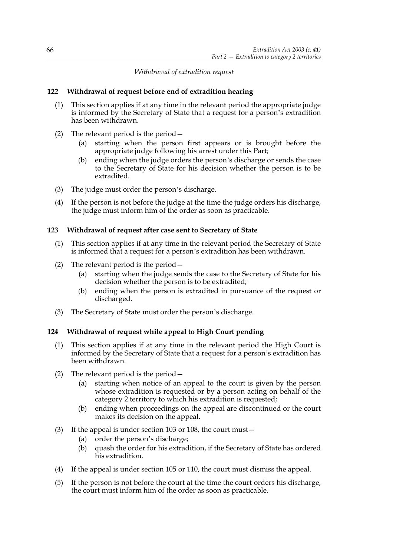*Withdrawal of extradition request*

## **122 Withdrawal of request before end of extradition hearing**

- (1) This section applies if at any time in the relevant period the appropriate judge is informed by the Secretary of State that a request for a person's extradition has been withdrawn.
- (2) The relevant period is the period—
	- (a) starting when the person first appears or is brought before the appropriate judge following his arrest under this Part;
	- (b) ending when the judge orders the person's discharge or sends the case to the Secretary of State for his decision whether the person is to be extradited.
- (3) The judge must order the person's discharge.
- (4) If the person is not before the judge at the time the judge orders his discharge, the judge must inform him of the order as soon as practicable.

## **123 Withdrawal of request after case sent to Secretary of State**

- (1) This section applies if at any time in the relevant period the Secretary of State is informed that a request for a person's extradition has been withdrawn.
- (2) The relevant period is the period—
	- (a) starting when the judge sends the case to the Secretary of State for his decision whether the person is to be extradited;
	- (b) ending when the person is extradited in pursuance of the request or discharged.
- (3) The Secretary of State must order the person's discharge.

## **124 Withdrawal of request while appeal to High Court pending**

- (1) This section applies if at any time in the relevant period the High Court is informed by the Secretary of State that a request for a person's extradition has been withdrawn.
- (2) The relevant period is the period—
	- (a) starting when notice of an appeal to the court is given by the person whose extradition is requested or by a person acting on behalf of the category 2 territory to which his extradition is requested;
	- (b) ending when proceedings on the appeal are discontinued or the court makes its decision on the appeal.
- (3) If the appeal is under section 103 or 108, the court must—
	- (a) order the person's discharge;
	- (b) quash the order for his extradition, if the Secretary of State has ordered his extradition.
- (4) If the appeal is under section 105 or 110, the court must dismiss the appeal.
- (5) If the person is not before the court at the time the court orders his discharge, the court must inform him of the order as soon as practicable.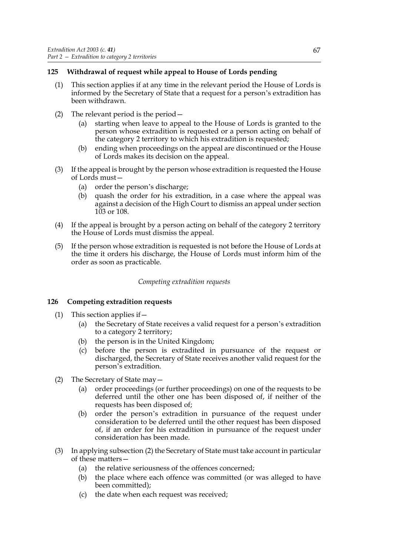# **125 Withdrawal of request while appeal to House of Lords pending**

- (1) This section applies if at any time in the relevant period the House of Lords is informed by the Secretary of State that a request for a person's extradition has been withdrawn.
- (2) The relevant period is the period—
	- (a) starting when leave to appeal to the House of Lords is granted to the person whose extradition is requested or a person acting on behalf of the category 2 territory to which his extradition is requested;
	- (b) ending when proceedings on the appeal are discontinued or the House of Lords makes its decision on the appeal.
- (3) If the appeal is brought by the person whose extradition is requested the House of Lords must—
	- (a) order the person's discharge;
	- (b) quash the order for his extradition, in a case where the appeal was against a decision of the High Court to dismiss an appeal under section 103 or 108.
- (4) If the appeal is brought by a person acting on behalf of the category 2 territory the House of Lords must dismiss the appeal.
- (5) If the person whose extradition is requested is not before the House of Lords at the time it orders his discharge, the House of Lords must inform him of the order as soon as practicable.

## *Competing extradition requests*

# **126 Competing extradition requests**

- (1) This section applies if—
	- (a) the Secretary of State receives a valid request for a person's extradition to a category 2 territory;
	- (b) the person is in the United Kingdom;
	- (c) before the person is extradited in pursuance of the request or discharged, the Secretary of State receives another valid request for the person's extradition.
- (2) The Secretary of State may—
	- (a) order proceedings (or further proceedings) on one of the requests to be deferred until the other one has been disposed of, if neither of the requests has been disposed of;
	- (b) order the person's extradition in pursuance of the request under consideration to be deferred until the other request has been disposed of, if an order for his extradition in pursuance of the request under consideration has been made.
- (3) In applying subsection (2) the Secretary of State must take account in particular of these matters—
	- (a) the relative seriousness of the offences concerned;
	- (b) the place where each offence was committed (or was alleged to have been committed);
	- (c) the date when each request was received;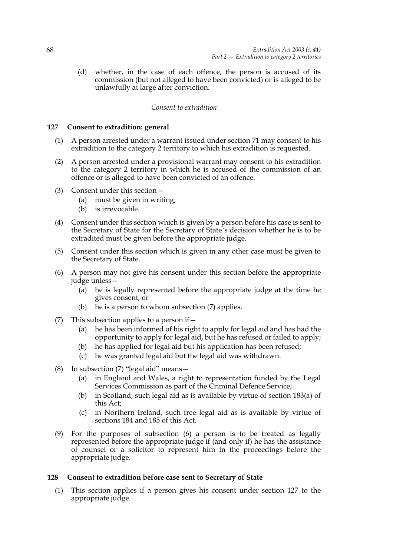(d) whether, in the case of each offence, the person is accused of its commission (but not alleged to have been convicted) or is alleged to be unlawfully at large after conviction.

### *Consent to extradition*

#### **127 Consent to extradition: general**

- (1) A person arrested under a warrant issued under section 71 may consent to his extradition to the category 2 territory to which his extradition is requested.
- (2) A person arrested under a provisional warrant may consent to his extradition to the category 2 territory in which he is accused of the commission of an offence or is alleged to have been convicted of an offence.
- (3) Consent under this section—
	- (a) must be given in writing;
	- (b) is irrevocable.
- (4) Consent under this section which is given by a person before his case is sent to the Secretary of State for the Secretary of State's decision whether he is to be extradited must be given before the appropriate judge.
- (5) Consent under this section which is given in any other case must be given to the Secretary of State.
- (6) A person may not give his consent under this section before the appropriate judge unless—
	- (a) he is legally represented before the appropriate judge at the time he gives consent, or
	- (b) he is a person to whom subsection (7) applies.
- (7) This subsection applies to a person if  $-$ 
	- (a) he has been informed of his right to apply for legal aid and has had the opportunity to apply for legal aid, but he has refused or failed to apply;
	- (b) he has applied for legal aid but his application has been refused;
	- (c) he was granted legal aid but the legal aid was withdrawn.
- (8) In subsection (7) "legal aid" means—
	- (a) in England and Wales, a right to representation funded by the Legal Services Commission as part of the Criminal Defence Service;
	- (b) in Scotland, such legal aid as is available by virtue of section 183(a) of this Act;
	- (c) in Northern Ireland, such free legal aid as is available by virtue of sections 184 and 185 of this Act.
- (9) For the purposes of subsection (6) a person is to be treated as legally represented before the appropriate judge if (and only if) he has the assistance of counsel or a solicitor to represent him in the proceedings before the appropriate judge.

## **128 Consent to extradition before case sent to Secretary of State**

(1) This section applies if a person gives his consent under section 127 to the appropriate judge.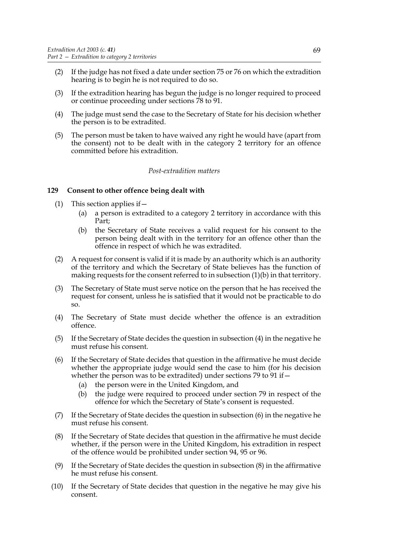- (2) If the judge has not fixed a date under section 75 or 76 on which the extradition hearing is to begin he is not required to do so.
- (3) If the extradition hearing has begun the judge is no longer required to proceed or continue proceeding under sections 78 to 91.
- (4) The judge must send the case to the Secretary of State for his decision whether the person is to be extradited.
- (5) The person must be taken to have waived any right he would have (apart from the consent) not to be dealt with in the category 2 territory for an offence committed before his extradition.

#### *Post-extradition matters*

## **129 Consent to other offence being dealt with**

- (1) This section applies if  $-$ 
	- (a) a person is extradited to a category 2 territory in accordance with this Part;
	- (b) the Secretary of State receives a valid request for his consent to the person being dealt with in the territory for an offence other than the offence in respect of which he was extradited.
- (2) A request for consent is valid if it is made by an authority which is an authority of the territory and which the Secretary of State believes has the function of making requests for the consent referred to in subsection  $(1)(b)$  in that territory.
- (3) The Secretary of State must serve notice on the person that he has received the request for consent, unless he is satisfied that it would not be practicable to do so.
- (4) The Secretary of State must decide whether the offence is an extradition offence.
- (5) If the Secretary of State decides the question in subsection (4) in the negative he must refuse his consent.
- (6) If the Secretary of State decides that question in the affirmative he must decide whether the appropriate judge would send the case to him (for his decision whether the person was to be extradited) under sections 79 to 91 if  $-$ 
	- (a) the person were in the United Kingdom, and
	- (b) the judge were required to proceed under section 79 in respect of the offence for which the Secretary of State's consent is requested.
- (7) If the Secretary of State decides the question in subsection (6) in the negative he must refuse his consent.
- (8) If the Secretary of State decides that question in the affirmative he must decide whether, if the person were in the United Kingdom, his extradition in respect of the offence would be prohibited under section 94, 95 or 96.
- (9) If the Secretary of State decides the question in subsection (8) in the affirmative he must refuse his consent.
- (10) If the Secretary of State decides that question in the negative he may give his consent.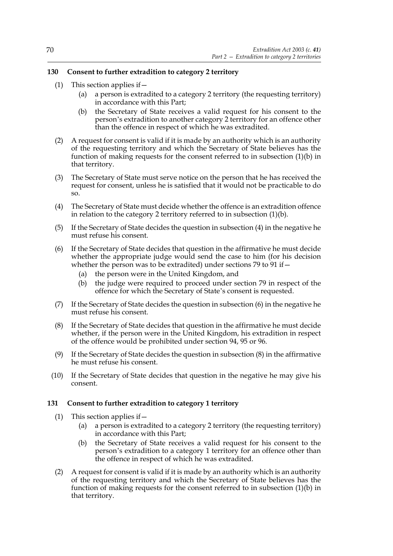## **130 Consent to further extradition to category 2 territory**

- (1) This section applies if  $-$ 
	- (a) a person is extradited to a category 2 territory (the requesting territory) in accordance with this Part;
	- (b) the Secretary of State receives a valid request for his consent to the person's extradition to another category 2 territory for an offence other than the offence in respect of which he was extradited.
- (2) A request for consent is valid if it is made by an authority which is an authority of the requesting territory and which the Secretary of State believes has the function of making requests for the consent referred to in subsection (1)(b) in that territory.
- (3) The Secretary of State must serve notice on the person that he has received the request for consent, unless he is satisfied that it would not be practicable to do so.
- (4) The Secretary of State must decide whether the offence is an extradition offence in relation to the category 2 territory referred to in subsection (1)(b).
- (5) If the Secretary of State decides the question in subsection (4) in the negative he must refuse his consent.
- (6) If the Secretary of State decides that question in the affirmative he must decide whether the appropriate judge would send the case to him (for his decision whether the person was to be extradited) under sections 79 to 91 if -
	- (a) the person were in the United Kingdom, and
	- (b) the judge were required to proceed under section 79 in respect of the offence for which the Secretary of State's consent is requested.
- (7) If the Secretary of State decides the question in subsection (6) in the negative he must refuse his consent.
- (8) If the Secretary of State decides that question in the affirmative he must decide whether, if the person were in the United Kingdom, his extradition in respect of the offence would be prohibited under section 94, 95 or 96.
- (9) If the Secretary of State decides the question in subsection (8) in the affirmative he must refuse his consent.
- (10) If the Secretary of State decides that question in the negative he may give his consent.

## **131 Consent to further extradition to category 1 territory**

- (1) This section applies if  $-$ 
	- (a) a person is extradited to a category 2 territory (the requesting territory) in accordance with this Part;
	- (b) the Secretary of State receives a valid request for his consent to the person's extradition to a category 1 territory for an offence other than the offence in respect of which he was extradited.
- (2) A request for consent is valid if it is made by an authority which is an authority of the requesting territory and which the Secretary of State believes has the function of making requests for the consent referred to in subsection (1)(b) in that territory.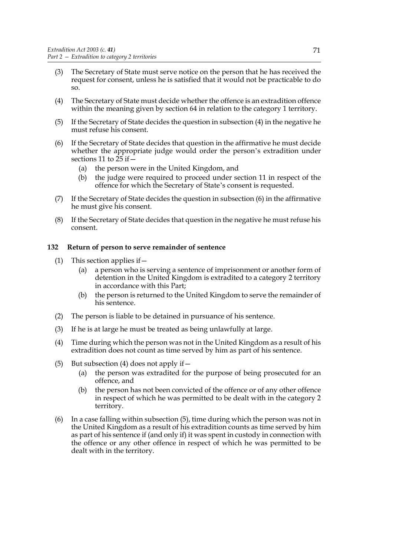- (3) The Secretary of State must serve notice on the person that he has received the request for consent, unless he is satisfied that it would not be practicable to do so.
- (4) The Secretary of State must decide whether the offence is an extradition offence within the meaning given by section 64 in relation to the category 1 territory.
- (5) If the Secretary of State decides the question in subsection (4) in the negative he must refuse his consent.
- (6) If the Secretary of State decides that question in the affirmative he must decide whether the appropriate judge would order the person's extradition under sections 11 to 25 if—
	- (a) the person were in the United Kingdom, and
	- (b) the judge were required to proceed under section 11 in respect of the offence for which the Secretary of State's consent is requested.
- (7) If the Secretary of State decides the question in subsection (6) in the affirmative he must give his consent.
- (8) If the Secretary of State decides that question in the negative he must refuse his consent.

#### **132 Return of person to serve remainder of sentence**

- (1) This section applies if  $-$ 
	- (a) a person who is serving a sentence of imprisonment or another form of detention in the United Kingdom is extradited to a category 2 territory in accordance with this Part;
	- (b) the person is returned to the United Kingdom to serve the remainder of his sentence.
- (2) The person is liable to be detained in pursuance of his sentence.
- (3) If he is at large he must be treated as being unlawfully at large.
- (4) Time during which the person was not in the United Kingdom as a result of his extradition does not count as time served by him as part of his sentence.
- (5) But subsection (4) does not apply if  $-$ 
	- (a) the person was extradited for the purpose of being prosecuted for an offence, and
	- (b) the person has not been convicted of the offence or of any other offence in respect of which he was permitted to be dealt with in the category 2 territory.
- (6) In a case falling within subsection (5), time during which the person was not in the United Kingdom as a result of his extradition counts as time served by him as part of his sentence if (and only if) it was spent in custody in connection with the offence or any other offence in respect of which he was permitted to be dealt with in the territory.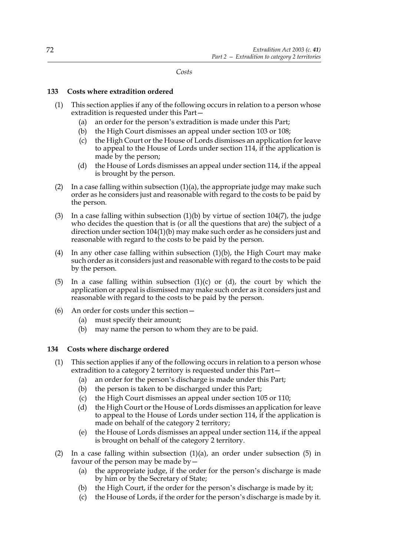*Costs*

## **133 Costs where extradition ordered**

- (1) This section applies if any of the following occurs in relation to a person whose extradition is requested under this Part-
	- (a) an order for the person's extradition is made under this Part;
	- (b) the High Court dismisses an appeal under section 103 or 108;
	- (c) the High Court or the House of Lords dismisses an application for leave to appeal to the House of Lords under section 114, if the application is made by the person;
	- (d) the House of Lords dismisses an appeal under section 114, if the appeal is brought by the person.
- (2) In a case falling within subsection  $(1)(a)$ , the appropriate judge may make such order as he considers just and reasonable with regard to the costs to be paid by the person.
- (3) In a case falling within subsection  $(1)(b)$  by virtue of section 104(7), the judge who decides the question that is (or all the questions that are) the subject of a direction under section 104(1)(b) may make such order as he considers just and reasonable with regard to the costs to be paid by the person.
- (4) In any other case falling within subsection (1)(b), the High Court may make such order as it considers just and reasonable with regard to the costs to be paid by the person.
- (5) In a case falling within subsection  $(1)(c)$  or  $(d)$ , the court by which the application or appeal is dismissed may make such order as it considers just and reasonable with regard to the costs to be paid by the person.
- (6) An order for costs under this section—
	- (a) must specify their amount;
	- (b) may name the person to whom they are to be paid.

## **134 Costs where discharge ordered**

- (1) This section applies if any of the following occurs in relation to a person whose extradition to a category 2 territory is requested under this Part—
	- (a) an order for the person's discharge is made under this Part;
	- (b) the person is taken to be discharged under this Part;
	- (c) the High Court dismisses an appeal under section 105 or 110;
	- (d) the High Court or the House of Lords dismisses an application for leave to appeal to the House of Lords under section 114, if the application is made on behalf of the category 2 territory;
	- (e) the House of Lords dismisses an appeal under section 114, if the appeal is brought on behalf of the category 2 territory.
- (2) In a case falling within subsection  $(1)(a)$ , an order under subsection (5) in favour of the person may be made by—
	- (a) the appropriate judge, if the order for the person's discharge is made by him or by the Secretary of State;
	- (b) the High Court, if the order for the person's discharge is made by it;
	- (c) the House of Lords, if the order for the person's discharge is made by it.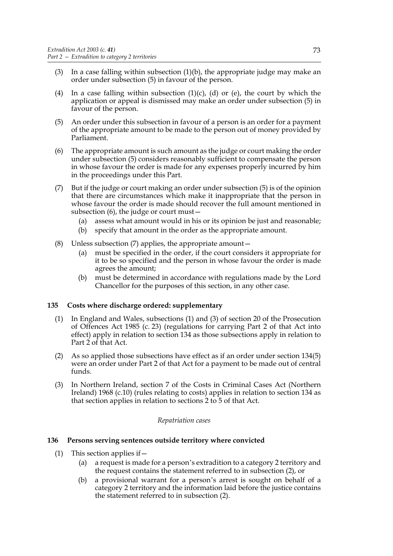- (3) In a case falling within subsection  $(1)(b)$ , the appropriate judge may make an order under subsection (5) in favour of the person.
- (4) In a case falling within subsection  $(1)(c)$ ,  $(d)$  or  $(e)$ , the court by which the application or appeal is dismissed may make an order under subsection (5) in favour of the person.
- (5) An order under this subsection in favour of a person is an order for a payment of the appropriate amount to be made to the person out of money provided by Parliament.
- (6) The appropriate amount is such amount as the judge or court making the order under subsection (5) considers reasonably sufficient to compensate the person in whose favour the order is made for any expenses properly incurred by him in the proceedings under this Part.
- (7) But if the judge or court making an order under subsection (5) is of the opinion that there are circumstances which make it inappropriate that the person in whose favour the order is made should recover the full amount mentioned in subsection (6), the judge or court must—
	- (a) assess what amount would in his or its opinion be just and reasonable;
	- (b) specify that amount in the order as the appropriate amount.
- (8) Unless subsection  $(7)$  applies, the appropriate amount  $-$ 
	- (a) must be specified in the order, if the court considers it appropriate for it to be so specified and the person in whose favour the order is made agrees the amount;
	- (b) must be determined in accordance with regulations made by the Lord Chancellor for the purposes of this section, in any other case.

## **135 Costs where discharge ordered: supplementary**

- (1) In England and Wales, subsections (1) and (3) of section 20 of the Prosecution of Offences Act 1985 (c. 23) (regulations for carrying Part 2 of that Act into effect) apply in relation to section 134 as those subsections apply in relation to Part 2 of that Act.
- (2) As so applied those subsections have effect as if an order under section 134(5) were an order under Part 2 of that Act for a payment to be made out of central funds.
- (3) In Northern Ireland, section 7 of the Costs in Criminal Cases Act (Northern Ireland) 1968 (c.10) (rules relating to costs) applies in relation to section 134 as that section applies in relation to sections 2 to 5 of that Act.

#### *Repatriation cases*

## **136 Persons serving sentences outside territory where convicted**

- (1) This section applies if  $-$ 
	- (a) a request is made for a person's extradition to a category 2 territory and the request contains the statement referred to in subsection (2), or
	- (b) a provisional warrant for a person's arrest is sought on behalf of a category 2 territory and the information laid before the justice contains the statement referred to in subsection (2).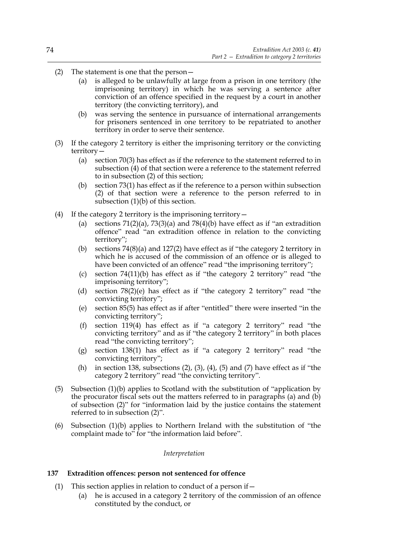- (2) The statement is one that the person—
	- (a) is alleged to be unlawfully at large from a prison in one territory (the imprisoning territory) in which he was serving a sentence after conviction of an offence specified in the request by a court in another territory (the convicting territory), and
	- (b) was serving the sentence in pursuance of international arrangements for prisoners sentenced in one territory to be repatriated to another territory in order to serve their sentence.
- (3) If the category 2 territory is either the imprisoning territory or the convicting territory—
	- (a) section 70(3) has effect as if the reference to the statement referred to in subsection (4) of that section were a reference to the statement referred to in subsection (2) of this section;
	- (b) section 73(1) has effect as if the reference to a person within subsection (2) of that section were a reference to the person referred to in subsection (1)(b) of this section.
- (4) If the category 2 territory is the imprisoning territory—
	- (a) sections  $71(2)(a)$ ,  $73(3)(a)$  and  $78(4)(b)$  have effect as if "an extradition offence" read "an extradition offence in relation to the convicting territory";
	- (b) sections 74(8)(a) and 127(2) have effect as if "the category 2 territory in which he is accused of the commission of an offence or is alleged to have been convicted of an offence" read "the imprisoning territory";
	- (c) section 74(11)(b) has effect as if "the category 2 territory" read "the imprisoning territory";
	- (d) section 78(2)(e) has effect as if "the category 2 territory" read "the convicting territory";
	- (e) section 85(5) has effect as if after "entitled" there were inserted "in the convicting territory";
	- (f) section 119(4) has effect as if "a category 2 territory" read "the convicting territory" and as if "the category 2 territory" in both places read "the convicting territory";
	- (g) section 138(1) has effect as if "a category 2 territory" read "the convicting territory";
	- (h) in section 138, subsections  $(2)$ ,  $(3)$ ,  $(4)$ ,  $(5)$  and  $(7)$  have effect as if "the category 2 territory" read "the convicting territory".
- (5) Subsection (1)(b) applies to Scotland with the substitution of "application by the procurator fiscal sets out the matters referred to in paragraphs (a) and (b) of subsection (2)" for "information laid by the justice contains the statement referred to in subsection (2)".
- (6) Subsection (1)(b) applies to Northern Ireland with the substitution of "the complaint made to" for "the information laid before".

#### *Interpretation*

## **137 Extradition offences: person not sentenced for offence**

- (1) This section applies in relation to conduct of a person if  $-$ 
	- (a) he is accused in a category 2 territory of the commission of an offence constituted by the conduct, or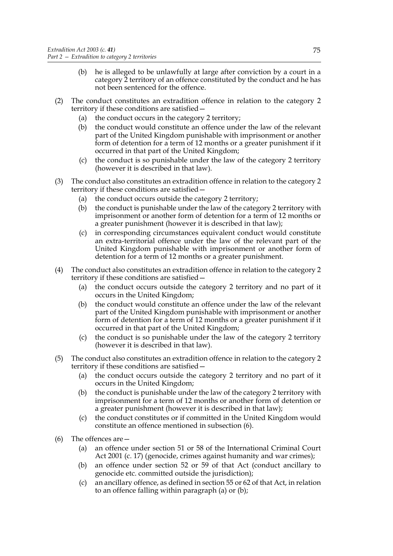- (b) he is alleged to be unlawfully at large after conviction by a court in a category 2 territory of an offence constituted by the conduct and he has not been sentenced for the offence.
- (2) The conduct constitutes an extradition offence in relation to the category 2 territory if these conditions are satisfied—
	- (a) the conduct occurs in the category 2 territory;
	- (b) the conduct would constitute an offence under the law of the relevant part of the United Kingdom punishable with imprisonment or another form of detention for a term of 12 months or a greater punishment if it occurred in that part of the United Kingdom;
	- (c) the conduct is so punishable under the law of the category 2 territory (however it is described in that law).
- (3) The conduct also constitutes an extradition offence in relation to the category 2 territory if these conditions are satisfied—
	- (a) the conduct occurs outside the category 2 territory;
	- (b) the conduct is punishable under the law of the category 2 territory with imprisonment or another form of detention for a term of 12 months or a greater punishment (however it is described in that law);
	- (c) in corresponding circumstances equivalent conduct would constitute an extra-territorial offence under the law of the relevant part of the United Kingdom punishable with imprisonment or another form of detention for a term of 12 months or a greater punishment.
- (4) The conduct also constitutes an extradition offence in relation to the category 2 territory if these conditions are satisfied—
	- (a) the conduct occurs outside the category 2 territory and no part of it occurs in the United Kingdom;
	- (b) the conduct would constitute an offence under the law of the relevant part of the United Kingdom punishable with imprisonment or another form of detention for a term of 12 months or a greater punishment if it occurred in that part of the United Kingdom;
	- (c) the conduct is so punishable under the law of the category 2 territory (however it is described in that law).
- (5) The conduct also constitutes an extradition offence in relation to the category 2 territory if these conditions are satisfied—
	- (a) the conduct occurs outside the category 2 territory and no part of it occurs in the United Kingdom;
	- (b) the conduct is punishable under the law of the category 2 territory with imprisonment for a term of 12 months or another form of detention or a greater punishment (however it is described in that law);
	- (c) the conduct constitutes or if committed in the United Kingdom would constitute an offence mentioned in subsection (6).
- (6) The offences are—
	- (a) an offence under section 51 or 58 of the International Criminal Court Act 2001 (c. 17) (genocide, crimes against humanity and war crimes);
	- (b) an offence under section 52 or 59 of that Act (conduct ancillary to genocide etc. committed outside the jurisdiction);
	- (c) an ancillary offence, as defined in section 55 or 62 of that Act, in relation to an offence falling within paragraph (a) or (b);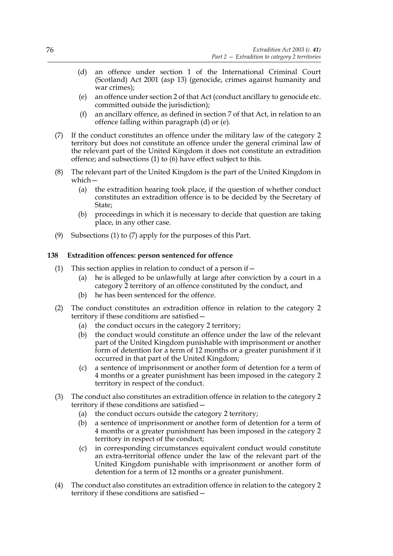- (d) an offence under section 1 of the International Criminal Court (Scotland) Act 2001 (asp 13) (genocide, crimes against humanity and war crimes);
- (e) an offence under section 2 of that Act (conduct ancillary to genocide etc. committed outside the jurisdiction);
- (f) an ancillary offence, as defined in section 7 of that Act, in relation to an offence falling within paragraph (d) or (e).
- (7) If the conduct constitutes an offence under the military law of the category 2 territory but does not constitute an offence under the general criminal law of the relevant part of the United Kingdom it does not constitute an extradition offence; and subsections (1) to (6) have effect subject to this.
- (8) The relevant part of the United Kingdom is the part of the United Kingdom in which—
	- (a) the extradition hearing took place, if the question of whether conduct constitutes an extradition offence is to be decided by the Secretary of State;
	- (b) proceedings in which it is necessary to decide that question are taking place, in any other case.
- (9) Subsections (1) to (7) apply for the purposes of this Part.

## **138 Extradition offences: person sentenced for offence**

- (1) This section applies in relation to conduct of a person if  $-$ 
	- (a) he is alleged to be unlawfully at large after conviction by a court in a category 2 territory of an offence constituted by the conduct, and
	- (b) he has been sentenced for the offence.
- (2) The conduct constitutes an extradition offence in relation to the category 2 territory if these conditions are satisfied—
	- (a) the conduct occurs in the category 2 territory;
	- (b) the conduct would constitute an offence under the law of the relevant part of the United Kingdom punishable with imprisonment or another form of detention for a term of 12 months or a greater punishment if it occurred in that part of the United Kingdom;
	- (c) a sentence of imprisonment or another form of detention for a term of 4 months or a greater punishment has been imposed in the category 2 territory in respect of the conduct.
- (3) The conduct also constitutes an extradition offence in relation to the category 2 territory if these conditions are satisfied—
	- (a) the conduct occurs outside the category 2 territory;
	- (b) a sentence of imprisonment or another form of detention for a term of 4 months or a greater punishment has been imposed in the category 2 territory in respect of the conduct;
	- (c) in corresponding circumstances equivalent conduct would constitute an extra-territorial offence under the law of the relevant part of the United Kingdom punishable with imprisonment or another form of detention for a term of 12 months or a greater punishment.
- (4) The conduct also constitutes an extradition offence in relation to the category 2 territory if these conditions are satisfied—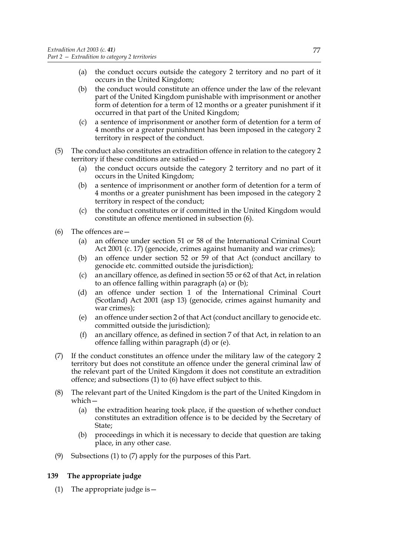- (a) the conduct occurs outside the category 2 territory and no part of it occurs in the United Kingdom;
- (b) the conduct would constitute an offence under the law of the relevant part of the United Kingdom punishable with imprisonment or another form of detention for a term of 12 months or a greater punishment if it occurred in that part of the United Kingdom;
- (c) a sentence of imprisonment or another form of detention for a term of 4 months or a greater punishment has been imposed in the category 2 territory in respect of the conduct.
- (5) The conduct also constitutes an extradition offence in relation to the category 2 territory if these conditions are satisfied—
	- (a) the conduct occurs outside the category 2 territory and no part of it occurs in the United Kingdom;
	- (b) a sentence of imprisonment or another form of detention for a term of 4 months or a greater punishment has been imposed in the category 2 territory in respect of the conduct;
	- (c) the conduct constitutes or if committed in the United Kingdom would constitute an offence mentioned in subsection (6).
- (6) The offences are—
	- (a) an offence under section 51 or 58 of the International Criminal Court Act 2001 (c. 17) (genocide, crimes against humanity and war crimes);
	- (b) an offence under section 52 or 59 of that Act (conduct ancillary to genocide etc. committed outside the jurisdiction);
	- (c) an ancillary offence, as defined in section 55 or 62 of that Act, in relation to an offence falling within paragraph (a) or (b);
	- (d) an offence under section 1 of the International Criminal Court (Scotland) Act 2001 (asp 13) (genocide, crimes against humanity and war crimes);
	- (e) an offence under section 2 of that Act (conduct ancillary to genocide etc. committed outside the jurisdiction);
	- (f) an ancillary offence, as defined in section 7 of that Act, in relation to an offence falling within paragraph (d) or (e).
- (7) If the conduct constitutes an offence under the military law of the category 2 territory but does not constitute an offence under the general criminal law of the relevant part of the United Kingdom it does not constitute an extradition offence; and subsections (1) to (6) have effect subject to this.
- (8) The relevant part of the United Kingdom is the part of the United Kingdom in which—
	- (a) the extradition hearing took place, if the question of whether conduct constitutes an extradition offence is to be decided by the Secretary of State;
	- (b) proceedings in which it is necessary to decide that question are taking place, in any other case.
- (9) Subsections (1) to (7) apply for the purposes of this Part.

# **139 The appropriate judge**

(1) The appropriate judge is  $-$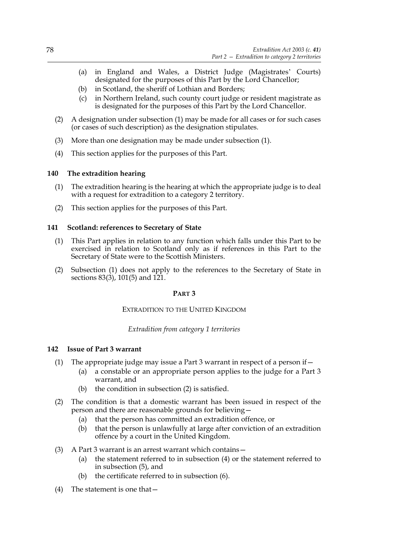- (a) in England and Wales, a District Judge (Magistrates' Courts) designated for the purposes of this Part by the Lord Chancellor;
- (b) in Scotland, the sheriff of Lothian and Borders;
- (c) in Northern Ireland, such county court judge or resident magistrate as is designated for the purposes of this Part by the Lord Chancellor.
- (2) A designation under subsection (1) may be made for all cases or for such cases (or cases of such description) as the designation stipulates.
- (3) More than one designation may be made under subsection (1).
- (4) This section applies for the purposes of this Part.

## **140 The extradition hearing**

- (1) The extradition hearing is the hearing at which the appropriate judge is to deal with a request for extradition to a category 2 territory.
- (2) This section applies for the purposes of this Part.

## **141 Scotland: references to Secretary of State**

- (1) This Part applies in relation to any function which falls under this Part to be exercised in relation to Scotland only as if references in this Part to the Secretary of State were to the Scottish Ministers.
- (2) Subsection (1) does not apply to the references to the Secretary of State in sections 83(3), 101(5) and 121.

## **PART 3**

## EXTRADITION TO THE UNITED KINGDOM

## *Extradition from category 1 territories*

## **142 Issue of Part 3 warrant**

- (1) The appropriate judge may issue a Part 3 warrant in respect of a person if  $-$ 
	- (a) a constable or an appropriate person applies to the judge for a Part 3 warrant, and
	- (b) the condition in subsection (2) is satisfied.
- (2) The condition is that a domestic warrant has been issued in respect of the person and there are reasonable grounds for believing—
	- (a) that the person has committed an extradition offence, or
	- (b) that the person is unlawfully at large after conviction of an extradition offence by a court in the United Kingdom.
- (3) A Part 3 warrant is an arrest warrant which contains—
	- (a) the statement referred to in subsection (4) or the statement referred to in subsection (5), and
	- (b) the certificate referred to in subsection (6).
- (4) The statement is one that—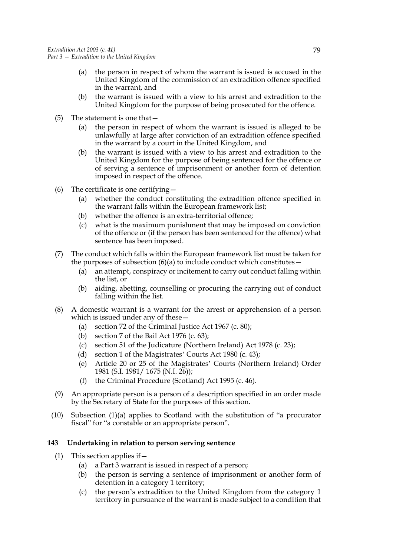- (a) the person in respect of whom the warrant is issued is accused in the United Kingdom of the commission of an extradition offence specified in the warrant, and
- (b) the warrant is issued with a view to his arrest and extradition to the United Kingdom for the purpose of being prosecuted for the offence.
- (5) The statement is one that—
	- (a) the person in respect of whom the warrant is issued is alleged to be unlawfully at large after conviction of an extradition offence specified in the warrant by a court in the United Kingdom, and
	- (b) the warrant is issued with a view to his arrest and extradition to the United Kingdom for the purpose of being sentenced for the offence or of serving a sentence of imprisonment or another form of detention imposed in respect of the offence.
- (6) The certificate is one certifying—
	- (a) whether the conduct constituting the extradition offence specified in the warrant falls within the European framework list;
	- (b) whether the offence is an extra-territorial offence;
	- (c) what is the maximum punishment that may be imposed on conviction of the offence or (if the person has been sentenced for the offence) what sentence has been imposed.
- (7) The conduct which falls within the European framework list must be taken for the purposes of subsection  $(6)(a)$  to include conduct which constitutes –
	- (a) an attempt, conspiracy or incitement to carry out conduct falling within the list, or
	- (b) aiding, abetting, counselling or procuring the carrying out of conduct falling within the list.
- (8) A domestic warrant is a warrant for the arrest or apprehension of a person which is issued under any of these—
	- (a) section 72 of the Criminal Justice Act 1967 (c. 80);
	- (b) section 7 of the Bail Act 1976 (c. 63);
	- (c) section 51 of the Judicature (Northern Ireland) Act 1978 (c. 23);
	- (d) section 1 of the Magistrates' Courts Act 1980 (c. 43);
	- (e) Article 20 or 25 of the Magistrates' Courts (Northern Ireland) Order 1981 (S.I. 1981/ 1675 (N.I. 26));
	- (f) the Criminal Procedure (Scotland) Act 1995 (c. 46).
- (9) An appropriate person is a person of a description specified in an order made by the Secretary of State for the purposes of this section.
- (10) Subsection (1)(a) applies to Scotland with the substitution of "a procurator fiscal" for "a constable or an appropriate person".

# **143 Undertaking in relation to person serving sentence**

- (1) This section applies if  $-$ 
	- (a) a Part 3 warrant is issued in respect of a person;
	- (b) the person is serving a sentence of imprisonment or another form of detention in a category 1 territory;
	- (c) the person's extradition to the United Kingdom from the category 1 territory in pursuance of the warrant is made subject to a condition that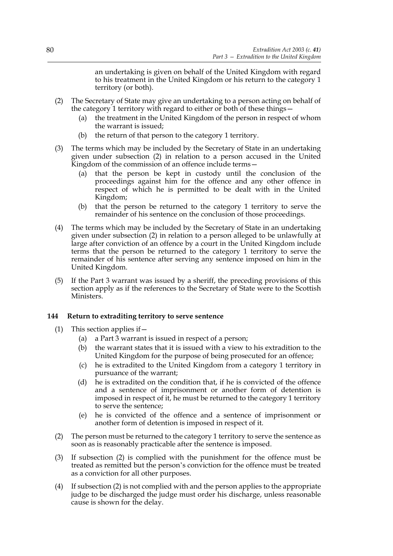an undertaking is given on behalf of the United Kingdom with regard to his treatment in the United Kingdom or his return to the category 1 territory (or both).

- (2) The Secretary of State may give an undertaking to a person acting on behalf of the category 1 territory with regard to either or both of these things—
	- (a) the treatment in the United Kingdom of the person in respect of whom the warrant is issued;
	- (b) the return of that person to the category 1 territory.
- (3) The terms which may be included by the Secretary of State in an undertaking given under subsection (2) in relation to a person accused in the United Kingdom of the commission of an offence include terms—
	- (a) that the person be kept in custody until the conclusion of the proceedings against him for the offence and any other offence in respect of which he is permitted to be dealt with in the United Kingdom;
	- (b) that the person be returned to the category 1 territory to serve the remainder of his sentence on the conclusion of those proceedings.
- (4) The terms which may be included by the Secretary of State in an undertaking given under subsection (2) in relation to a person alleged to be unlawfully at large after conviction of an offence by a court in the United Kingdom include terms that the person be returned to the category 1 territory to serve the remainder of his sentence after serving any sentence imposed on him in the United Kingdom.
- (5) If the Part 3 warrant was issued by a sheriff, the preceding provisions of this section apply as if the references to the Secretary of State were to the Scottish Ministers.

#### **144 Return to extraditing territory to serve sentence**

- (1) This section applies if  $-$ 
	- (a) a Part 3 warrant is issued in respect of a person;
	- (b) the warrant states that it is issued with a view to his extradition to the United Kingdom for the purpose of being prosecuted for an offence;
	- (c) he is extradited to the United Kingdom from a category 1 territory in pursuance of the warrant;
	- (d) he is extradited on the condition that, if he is convicted of the offence and a sentence of imprisonment or another form of detention is imposed in respect of it, he must be returned to the category 1 territory to serve the sentence;
	- (e) he is convicted of the offence and a sentence of imprisonment or another form of detention is imposed in respect of it.
- (2) The person must be returned to the category 1 territory to serve the sentence as soon as is reasonably practicable after the sentence is imposed.
- (3) If subsection (2) is complied with the punishment for the offence must be treated as remitted but the person's conviction for the offence must be treated as a conviction for all other purposes.
- (4) If subsection (2) is not complied with and the person applies to the appropriate judge to be discharged the judge must order his discharge, unless reasonable cause is shown for the delay.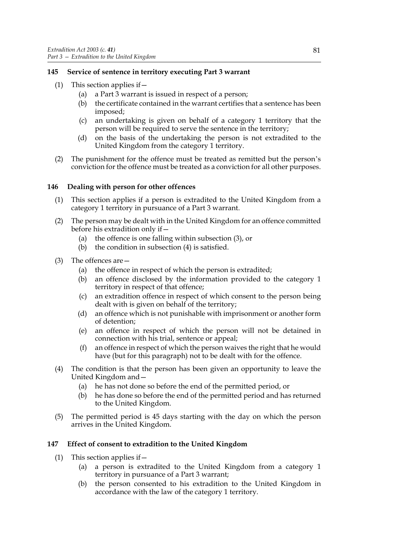# **145 Service of sentence in territory executing Part 3 warrant**

- (1) This section applies if  $-$ 
	- (a) a Part 3 warrant is issued in respect of a person;
	- (b) the certificate contained in the warrant certifies that a sentence has been imposed;
	- (c) an undertaking is given on behalf of a category 1 territory that the person will be required to serve the sentence in the territory;
	- (d) on the basis of the undertaking the person is not extradited to the United Kingdom from the category 1 territory.
- (2) The punishment for the offence must be treated as remitted but the person's conviction for the offence must be treated as a conviction for all other purposes.

# **146 Dealing with person for other offences**

- (1) This section applies if a person is extradited to the United Kingdom from a category 1 territory in pursuance of a Part 3 warrant.
- (2) The person may be dealt with in the United Kingdom for an offence committed before his extradition only if—
	- (a) the offence is one falling within subsection (3), or
	- (b) the condition in subsection (4) is satisfied.
- (3) The offences are—
	- (a) the offence in respect of which the person is extradited;
	- (b) an offence disclosed by the information provided to the category 1 territory in respect of that offence;
	- (c) an extradition offence in respect of which consent to the person being dealt with is given on behalf of the territory;
	- (d) an offence which is not punishable with imprisonment or another form of detention;
	- (e) an offence in respect of which the person will not be detained in connection with his trial, sentence or appeal;
	- (f) an offence in respect of which the person waives the right that he would have (but for this paragraph) not to be dealt with for the offence.
- (4) The condition is that the person has been given an opportunity to leave the United Kingdom and—
	- (a) he has not done so before the end of the permitted period, or
	- (b) he has done so before the end of the permitted period and has returned to the United Kingdom.
- (5) The permitted period is 45 days starting with the day on which the person arrives in the United Kingdom.

## **147 Effect of consent to extradition to the United Kingdom**

- (1) This section applies if—
	- (a) a person is extradited to the United Kingdom from a category 1 territory in pursuance of a Part 3 warrant;
	- (b) the person consented to his extradition to the United Kingdom in accordance with the law of the category 1 territory.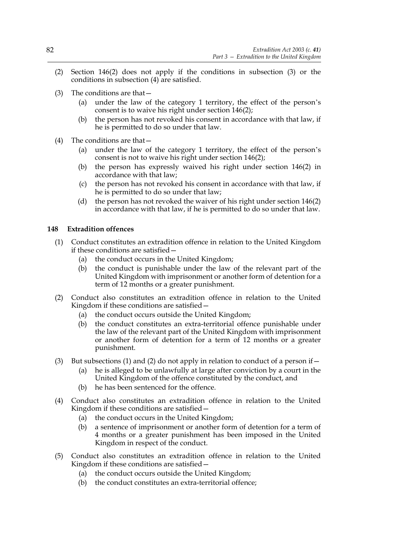- (2) Section 146(2) does not apply if the conditions in subsection (3) or the conditions in subsection (4) are satisfied.
- (3) The conditions are that—
	- (a) under the law of the category 1 territory, the effect of the person's consent is to waive his right under section 146(2);
	- (b) the person has not revoked his consent in accordance with that law, if he is permitted to do so under that law.
- (4) The conditions are that—
	- (a) under the law of the category 1 territory, the effect of the person's consent is not to waive his right under section 146(2);
	- (b) the person has expressly waived his right under section 146(2) in accordance with that law;
	- (c) the person has not revoked his consent in accordance with that law, if he is permitted to do so under that law;
	- (d) the person has not revoked the waiver of his right under section 146(2) in accordance with that law, if he is permitted to do so under that law.

## **148 Extradition offences**

- (1) Conduct constitutes an extradition offence in relation to the United Kingdom if these conditions are satisfied—
	- (a) the conduct occurs in the United Kingdom;
	- (b) the conduct is punishable under the law of the relevant part of the United Kingdom with imprisonment or another form of detention for a term of 12 months or a greater punishment.
- (2) Conduct also constitutes an extradition offence in relation to the United Kingdom if these conditions are satisfied—
	- (a) the conduct occurs outside the United Kingdom;
	- (b) the conduct constitutes an extra-territorial offence punishable under the law of the relevant part of the United Kingdom with imprisonment or another form of detention for a term of 12 months or a greater punishment.
- (3) But subsections (1) and (2) do not apply in relation to conduct of a person if  $-$ 
	- (a) he is alleged to be unlawfully at large after conviction by a court in the United Kingdom of the offence constituted by the conduct, and
	- (b) he has been sentenced for the offence.
- (4) Conduct also constitutes an extradition offence in relation to the United Kingdom if these conditions are satisfied—
	- (a) the conduct occurs in the United Kingdom;
	- (b) a sentence of imprisonment or another form of detention for a term of 4 months or a greater punishment has been imposed in the United Kingdom in respect of the conduct.
- (5) Conduct also constitutes an extradition offence in relation to the United Kingdom if these conditions are satisfied—
	- (a) the conduct occurs outside the United Kingdom;
	- (b) the conduct constitutes an extra-territorial offence;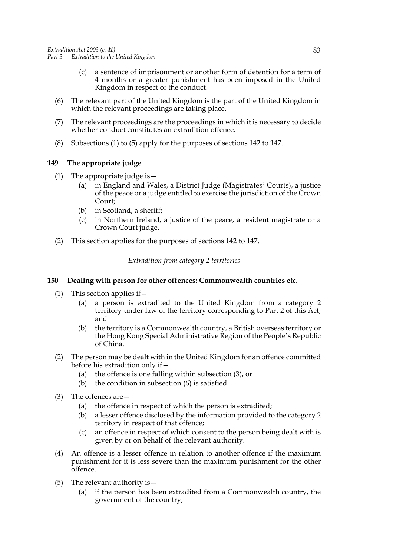- (c) a sentence of imprisonment or another form of detention for a term of 4 months or a greater punishment has been imposed in the United Kingdom in respect of the conduct.
- (6) The relevant part of the United Kingdom is the part of the United Kingdom in which the relevant proceedings are taking place.
- (7) The relevant proceedings are the proceedings in which it is necessary to decide whether conduct constitutes an extradition offence.
- (8) Subsections (1) to (5) apply for the purposes of sections 142 to 147.

# **149 The appropriate judge**

- (1) The appropriate judge is  $-$ 
	- (a) in England and Wales, a District Judge (Magistrates' Courts), a justice of the peace or a judge entitled to exercise the jurisdiction of the Crown Court;
	- (b) in Scotland, a sheriff;
	- (c) in Northern Ireland, a justice of the peace, a resident magistrate or a Crown Court judge.
- (2) This section applies for the purposes of sections 142 to 147.

# *Extradition from category 2 territories*

# **150 Dealing with person for other offences: Commonwealth countries etc.**

- (1) This section applies if  $-$ 
	- (a) a person is extradited to the United Kingdom from a category 2 territory under law of the territory corresponding to Part 2 of this Act, and
	- (b) the territory is a Commonwealth country, a British overseas territory or the Hong Kong Special Administrative Region of the People's Republic of China.
- (2) The person may be dealt with in the United Kingdom for an offence committed before his extradition only if—
	- (a) the offence is one falling within subsection (3), or
	- (b) the condition in subsection (6) is satisfied.
- (3) The offences are—
	- (a) the offence in respect of which the person is extradited;
	- (b) a lesser offence disclosed by the information provided to the category 2 territory in respect of that offence;
	- (c) an offence in respect of which consent to the person being dealt with is given by or on behalf of the relevant authority.
- (4) An offence is a lesser offence in relation to another offence if the maximum punishment for it is less severe than the maximum punishment for the other offence.
- (5) The relevant authority is—
	- (a) if the person has been extradited from a Commonwealth country, the government of the country;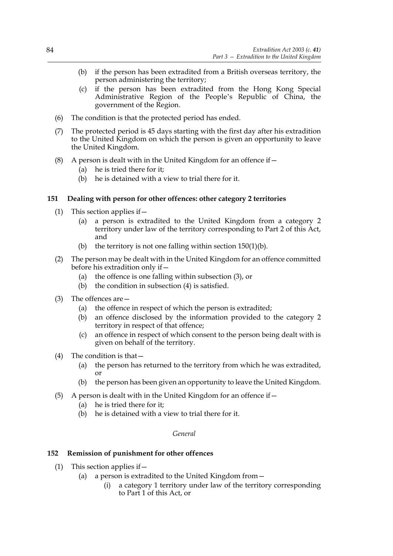- (b) if the person has been extradited from a British overseas territory, the person administering the territory;
- (c) if the person has been extradited from the Hong Kong Special Administrative Region of the People's Republic of China, the government of the Region.
- (6) The condition is that the protected period has ended.
- (7) The protected period is 45 days starting with the first day after his extradition to the United Kingdom on which the person is given an opportunity to leave the United Kingdom.
- (8) A person is dealt with in the United Kingdom for an offence if  $-$ 
	- (a) he is tried there for it;
	- (b) he is detained with a view to trial there for it.

## **151 Dealing with person for other offences: other category 2 territories**

- (1) This section applies if—
	- (a) a person is extradited to the United Kingdom from a category 2 territory under law of the territory corresponding to Part 2 of this Act, and
	- (b) the territory is not one falling within section  $150(1)(b)$ .
- (2) The person may be dealt with in the United Kingdom for an offence committed before his extradition only if—
	- (a) the offence is one falling within subsection (3), or
	- (b) the condition in subsection (4) is satisfied.
- (3) The offences are—
	- (a) the offence in respect of which the person is extradited;
	- (b) an offence disclosed by the information provided to the category 2 territory in respect of that offence;
	- (c) an offence in respect of which consent to the person being dealt with is given on behalf of the territory.
- (4) The condition is that—
	- (a) the person has returned to the territory from which he was extradited, or
	- (b) the person has been given an opportunity to leave the United Kingdom.
- (5) A person is dealt with in the United Kingdom for an offence if—
	- (a) he is tried there for it;
	- (b) he is detained with a view to trial there for it.

## *General*

## **152 Remission of punishment for other offences**

- (1) This section applies if  $-$ 
	- (a) a person is extradited to the United Kingdom from—
		- (i) a category 1 territory under law of the territory corresponding to Part 1 of this Act, or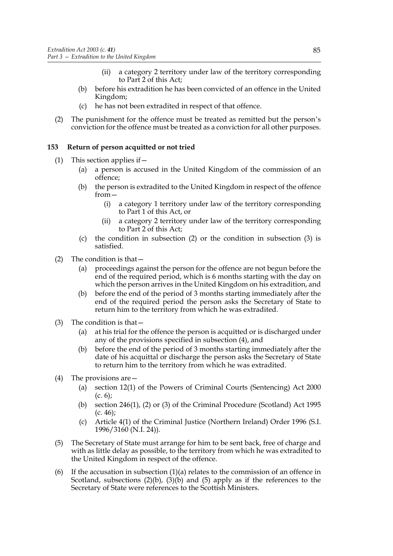- (ii) a category 2 territory under law of the territory corresponding to Part 2 of this Act;
- (b) before his extradition he has been convicted of an offence in the United Kingdom;
- (c) he has not been extradited in respect of that offence.
- (2) The punishment for the offence must be treated as remitted but the person's conviction for the offence must be treated as a conviction for all other purposes.

#### **153 Return of person acquitted or not tried**

- (1) This section applies if  $-$ 
	- (a) a person is accused in the United Kingdom of the commission of an offence;
	- (b) the person is extradited to the United Kingdom in respect of the offence from—
		- (i) a category 1 territory under law of the territory corresponding to Part 1 of this Act, or
		- (ii) a category 2 territory under law of the territory corresponding to Part 2 of this Act;
	- (c) the condition in subsection (2) or the condition in subsection (3) is satisfied.
- (2) The condition is that—
	- (a) proceedings against the person for the offence are not begun before the end of the required period, which is 6 months starting with the day on which the person arrives in the United Kingdom on his extradition, and
	- (b) before the end of the period of 3 months starting immediately after the end of the required period the person asks the Secretary of State to return him to the territory from which he was extradited.
- (3) The condition is that—
	- (a) at his trial for the offence the person is acquitted or is discharged under any of the provisions specified in subsection (4), and
	- (b) before the end of the period of 3 months starting immediately after the date of his acquittal or discharge the person asks the Secretary of State to return him to the territory from which he was extradited.
- (4) The provisions are—
	- (a) section 12(1) of the Powers of Criminal Courts (Sentencing) Act 2000 (c. 6);
	- (b) section 246(1), (2) or (3) of the Criminal Procedure (Scotland) Act 1995  $(c. 46);$
	- (c) Article 4(1) of the Criminal Justice (Northern Ireland) Order 1996 (S.I. 1996/3160 (N.I. 24)).
- (5) The Secretary of State must arrange for him to be sent back, free of charge and with as little delay as possible, to the territory from which he was extradited to the United Kingdom in respect of the offence.
- (6) If the accusation in subsection  $(1)(a)$  relates to the commission of an offence in Scotland, subsections  $(2)(b)$ ,  $(3)(b)$  and  $(5)$  apply as if the references to the Secretary of State were references to the Scottish Ministers.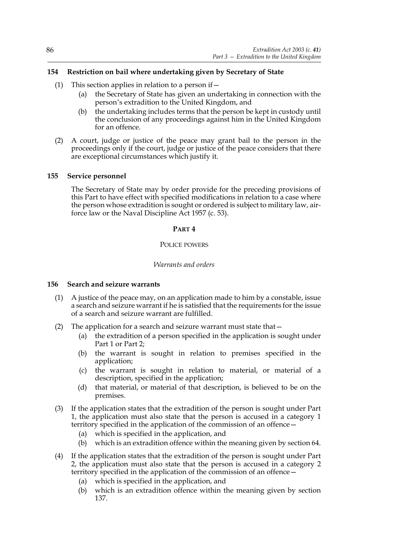# **154 Restriction on bail where undertaking given by Secretary of State**

- (1) This section applies in relation to a person if  $-$ 
	- (a) the Secretary of State has given an undertaking in connection with the person's extradition to the United Kingdom, and
	- (b) the undertaking includes terms that the person be kept in custody until the conclusion of any proceedings against him in the United Kingdom for an offence.
- (2) A court, judge or justice of the peace may grant bail to the person in the proceedings only if the court, judge or justice of the peace considers that there are exceptional circumstances which justify it.

## **155 Service personnel**

The Secretary of State may by order provide for the preceding provisions of this Part to have effect with specified modifications in relation to a case where the person whose extradition is sought or ordered is subject to military law, airforce law or the Naval Discipline Act 1957 (c. 53).

### **PART 4**

#### POLICE POWERS

#### *Warrants and orders*

## **156 Search and seizure warrants**

- (1) A justice of the peace may, on an application made to him by a constable, issue a search and seizure warrant if he is satisfied that the requirements for the issue of a search and seizure warrant are fulfilled.
- (2) The application for a search and seizure warrant must state that—
	- (a) the extradition of a person specified in the application is sought under Part 1 or Part 2;
	- (b) the warrant is sought in relation to premises specified in the application;
	- (c) the warrant is sought in relation to material, or material of a description, specified in the application;
	- (d) that material, or material of that description, is believed to be on the premises.
- (3) If the application states that the extradition of the person is sought under Part 1, the application must also state that the person is accused in a category 1 territory specified in the application of the commission of an offence—
	- (a) which is specified in the application, and
	- (b) which is an extradition offence within the meaning given by section 64.
- (4) If the application states that the extradition of the person is sought under Part 2, the application must also state that the person is accused in a category 2 territory specified in the application of the commission of an offence—
	- (a) which is specified in the application, and
	- (b) which is an extradition offence within the meaning given by section 137.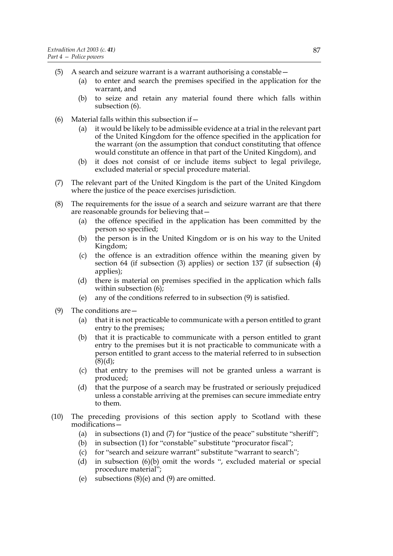- (5) A search and seizure warrant is a warrant authorising a constable—
	- (a) to enter and search the premises specified in the application for the warrant, and
	- (b) to seize and retain any material found there which falls within subsection (6).
- (6) Material falls within this subsection if  $-$ 
	- (a) it would be likely to be admissible evidence at a trial in the relevant part of the United Kingdom for the offence specified in the application for the warrant (on the assumption that conduct constituting that offence would constitute an offence in that part of the United Kingdom), and
	- (b) it does not consist of or include items subject to legal privilege, excluded material or special procedure material.
- (7) The relevant part of the United Kingdom is the part of the United Kingdom where the justice of the peace exercises jurisdiction.
- (8) The requirements for the issue of a search and seizure warrant are that there are reasonable grounds for believing that—
	- (a) the offence specified in the application has been committed by the person so specified;
	- (b) the person is in the United Kingdom or is on his way to the United Kingdom;
	- (c) the offence is an extradition offence within the meaning given by section 64 (if subsection  $(3)$  applies) or section 137 (if subsection  $(4)$ ) applies);
	- (d) there is material on premises specified in the application which falls within subsection  $(6)$ ;
	- (e) any of the conditions referred to in subsection (9) is satisfied.
- (9) The conditions are—
	- (a) that it is not practicable to communicate with a person entitled to grant entry to the premises;
	- (b) that it is practicable to communicate with a person entitled to grant entry to the premises but it is not practicable to communicate with a person entitled to grant access to the material referred to in subsection  $(8)(d);$
	- (c) that entry to the premises will not be granted unless a warrant is produced;
	- (d) that the purpose of a search may be frustrated or seriously prejudiced unless a constable arriving at the premises can secure immediate entry to them.
- (10) The preceding provisions of this section apply to Scotland with these modifications—
	- (a) in subsections (1) and (7) for "justice of the peace" substitute "sheriff";
	- (b) in subsection (1) for "constable" substitute "procurator fiscal";
	- (c) for "search and seizure warrant" substitute "warrant to search";
	- (d) in subsection (6)(b) omit the words ", excluded material or special procedure material";
	- (e) subsections  $(8)(e)$  and  $(9)$  are omitted.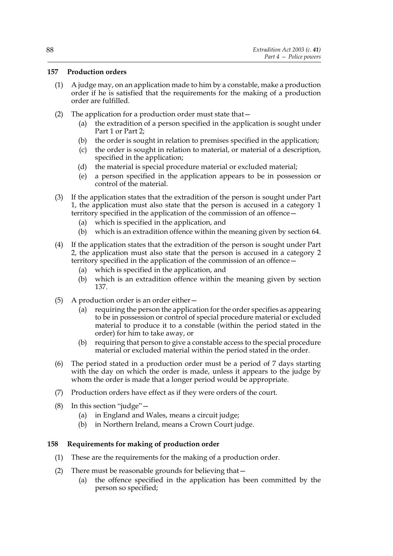## **157 Production orders**

- (1) A judge may, on an application made to him by a constable, make a production order if he is satisfied that the requirements for the making of a production order are fulfilled.
- (2) The application for a production order must state that—
	- (a) the extradition of a person specified in the application is sought under Part 1 or Part 2;
	- (b) the order is sought in relation to premises specified in the application;
	- (c) the order is sought in relation to material, or material of a description, specified in the application;
	- (d) the material is special procedure material or excluded material;
	- (e) a person specified in the application appears to be in possession or control of the material.
- (3) If the application states that the extradition of the person is sought under Part 1, the application must also state that the person is accused in a category 1 territory specified in the application of the commission of an offence—
	- (a) which is specified in the application, and
	- (b) which is an extradition offence within the meaning given by section 64.
- (4) If the application states that the extradition of the person is sought under Part 2, the application must also state that the person is accused in a category 2 territory specified in the application of the commission of an offence—
	- (a) which is specified in the application, and
	- (b) which is an extradition offence within the meaning given by section 137.
- (5) A production order is an order either—
	- (a) requiring the person the application for the order specifies as appearing to be in possession or control of special procedure material or excluded material to produce it to a constable (within the period stated in the order) for him to take away, or
	- (b) requiring that person to give a constable access to the special procedure material or excluded material within the period stated in the order.
- (6) The period stated in a production order must be a period of 7 days starting with the day on which the order is made, unless it appears to the judge by whom the order is made that a longer period would be appropriate.
- (7) Production orders have effect as if they were orders of the court.
- (8) In this section "judge"—
	- (a) in England and Wales, means a circuit judge;
	- (b) in Northern Ireland, means a Crown Court judge.

# **158 Requirements for making of production order**

- (1) These are the requirements for the making of a production order.
- (2) There must be reasonable grounds for believing that—
	- (a) the offence specified in the application has been committed by the person so specified;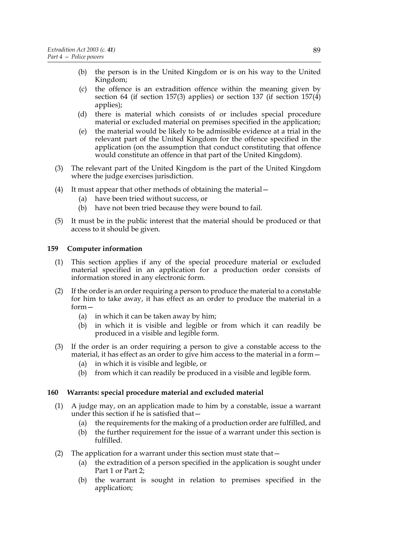- (b) the person is in the United Kingdom or is on his way to the United Kingdom;
- (c) the offence is an extradition offence within the meaning given by section 64 (if section 157(3) applies) or section 137 (if section  $157(4)$ applies);
- (d) there is material which consists of or includes special procedure material or excluded material on premises specified in the application;
- (e) the material would be likely to be admissible evidence at a trial in the relevant part of the United Kingdom for the offence specified in the application (on the assumption that conduct constituting that offence would constitute an offence in that part of the United Kingdom).
- (3) The relevant part of the United Kingdom is the part of the United Kingdom where the judge exercises jurisdiction.
- (4) It must appear that other methods of obtaining the material—
	- (a) have been tried without success, or
	- (b) have not been tried because they were bound to fail.
- (5) It must be in the public interest that the material should be produced or that access to it should be given.

## **159 Computer information**

- (1) This section applies if any of the special procedure material or excluded material specified in an application for a production order consists of information stored in any electronic form.
- (2) If the order is an order requiring a person to produce the material to a constable for him to take away, it has effect as an order to produce the material in a form—
	- (a) in which it can be taken away by him;
	- (b) in which it is visible and legible or from which it can readily be produced in a visible and legible form.
- (3) If the order is an order requiring a person to give a constable access to the material, it has effect as an order to give him access to the material in a form—
	- (a) in which it is visible and legible, or
	- (b) from which it can readily be produced in a visible and legible form.

## **160 Warrants: special procedure material and excluded material**

- (1) A judge may, on an application made to him by a constable, issue a warrant under this section if he is satisfied that—
	- (a) the requirements for the making of a production order are fulfilled, and
	- (b) the further requirement for the issue of a warrant under this section is fulfilled.
- (2) The application for a warrant under this section must state that—
	- (a) the extradition of a person specified in the application is sought under Part 1 or Part 2;
	- (b) the warrant is sought in relation to premises specified in the application;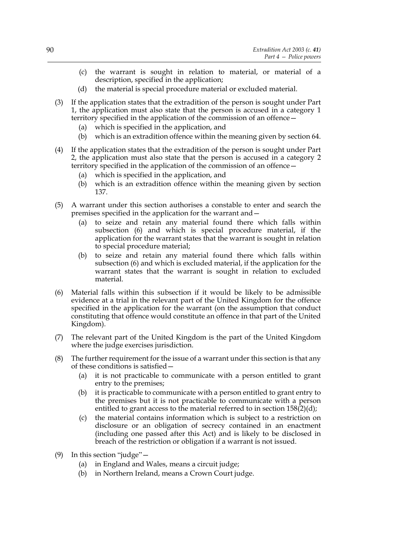- (c) the warrant is sought in relation to material, or material of a description, specified in the application;
- (d) the material is special procedure material or excluded material.
- (3) If the application states that the extradition of the person is sought under Part 1, the application must also state that the person is accused in a category 1 territory specified in the application of the commission of an offence—
	- (a) which is specified in the application, and
	- (b) which is an extradition offence within the meaning given by section 64.
- (4) If the application states that the extradition of the person is sought under Part 2, the application must also state that the person is accused in a category 2 territory specified in the application of the commission of an offence—
	- (a) which is specified in the application, and
	- (b) which is an extradition offence within the meaning given by section 137.
- (5) A warrant under this section authorises a constable to enter and search the premises specified in the application for the warrant and—
	- (a) to seize and retain any material found there which falls within subsection (6) and which is special procedure material, if the application for the warrant states that the warrant is sought in relation to special procedure material;
	- (b) to seize and retain any material found there which falls within subsection (6) and which is excluded material, if the application for the warrant states that the warrant is sought in relation to excluded material.
- (6) Material falls within this subsection if it would be likely to be admissible evidence at a trial in the relevant part of the United Kingdom for the offence specified in the application for the warrant (on the assumption that conduct constituting that offence would constitute an offence in that part of the United Kingdom).
- (7) The relevant part of the United Kingdom is the part of the United Kingdom where the judge exercises jurisdiction.
- (8) The further requirement for the issue of a warrant under this section is that any of these conditions is satisfied—
	- (a) it is not practicable to communicate with a person entitled to grant entry to the premises;
	- (b) it is practicable to communicate with a person entitled to grant entry to the premises but it is not practicable to communicate with a person entitled to grant access to the material referred to in section  $158(2)(d)$ ;
	- (c) the material contains information which is subject to a restriction on disclosure or an obligation of secrecy contained in an enactment (including one passed after this Act) and is likely to be disclosed in breach of the restriction or obligation if a warrant is not issued.
- (9) In this section "judge"—
	- (a) in England and Wales, means a circuit judge;
	- (b) in Northern Ireland, means a Crown Court judge.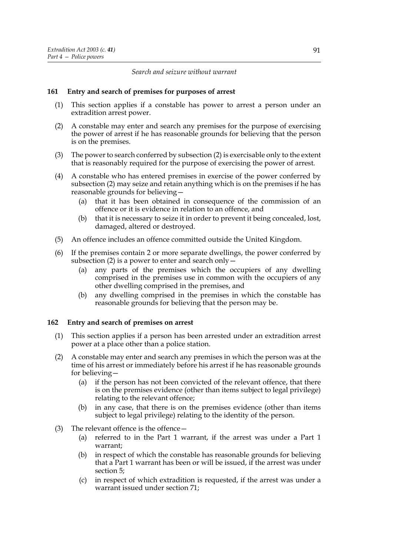### *Search and seizure without warrant*

#### **161 Entry and search of premises for purposes of arrest**

- (1) This section applies if a constable has power to arrest a person under an extradition arrest power.
- (2) A constable may enter and search any premises for the purpose of exercising the power of arrest if he has reasonable grounds for believing that the person is on the premises.
- (3) The power to search conferred by subsection (2) is exercisable only to the extent that is reasonably required for the purpose of exercising the power of arrest.
- (4) A constable who has entered premises in exercise of the power conferred by subsection (2) may seize and retain anything which is on the premises if he has reasonable grounds for believing—
	- (a) that it has been obtained in consequence of the commission of an offence or it is evidence in relation to an offence, and
	- (b) that it is necessary to seize it in order to prevent it being concealed, lost, damaged, altered or destroyed.
- (5) An offence includes an offence committed outside the United Kingdom.
- (6) If the premises contain 2 or more separate dwellings, the power conferred by subsection (2) is a power to enter and search only—
	- (a) any parts of the premises which the occupiers of any dwelling comprised in the premises use in common with the occupiers of any other dwelling comprised in the premises, and
	- (b) any dwelling comprised in the premises in which the constable has reasonable grounds for believing that the person may be.

#### **162 Entry and search of premises on arrest**

- (1) This section applies if a person has been arrested under an extradition arrest power at a place other than a police station.
- (2) A constable may enter and search any premises in which the person was at the time of his arrest or immediately before his arrest if he has reasonable grounds for believing—
	- (a) if the person has not been convicted of the relevant offence, that there is on the premises evidence (other than items subject to legal privilege) relating to the relevant offence;
	- (b) in any case, that there is on the premises evidence (other than items subject to legal privilege) relating to the identity of the person.
- (3) The relevant offence is the offence  $-$ 
	- (a) referred to in the Part 1 warrant, if the arrest was under a Part 1 warrant;
	- (b) in respect of which the constable has reasonable grounds for believing that a Part 1 warrant has been or will be issued, if the arrest was under section 5;
	- (c) in respect of which extradition is requested, if the arrest was under a warrant issued under section 71;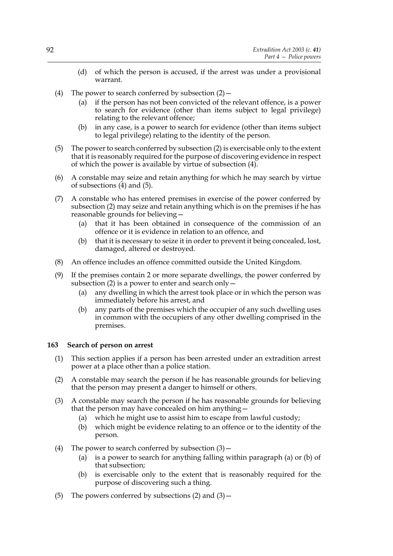- (d) of which the person is accused, if the arrest was under a provisional warrant.
- (4) The power to search conferred by subsection  $(2)$  -
	- (a) if the person has not been convicted of the relevant offence, is a power to search for evidence (other than items subject to legal privilege) relating to the relevant offence;
	- (b) in any case, is a power to search for evidence (other than items subject to legal privilege) relating to the identity of the person.
- (5) The power to search conferred by subsection (2) is exercisable only to the extent that it is reasonably required for the purpose of discovering evidence in respect of which the power is available by virtue of subsection (4).
- (6) A constable may seize and retain anything for which he may search by virtue of subsections (4) and (5).
- (7) A constable who has entered premises in exercise of the power conferred by subsection (2) may seize and retain anything which is on the premises if he has reasonable grounds for believing—
	- (a) that it has been obtained in consequence of the commission of an offence or it is evidence in relation to an offence, and
	- (b) that it is necessary to seize it in order to prevent it being concealed, lost, damaged, altered or destroyed.
- (8) An offence includes an offence committed outside the United Kingdom.
- (9) If the premises contain 2 or more separate dwellings, the power conferred by subsection  $(2)$  is a power to enter and search only  $-$ 
	- (a) any dwelling in which the arrest took place or in which the person was immediately before his arrest, and
	- (b) any parts of the premises which the occupier of any such dwelling uses in common with the occupiers of any other dwelling comprised in the premises.

#### **163 Search of person on arrest**

- (1) This section applies if a person has been arrested under an extradition arrest power at a place other than a police station.
- (2) A constable may search the person if he has reasonable grounds for believing that the person may present a danger to himself or others.
- (3) A constable may search the person if he has reasonable grounds for believing that the person may have concealed on him anything—
	- (a) which he might use to assist him to escape from lawful custody;
	- (b) which might be evidence relating to an offence or to the identity of the person.
- (4) The power to search conferred by subsection  $(3)$ 
	- (a) is a power to search for anything falling within paragraph (a) or (b) of that subsection;
	- (b) is exercisable only to the extent that is reasonably required for the purpose of discovering such a thing.
- (5) The powers conferred by subsections  $(2)$  and  $(3)$  -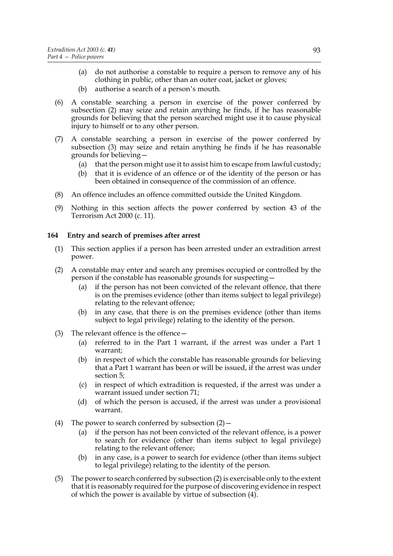- (a) do not authorise a constable to require a person to remove any of his clothing in public, other than an outer coat, jacket or gloves;
- (b) authorise a search of a person's mouth.
- (6) A constable searching a person in exercise of the power conferred by subsection (2) may seize and retain anything he finds, if he has reasonable grounds for believing that the person searched might use it to cause physical injury to himself or to any other person.
- (7) A constable searching a person in exercise of the power conferred by subsection (3) may seize and retain anything he finds if he has reasonable grounds for believing—
	- (a) that the person might use it to assist him to escape from lawful custody;
	- (b) that it is evidence of an offence or of the identity of the person or has been obtained in consequence of the commission of an offence.
- (8) An offence includes an offence committed outside the United Kingdom.
- (9) Nothing in this section affects the power conferred by section 43 of the Terrorism Act 2000 (c. 11).

## **164 Entry and search of premises after arrest**

- (1) This section applies if a person has been arrested under an extradition arrest power.
- (2) A constable may enter and search any premises occupied or controlled by the person if the constable has reasonable grounds for suspecting—
	- (a) if the person has not been convicted of the relevant offence, that there is on the premises evidence (other than items subject to legal privilege) relating to the relevant offence;
	- (b) in any case, that there is on the premises evidence (other than items subject to legal privilege) relating to the identity of the person.
- (3) The relevant offence is the offence—
	- (a) referred to in the Part 1 warrant, if the arrest was under a Part 1 warrant;
	- (b) in respect of which the constable has reasonable grounds for believing that a Part 1 warrant has been or will be issued, if the arrest was under section 5;
	- (c) in respect of which extradition is requested, if the arrest was under a warrant issued under section 71;
	- (d) of which the person is accused, if the arrest was under a provisional warrant.
- (4) The power to search conferred by subsection  $(2)$  -
	- (a) if the person has not been convicted of the relevant offence, is a power to search for evidence (other than items subject to legal privilege) relating to the relevant offence;
	- (b) in any case, is a power to search for evidence (other than items subject to legal privilege) relating to the identity of the person.
- (5) The power to search conferred by subsection (2) is exercisable only to the extent that it is reasonably required for the purpose of discovering evidence in respect of which the power is available by virtue of subsection (4).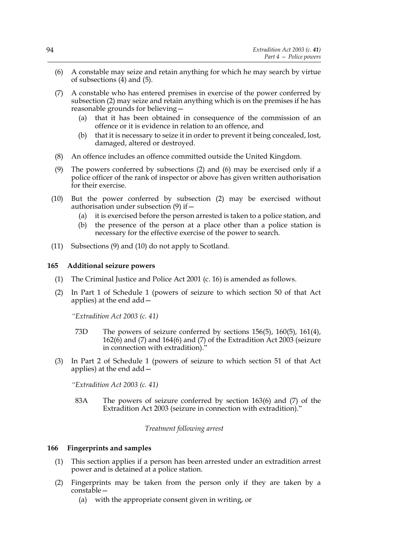- (6) A constable may seize and retain anything for which he may search by virtue of subsections  $(4)$  and  $(5)$ .
- (7) A constable who has entered premises in exercise of the power conferred by subsection (2) may seize and retain anything which is on the premises if he has reasonable grounds for believing—
	- (a) that it has been obtained in consequence of the commission of an offence or it is evidence in relation to an offence, and
	- (b) that it is necessary to seize it in order to prevent it being concealed, lost, damaged, altered or destroyed.
- (8) An offence includes an offence committed outside the United Kingdom.
- (9) The powers conferred by subsections (2) and (6) may be exercised only if a police officer of the rank of inspector or above has given written authorisation for their exercise.
- (10) But the power conferred by subsection (2) may be exercised without authorisation under subsection (9) if—
	- (a) it is exercised before the person arrested is taken to a police station, and
	- (b) the presence of the person at a place other than a police station is necessary for the effective exercise of the power to search.
- (11) Subsections (9) and (10) do not apply to Scotland.

#### **165 Additional seizure powers**

- (1) The Criminal Justice and Police Act 2001 (c. 16) is amended as follows.
- (2) In Part 1 of Schedule 1 (powers of seizure to which section 50 of that Act applies) at the end add—

*"Extradition Act 2003 (c. 41)*

- 73D The powers of seizure conferred by sections 156(5), 160(5), 161(4),  $162(6)$  and (7) and  $164(6)$  and (7) of the Extradition Act 2003 (seizure in connection with extradition)."
- (3) In Part 2 of Schedule 1 (powers of seizure to which section 51 of that Act applies) at the end add—

*"Extradition Act 2003 (c. 41)*

83A The powers of seizure conferred by section 163(6) and (7) of the Extradition Act 2003 (seizure in connection with extradition)."

#### *Treatment following arrest*

#### **166 Fingerprints and samples**

- (1) This section applies if a person has been arrested under an extradition arrest power and is detained at a police station.
- (2) Fingerprints may be taken from the person only if they are taken by a constable—
	- (a) with the appropriate consent given in writing, or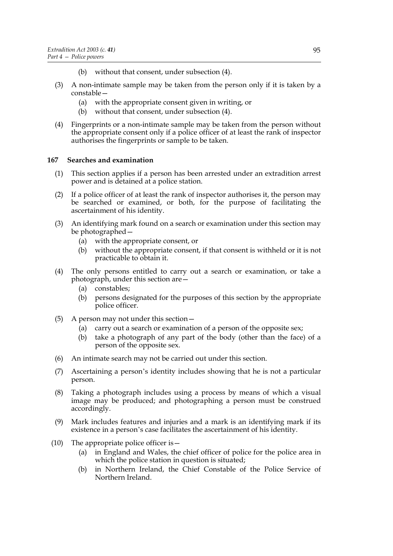- (b) without that consent, under subsection (4).
- (3) A non-intimate sample may be taken from the person only if it is taken by a constable—
	- (a) with the appropriate consent given in writing, or
	- (b) without that consent, under subsection (4).
- (4) Fingerprints or a non-intimate sample may be taken from the person without the appropriate consent only if a police officer of at least the rank of inspector authorises the fingerprints or sample to be taken.

## **167 Searches and examination**

- (1) This section applies if a person has been arrested under an extradition arrest power and is detained at a police station.
- (2) If a police officer of at least the rank of inspector authorises it, the person may be searched or examined, or both, for the purpose of facilitating the ascertainment of his identity.
- (3) An identifying mark found on a search or examination under this section may be photographed—
	- (a) with the appropriate consent, or
	- (b) without the appropriate consent, if that consent is withheld or it is not practicable to obtain it.
- (4) The only persons entitled to carry out a search or examination, or take a photograph, under this section are—
	- (a) constables;
	- (b) persons designated for the purposes of this section by the appropriate police officer.
- (5) A person may not under this section—
	- (a) carry out a search or examination of a person of the opposite sex;
	- (b) take a photograph of any part of the body (other than the face) of a person of the opposite sex.
- (6) An intimate search may not be carried out under this section.
- (7) Ascertaining a person's identity includes showing that he is not a particular person.
- (8) Taking a photograph includes using a process by means of which a visual image may be produced; and photographing a person must be construed accordingly.
- (9) Mark includes features and injuries and a mark is an identifying mark if its existence in a person's case facilitates the ascertainment of his identity.
- (10) The appropriate police officer is  $-$ 
	- (a) in England and Wales, the chief officer of police for the police area in which the police station in question is situated;
	- (b) in Northern Ireland, the Chief Constable of the Police Service of Northern Ireland.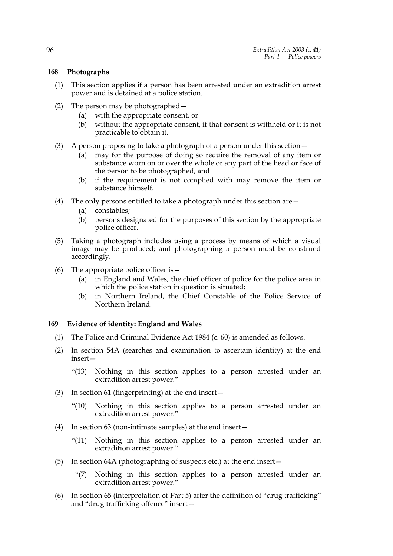## **168 Photographs**

- (1) This section applies if a person has been arrested under an extradition arrest power and is detained at a police station.
- (2) The person may be photographed—
	- (a) with the appropriate consent, or
	- (b) without the appropriate consent, if that consent is withheld or it is not practicable to obtain it.
- (3) A person proposing to take a photograph of a person under this section—
	- (a) may for the purpose of doing so require the removal of any item or substance worn on or over the whole or any part of the head or face of the person to be photographed, and
	- (b) if the requirement is not complied with may remove the item or substance himself.
- (4) The only persons entitled to take a photograph under this section are—
	- (a) constables;
	- (b) persons designated for the purposes of this section by the appropriate police officer.
- (5) Taking a photograph includes using a process by means of which a visual image may be produced; and photographing a person must be construed accordingly.
- (6) The appropriate police officer is  $-$ 
	- (a) in England and Wales, the chief officer of police for the police area in which the police station in question is situated;
	- (b) in Northern Ireland, the Chief Constable of the Police Service of Northern Ireland.

## **169 Evidence of identity: England and Wales**

- (1) The Police and Criminal Evidence Act 1984 (c. 60) is amended as follows.
- (2) In section 54A (searches and examination to ascertain identity) at the end insert—
	- "(13) Nothing in this section applies to a person arrested under an extradition arrest power."
- (3) In section 61 (fingerprinting) at the end insert—
	- "(10) Nothing in this section applies to a person arrested under an extradition arrest power."
- (4) In section 63 (non-intimate samples) at the end insert—
	- "(11) Nothing in this section applies to a person arrested under an extradition arrest power."
- (5) In section 64A (photographing of suspects etc.) at the end insert—
	- "(7) Nothing in this section applies to a person arrested under an extradition arrest power."
- (6) In section 65 (interpretation of Part 5) after the definition of "drug trafficking" and "drug trafficking offence" insert—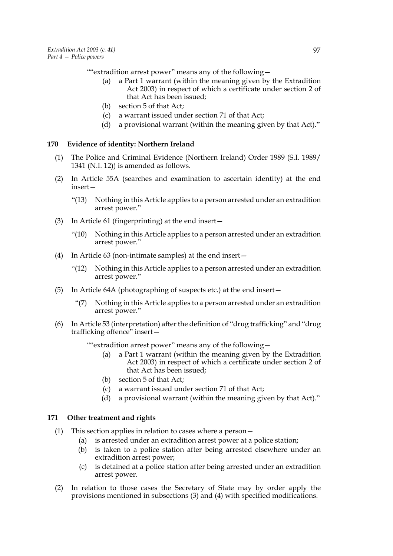""extradition arrest power" means any of the following-

- (a) a Part 1 warrant (within the meaning given by the Extradition Act 2003) in respect of which a certificate under section 2 of that Act has been issued;
- (b) section 5 of that Act;
- (c) a warrant issued under section 71 of that Act;
- (d) a provisional warrant (within the meaning given by that Act)."

## **170 Evidence of identity: Northern Ireland**

- (1) The Police and Criminal Evidence (Northern Ireland) Order 1989 (S.I. 1989/ 1341 (N.I. 12)) is amended as follows.
- (2) In Article 55A (searches and examination to ascertain identity) at the end insert—
	- "(13) Nothing in this Article applies to a person arrested under an extradition arrest power."
- (3) In Article 61 (fingerprinting) at the end insert—
	- "(10) Nothing in this Article applies to a person arrested under an extradition arrest power."
- (4) In Article 63 (non-intimate samples) at the end insert—
	- "(12) Nothing in this Article applies to a person arrested under an extradition arrest power."
- (5) In Article 64A (photographing of suspects etc.) at the end insert—
	- "(7) Nothing in this Article applies to a person arrested under an extradition arrest power."
- (6) In Article 53 (interpretation) after the definition of "drug trafficking" and "drug trafficking offence" insert—
	- ""extradition arrest power" means any of the following—
		- (a) a Part 1 warrant (within the meaning given by the Extradition Act 2003) in respect of which a certificate under section 2 of that Act has been issued;
		- (b) section 5 of that Act;
		- (c) a warrant issued under section 71 of that Act;
		- (d) a provisional warrant (within the meaning given by that Act)."

# **171 Other treatment and rights**

- (1) This section applies in relation to cases where a person—
	- (a) is arrested under an extradition arrest power at a police station;
	- (b) is taken to a police station after being arrested elsewhere under an extradition arrest power;
	- (c) is detained at a police station after being arrested under an extradition arrest power.
- (2) In relation to those cases the Secretary of State may by order apply the provisions mentioned in subsections (3) and (4) with specified modifications.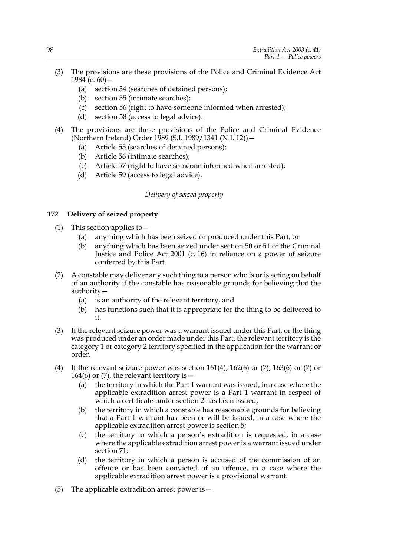- (3) The provisions are these provisions of the Police and Criminal Evidence Act 1984 (c. 60)  $-$ 
	- (a) section 54 (searches of detained persons);
	- (b) section 55 (intimate searches);
	- (c) section 56 (right to have someone informed when arrested);
	- (d) section 58 (access to legal advice).
- (4) The provisions are these provisions of the Police and Criminal Evidence (Northern Ireland) Order 1989 (S.I. 1989/1341 (N.I. 12))—
	- (a) Article 55 (searches of detained persons);
	- (b) Article 56 (intimate searches);
	- (c) Article 57 (right to have someone informed when arrested);
	- (d) Article 59 (access to legal advice).

# *Delivery of seized property*

# **172 Delivery of seized property**

- (1) This section applies to—
	- (a) anything which has been seized or produced under this Part, or
	- (b) anything which has been seized under section 50 or 51 of the Criminal Justice and Police Act 2001 (c. 16) in reliance on a power of seizure conferred by this Part.
- (2) A constable may deliver any such thing to a person who is or is acting on behalf of an authority if the constable has reasonable grounds for believing that the authority—
	- (a) is an authority of the relevant territory, and
	- (b) has functions such that it is appropriate for the thing to be delivered to it.
- (3) If the relevant seizure power was a warrant issued under this Part, or the thing was produced under an order made under this Part, the relevant territory is the category 1 or category 2 territory specified in the application for the warrant or order.
- (4) If the relevant seizure power was section 161(4), 162(6) or (7), 163(6) or (7) or 164(6) or  $(7)$ , the relevant territory is  $-$ 
	- (a) the territory in which the Part 1 warrant was issued, in a case where the applicable extradition arrest power is a Part 1 warrant in respect of which a certificate under section 2 has been issued;
	- (b) the territory in which a constable has reasonable grounds for believing that a Part 1 warrant has been or will be issued, in a case where the applicable extradition arrest power is section 5;
	- (c) the territory to which a person's extradition is requested, in a case where the applicable extradition arrest power is a warrant issued under section 71;
	- (d) the territory in which a person is accused of the commission of an offence or has been convicted of an offence, in a case where the applicable extradition arrest power is a provisional warrant.
- (5) The applicable extradition arrest power is—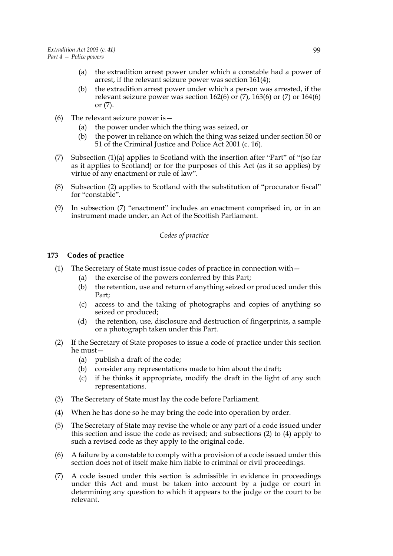- (a) the extradition arrest power under which a constable had a power of arrest, if the relevant seizure power was section 161(4);
- (b) the extradition arrest power under which a person was arrested, if the relevant seizure power was section  $162(6)$  or  $(7)$ ,  $163(6)$  or  $(7)$  or  $164(6)$ or (7).
- (6) The relevant seizure power is  $-$ 
	- (a) the power under which the thing was seized, or
	- (b) the power in reliance on which the thing was seized under section 50 or 51 of the Criminal Justice and Police Act 2001 (c. 16).
- (7) Subsection (1)(a) applies to Scotland with the insertion after "Part" of "(so far as it applies to Scotland) or for the purposes of this Act (as it so applies) by virtue of any enactment or rule of law".
- (8) Subsection (2) applies to Scotland with the substitution of "procurator fiscal" for "constable".
- (9) In subsection (7) "enactment" includes an enactment comprised in, or in an instrument made under, an Act of the Scottish Parliament.

# *Codes of practice*

# **173 Codes of practice**

- (1) The Secretary of State must issue codes of practice in connection with—
	- (a) the exercise of the powers conferred by this Part;
	- (b) the retention, use and return of anything seized or produced under this Part;
	- (c) access to and the taking of photographs and copies of anything so seized or produced;
	- (d) the retention, use, disclosure and destruction of fingerprints, a sample or a photograph taken under this Part.
- (2) If the Secretary of State proposes to issue a code of practice under this section he must—
	- (a) publish a draft of the code;
	- (b) consider any representations made to him about the draft;
	- (c) if he thinks it appropriate, modify the draft in the light of any such representations.
- (3) The Secretary of State must lay the code before Parliament.
- (4) When he has done so he may bring the code into operation by order.
- (5) The Secretary of State may revise the whole or any part of a code issued under this section and issue the code as revised; and subsections (2) to (4) apply to such a revised code as they apply to the original code.
- (6) A failure by a constable to comply with a provision of a code issued under this section does not of itself make him liable to criminal or civil proceedings.
- (7) A code issued under this section is admissible in evidence in proceedings under this Act and must be taken into account by a judge or court in determining any question to which it appears to the judge or the court to be relevant.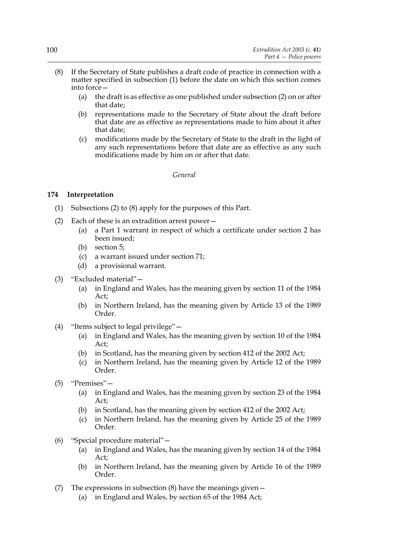- (8) If the Secretary of State publishes a draft code of practice in connection with a matter specified in subsection (1) before the date on which this section comes into force—
	- (a) the draft is as effective as one published under subsection (2) on or after that date;
	- (b) representations made to the Secretary of State about the draft before that date are as effective as representations made to him about it after that date;
	- (c) modifications made by the Secretary of State to the draft in the light of any such representations before that date are as effective as any such modifications made by him on or after that date.

#### *General*

#### **174 Interpretation**

- (1) Subsections (2) to (8) apply for the purposes of this Part.
- (2) Each of these is an extradition arrest power—
	- (a) a Part 1 warrant in respect of which a certificate under section 2 has been issued;
	- (b) section 5;
	- (c) a warrant issued under section 71;
	- (d) a provisional warrant.
- (3) "Excluded material"—
	- (a) in England and Wales, has the meaning given by section 11 of the 1984 Act;
	- (b) in Northern Ireland, has the meaning given by Article 13 of the 1989 Order.
- (4) "Items subject to legal privilege"—
	- (a) in England and Wales, has the meaning given by section 10 of the 1984 Act;
	- (b) in Scotland, has the meaning given by section 412 of the 2002 Act;
	- (c) in Northern Ireland, has the meaning given by Article 12 of the 1989 Order.
- (5) "Premises"—
	- (a) in England and Wales, has the meaning given by section 23 of the 1984 Act;
	- (b) in Scotland, has the meaning given by section 412 of the 2002 Act;
	- (c) in Northern Ireland, has the meaning given by Article 25 of the 1989 Order.
- (6) "Special procedure material"—
	- (a) in England and Wales, has the meaning given by section 14 of the 1984 Act;
	- (b) in Northern Ireland, has the meaning given by Article 16 of the 1989 Order.
- (7) The expressions in subsection  $(8)$  have the meanings given  $-$ 
	- (a) in England and Wales, by section 65 of the 1984 Act;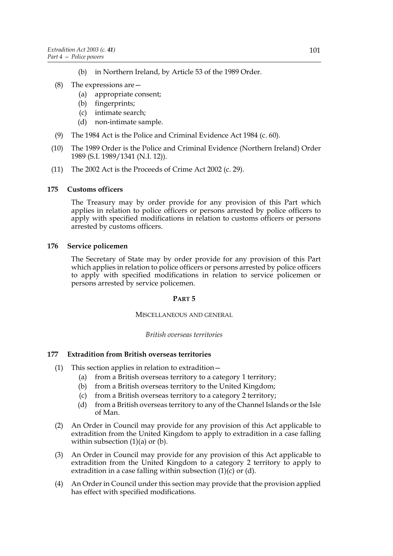- (b) in Northern Ireland, by Article 53 of the 1989 Order.
- (8) The expressions are—
	- (a) appropriate consent;
	- (b) fingerprints;
	- (c) intimate search;
	- (d) non-intimate sample.
- (9) The 1984 Act is the Police and Criminal Evidence Act 1984 (c. 60).
- (10) The 1989 Order is the Police and Criminal Evidence (Northern Ireland) Order 1989 (S.I. 1989/1341 (N.I. 12)).
- (11) The 2002 Act is the Proceeds of Crime Act 2002 (c. 29).

#### **175 Customs officers**

The Treasury may by order provide for any provision of this Part which applies in relation to police officers or persons arrested by police officers to apply with specified modifications in relation to customs officers or persons arrested by customs officers.

# **176 Service policemen**

The Secretary of State may by order provide for any provision of this Part which applies in relation to police officers or persons arrested by police officers to apply with specified modifications in relation to service policemen or persons arrested by service policemen.

#### **PART 5**

#### MISCELLANEOUS AND GENERAL

#### *British overseas territories*

#### **177 Extradition from British overseas territories**

- (1) This section applies in relation to extradition—
	- (a) from a British overseas territory to a category 1 territory;
	- (b) from a British overseas territory to the United Kingdom;
	- (c) from a British overseas territory to a category 2 territory;
	- (d) from a British overseas territory to any of the Channel Islands or the Isle of Man.
- (2) An Order in Council may provide for any provision of this Act applicable to extradition from the United Kingdom to apply to extradition in a case falling within subsection  $(1)(a)$  or  $(b)$ .
- (3) An Order in Council may provide for any provision of this Act applicable to extradition from the United Kingdom to a category 2 territory to apply to extradition in a case falling within subsection  $(1)(c)$  or  $(d)$ .
- (4) An Order in Council under this section may provide that the provision applied has effect with specified modifications.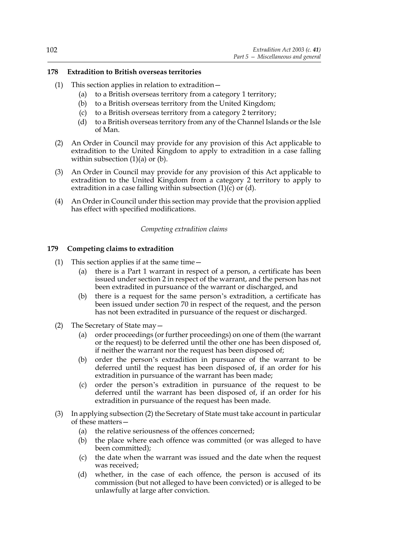# **178 Extradition to British overseas territories**

- (1) This section applies in relation to extradition—
	- (a) to a British overseas territory from a category 1 territory;
	- (b) to a British overseas territory from the United Kingdom;
	- (c) to a British overseas territory from a category 2 territory;
	- (d) to a British overseas territory from any of the Channel Islands or the Isle of Man.
- (2) An Order in Council may provide for any provision of this Act applicable to extradition to the United Kingdom to apply to extradition in a case falling within subsection  $(1)(a)$  or  $(b)$ .
- (3) An Order in Council may provide for any provision of this Act applicable to extradition to the United Kingdom from a category 2 territory to apply to extradition in a case falling within subsection  $(1)(\tilde{c})$  or  $(d)$ .
- (4) An Order in Council under this section may provide that the provision applied has effect with specified modifications.

#### *Competing extradition claims*

#### **179 Competing claims to extradition**

- (1) This section applies if at the same time—
	- (a) there is a Part 1 warrant in respect of a person, a certificate has been issued under section 2 in respect of the warrant, and the person has not been extradited in pursuance of the warrant or discharged, and
	- (b) there is a request for the same person's extradition, a certificate has been issued under section 70 in respect of the request, and the person has not been extradited in pursuance of the request or discharged.
- (2) The Secretary of State may—
	- (a) order proceedings (or further proceedings) on one of them (the warrant or the request) to be deferred until the other one has been disposed of, if neither the warrant nor the request has been disposed of;
	- (b) order the person's extradition in pursuance of the warrant to be deferred until the request has been disposed of, if an order for his extradition in pursuance of the warrant has been made;
	- (c) order the person's extradition in pursuance of the request to be deferred until the warrant has been disposed of, if an order for his extradition in pursuance of the request has been made.
- (3) In applying subsection (2) the Secretary of State must take account in particular of these matters—
	- (a) the relative seriousness of the offences concerned;
	- (b) the place where each offence was committed (or was alleged to have been committed);
	- (c) the date when the warrant was issued and the date when the request was received;
	- (d) whether, in the case of each offence, the person is accused of its commission (but not alleged to have been convicted) or is alleged to be unlawfully at large after conviction.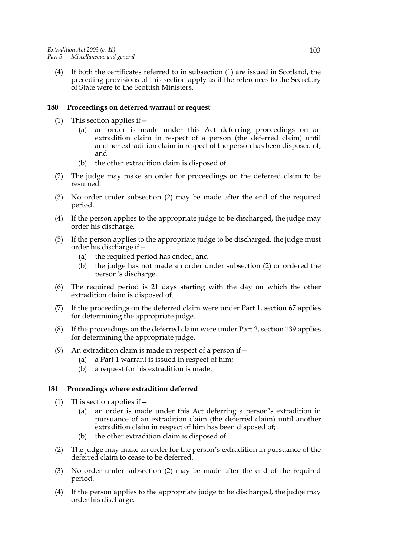(4) If both the certificates referred to in subsection (1) are issued in Scotland, the preceding provisions of this section apply as if the references to the Secretary of State were to the Scottish Ministers.

# **180 Proceedings on deferred warrant or request**

- (1) This section applies if  $-$ 
	- (a) an order is made under this Act deferring proceedings on an extradition claim in respect of a person (the deferred claim) until another extradition claim in respect of the person has been disposed of, and
	- (b) the other extradition claim is disposed of.
- (2) The judge may make an order for proceedings on the deferred claim to be resumed.
- (3) No order under subsection (2) may be made after the end of the required period.
- (4) If the person applies to the appropriate judge to be discharged, the judge may order his discharge.
- (5) If the person applies to the appropriate judge to be discharged, the judge must order his discharge if—
	- (a) the required period has ended, and
	- (b) the judge has not made an order under subsection (2) or ordered the person's discharge.
- (6) The required period is 21 days starting with the day on which the other extradition claim is disposed of.
- (7) If the proceedings on the deferred claim were under Part 1, section 67 applies for determining the appropriate judge.
- (8) If the proceedings on the deferred claim were under Part 2, section 139 applies for determining the appropriate judge.
- (9) An extradition claim is made in respect of a person if  $-$ 
	- (a) a Part 1 warrant is issued in respect of him;
	- (b) a request for his extradition is made.

#### **181 Proceedings where extradition deferred**

- (1) This section applies if  $-$ 
	- (a) an order is made under this Act deferring a person's extradition in pursuance of an extradition claim (the deferred claim) until another extradition claim in respect of him has been disposed of;
	- (b) the other extradition claim is disposed of.
- (2) The judge may make an order for the person's extradition in pursuance of the deferred claim to cease to be deferred.
- (3) No order under subsection (2) may be made after the end of the required period.
- (4) If the person applies to the appropriate judge to be discharged, the judge may order his discharge.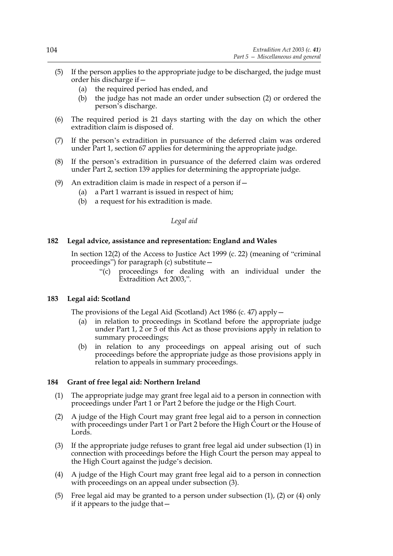- (5) If the person applies to the appropriate judge to be discharged, the judge must order his discharge if—
	- (a) the required period has ended, and
	- (b) the judge has not made an order under subsection (2) or ordered the person's discharge.
- (6) The required period is 21 days starting with the day on which the other extradition claim is disposed of.
- (7) If the person's extradition in pursuance of the deferred claim was ordered under Part 1, section 67 applies for determining the appropriate judge.
- (8) If the person's extradition in pursuance of the deferred claim was ordered under Part 2, section 139 applies for determining the appropriate judge.
- (9) An extradition claim is made in respect of a person if  $-$ 
	- (a) a Part 1 warrant is issued in respect of him;
	- (b) a request for his extradition is made.

#### *Legal aid*

#### **182 Legal advice, assistance and representation: England and Wales**

In section 12(2) of the Access to Justice Act 1999 (c. 22) (meaning of "criminal proceedings") for paragraph (c) substitute—

> "(c) proceedings for dealing with an individual under the Extradition Act 2003,".

# **183 Legal aid: Scotland**

The provisions of the Legal Aid (Scotland) Act 1986 (c. 47) apply—

- (a) in relation to proceedings in Scotland before the appropriate judge under Part  $1, 2$  or  $5$  of this Act as those provisions apply in relation to summary proceedings;
- (b) in relation to any proceedings on appeal arising out of such proceedings before the appropriate judge as those provisions apply in relation to appeals in summary proceedings.

#### **184 Grant of free legal aid: Northern Ireland**

- (1) The appropriate judge may grant free legal aid to a person in connection with proceedings under Part 1 or Part 2 before the judge or the High Court.
- (2) A judge of the High Court may grant free legal aid to a person in connection with proceedings under Part 1 or Part 2 before the High Court or the House of Lord<sub>s</sub>.
- (3) If the appropriate judge refuses to grant free legal aid under subsection (1) in connection with proceedings before the High Court the person may appeal to the High Court against the judge's decision.
- (4) A judge of the High Court may grant free legal aid to a person in connection with proceedings on an appeal under subsection (3).
- (5) Free legal aid may be granted to a person under subsection (1), (2) or (4) only if it appears to the judge that—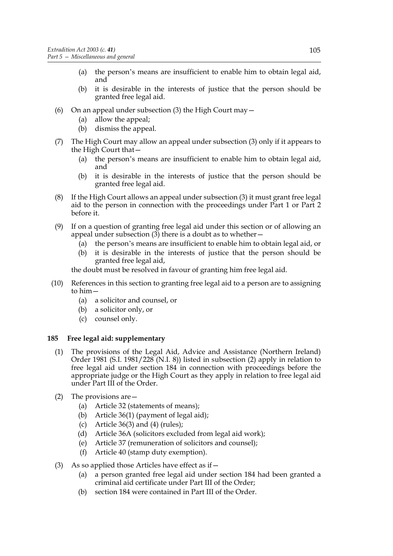- (a) the person's means are insufficient to enable him to obtain legal aid, and
- (b) it is desirable in the interests of justice that the person should be granted free legal aid.
- (6) On an appeal under subsection (3) the High Court may—
	- (a) allow the appeal;
	- (b) dismiss the appeal.
- (7) The High Court may allow an appeal under subsection (3) only if it appears to the High Court that—
	- (a) the person's means are insufficient to enable him to obtain legal aid, and
	- (b) it is desirable in the interests of justice that the person should be granted free legal aid.
- (8) If the High Court allows an appeal under subsection (3) it must grant free legal aid to the person in connection with the proceedings under Part 1 or Part 2 before it.
- (9) If on a question of granting free legal aid under this section or of allowing an appeal under subsection  $(3)$  there is a doubt as to whether  $-$ 
	- (a) the person's means are insufficient to enable him to obtain legal aid, or
	- (b) it is desirable in the interests of justice that the person should be granted free legal aid,

the doubt must be resolved in favour of granting him free legal aid.

- (10) References in this section to granting free legal aid to a person are to assigning to him—
	- (a) a solicitor and counsel, or
	- (b) a solicitor only, or
	- (c) counsel only.

#### **185 Free legal aid: supplementary**

- (1) The provisions of the Legal Aid, Advice and Assistance (Northern Ireland) Order 1981 (S.I. 1981/228 (N.I. 8)) listed in subsection (2) apply in relation to free legal aid under section 184 in connection with proceedings before the appropriate judge or the High Court as they apply in relation to free legal aid under Part III of the Order.
- (2) The provisions are—
	- (a) Article 32 (statements of means);
	- (b) Article 36(1) (payment of legal aid);
	- (c) Article  $36(3)$  and  $(4)$  (rules);
	- (d) Article 36A (solicitors excluded from legal aid work);
	- (e) Article 37 (remuneration of solicitors and counsel);
	- (f) Article 40 (stamp duty exemption).
- (3) As so applied those Articles have effect as if—
	- (a) a person granted free legal aid under section 184 had been granted a criminal aid certificate under Part III of the Order;
	- (b) section 184 were contained in Part III of the Order.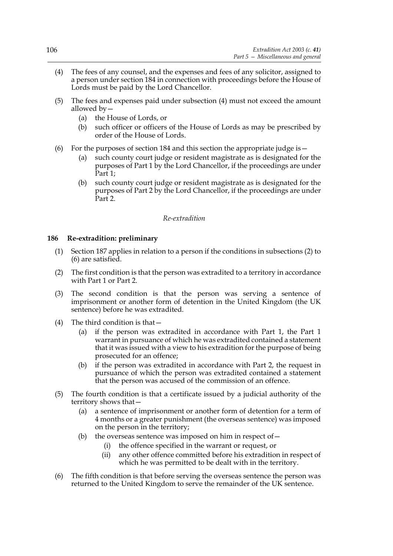- (4) The fees of any counsel, and the expenses and fees of any solicitor, assigned to a person under section 184 in connection with proceedings before the House of Lords must be paid by the Lord Chancellor.
- (5) The fees and expenses paid under subsection (4) must not exceed the amount allowed by—
	- (a) the House of Lords, or
	- (b) such officer or officers of the House of Lords as may be prescribed by order of the House of Lords.
- (6) For the purposes of section 184 and this section the appropriate judge is  $-$ 
	- (a) such county court judge or resident magistrate as is designated for the purposes of Part 1 by the Lord Chancellor, if the proceedings are under Part 1;
	- (b) such county court judge or resident magistrate as is designated for the purposes of Part 2 by the Lord Chancellor, if the proceedings are under Part 2.

#### *Re-extradition*

#### **186 Re-extradition: preliminary**

- (1) Section 187 applies in relation to a person if the conditions in subsections (2) to (6) are satisfied.
- (2) The first condition is that the person was extradited to a territory in accordance with Part 1 or Part 2.
- (3) The second condition is that the person was serving a sentence of imprisonment or another form of detention in the United Kingdom (the UK sentence) before he was extradited.
- (4) The third condition is that—
	- (a) if the person was extradited in accordance with Part 1, the Part 1 warrant in pursuance of which he was extradited contained a statement that it was issued with a view to his extradition for the purpose of being prosecuted for an offence;
	- (b) if the person was extradited in accordance with Part 2, the request in pursuance of which the person was extradited contained a statement that the person was accused of the commission of an offence.
- (5) The fourth condition is that a certificate issued by a judicial authority of the territory shows that—
	- (a) a sentence of imprisonment or another form of detention for a term of 4 months or a greater punishment (the overseas sentence) was imposed on the person in the territory;
	- (b) the overseas sentence was imposed on him in respect of  $-$ 
		- (i) the offence specified in the warrant or request, or
		- (ii) any other offence committed before his extradition in respect of which he was permitted to be dealt with in the territory.
- (6) The fifth condition is that before serving the overseas sentence the person was returned to the United Kingdom to serve the remainder of the UK sentence.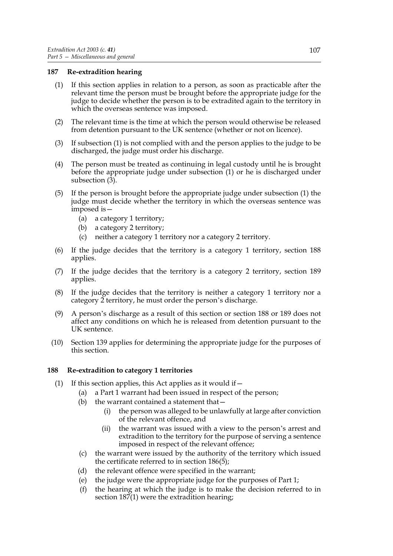# **187 Re-extradition hearing**

- (1) If this section applies in relation to a person, as soon as practicable after the relevant time the person must be brought before the appropriate judge for the judge to decide whether the person is to be extradited again to the territory in which the overseas sentence was imposed.
- (2) The relevant time is the time at which the person would otherwise be released from detention pursuant to the UK sentence (whether or not on licence).
- (3) If subsection (1) is not complied with and the person applies to the judge to be discharged, the judge must order his discharge.
- (4) The person must be treated as continuing in legal custody until he is brought before the appropriate judge under subsection (1) or he is discharged under subsection  $(\overline{3})$ .
- (5) If the person is brought before the appropriate judge under subsection (1) the judge must decide whether the territory in which the overseas sentence was imposed is—
	- (a) a category 1 territory;
	- (b) a category 2 territory;
	- (c) neither a category 1 territory nor a category 2 territory.
- (6) If the judge decides that the territory is a category 1 territory, section 188 applies.
- (7) If the judge decides that the territory is a category 2 territory, section 189 applies.
- (8) If the judge decides that the territory is neither a category 1 territory nor a category 2 territory, he must order the person's discharge.
- (9) A person's discharge as a result of this section or section 188 or 189 does not affect any conditions on which he is released from detention pursuant to the UK sentence.
- (10) Section 139 applies for determining the appropriate judge for the purposes of this section.

#### **188 Re-extradition to category 1 territories**

- (1) If this section applies, this Act applies as it would if  $-$ 
	- (a) a Part 1 warrant had been issued in respect of the person;
	- (b) the warrant contained a statement that—
		- (i) the person was alleged to be unlawfully at large after conviction of the relevant offence, and
		- (ii) the warrant was issued with a view to the person's arrest and extradition to the territory for the purpose of serving a sentence imposed in respect of the relevant offence;
	- (c) the warrant were issued by the authority of the territory which issued the certificate referred to in section  $186(5)$ ;
	- (d) the relevant offence were specified in the warrant;
	- (e) the judge were the appropriate judge for the purposes of Part 1;
	- (f) the hearing at which the judge is to make the decision referred to in section 187(1) were the extradition hearing;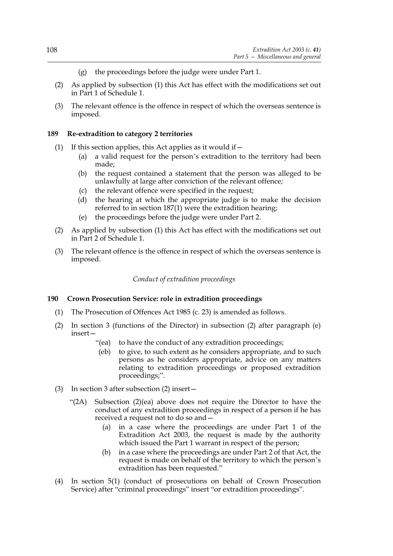- (g) the proceedings before the judge were under Part 1.
- (2) As applied by subsection (1) this Act has effect with the modifications set out in Part 1 of Schedule 1.
- (3) The relevant offence is the offence in respect of which the overseas sentence is imposed.

#### **189 Re-extradition to category 2 territories**

- (1) If this section applies, this Act applies as it would if  $-$ 
	- (a) a valid request for the person's extradition to the territory had been made;
	- (b) the request contained a statement that the person was alleged to be unlawfully at large after conviction of the relevant offence;
	- (c) the relevant offence were specified in the request;
	- (d) the hearing at which the appropriate judge is to make the decision referred to in section 187(1) were the extradition hearing;
	- (e) the proceedings before the judge were under Part 2.
- (2) As applied by subsection (1) this Act has effect with the modifications set out in Part 2 of Schedule 1.
- (3) The relevant offence is the offence in respect of which the overseas sentence is imposed.

#### *Conduct of extradition proceedings*

#### **190 Crown Prosecution Service: role in extradition proceedings**

- (1) The Prosecution of Offences Act 1985 (c. 23) is amended as follows.
- (2) In section 3 (functions of the Director) in subsection (2) after paragraph (e) insert—
	- "(ea) to have the conduct of any extradition proceedings;
	- (eb) to give, to such extent as he considers appropriate, and to such persons as he considers appropriate, advice on any matters relating to extradition proceedings or proposed extradition proceedings;".
- (3) In section 3 after subsection (2) insert—
	- "(2A) Subsection (2)(ea) above does not require the Director to have the conduct of any extradition proceedings in respect of a person if he has received a request not to do so and—
		- (a) in a case where the proceedings are under Part 1 of the Extradition Act 2003, the request is made by the authority which issued the Part 1 warrant in respect of the person;
		- (b) in a case where the proceedings are under Part 2 of that Act, the request is made on behalf of the territory to which the person's extradition has been requested."
- (4) In section 5(1) (conduct of prosecutions on behalf of Crown Prosecution Service) after "criminal proceedings" insert "or extradition proceedings".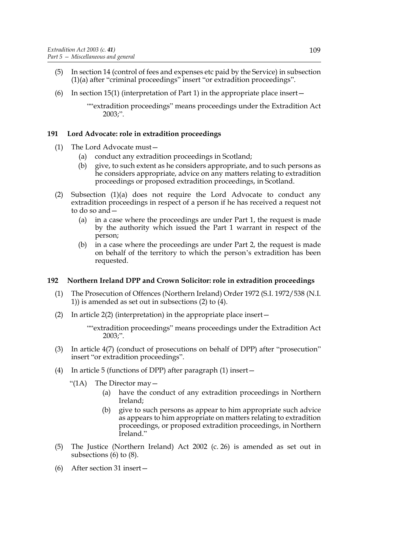- (5) In section 14 (control of fees and expenses etc paid by the Service) in subsection (1)(a) after "criminal proceedings" insert "or extradition proceedings".
- (6) In section 15(1) (interpretation of Part 1) in the appropriate place insert—

""extradition proceedings" means proceedings under the Extradition Act 2003;".

#### **191 Lord Advocate: role in extradition proceedings**

- (1) The Lord Advocate must—
	- (a) conduct any extradition proceedings in Scotland;
	- (b) give, to such extent as he considers appropriate, and to such persons as he considers appropriate, advice on any matters relating to extradition proceedings or proposed extradition proceedings, in Scotland.
- (2) Subsection (1)(a) does not require the Lord Advocate to conduct any extradition proceedings in respect of a person if he has received a request not to do so and—
	- (a) in a case where the proceedings are under Part 1, the request is made by the authority which issued the Part 1 warrant in respect of the person;
	- (b) in a case where the proceedings are under Part 2, the request is made on behalf of the territory to which the person's extradition has been requested.

#### **192 Northern Ireland DPP and Crown Solicitor: role in extradition proceedings**

- (1) The Prosecution of Offences (Northern Ireland) Order 1972 (S.I. 1972/538 (N.I. 1)) is amended as set out in subsections (2) to (4).
- (2) In article 2(2) (interpretation) in the appropriate place insert—

""extradition proceedings" means proceedings under the Extradition Act 2003;".

- (3) In article 4(7) (conduct of prosecutions on behalf of DPP) after "prosecution" insert "or extradition proceedings".
- (4) In article 5 (functions of DPP) after paragraph (1) insert—
	- " $(1A)$  The Director may  $-$ 
		- (a) have the conduct of any extradition proceedings in Northern Ireland;
		- (b) give to such persons as appear to him appropriate such advice as appears to him appropriate on matters relating to extradition proceedings, or proposed extradition proceedings, in Northern Ireland."
- (5) The Justice (Northern Ireland) Act 2002 (c. 26) is amended as set out in subsections  $(6)$  to  $(8)$ .
- (6) After section 31 insert—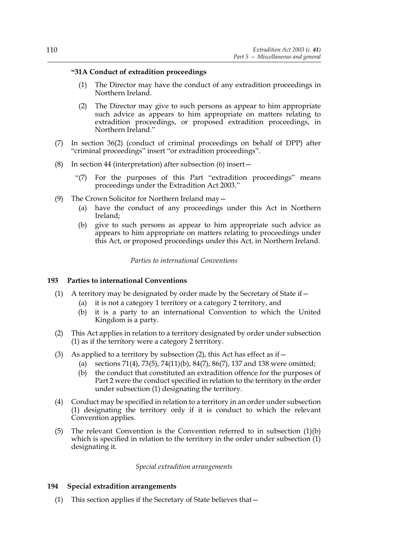# **"31A Conduct of extradition proceedings**

- (1) The Director may have the conduct of any extradition proceedings in Northern Ireland.
- (2) The Director may give to such persons as appear to him appropriate such advice as appears to him appropriate on matters relating to extradition proceedings, or proposed extradition proceedings, in Northern Ireland."
- (7) In section 36(2) (conduct of criminal proceedings on behalf of DPP) after "criminal proceedings" insert "or extradition proceedings".
- (8) In section 44 (interpretation) after subsection (6) insert—
	- "(7) For the purposes of this Part "extradition proceedings" means proceedings under the Extradition Act 2003."
- (9) The Crown Solicitor for Northern Ireland may—
	- (a) have the conduct of any proceedings under this Act in Northern Ireland;
	- (b) give to such persons as appear to him appropriate such advice as appears to him appropriate on matters relating to proceedings under this Act, or proposed proceedings under this Act, in Northern Ireland.

*Parties to international Conventions*

# **193 Parties to international Conventions**

- (1) A territory may be designated by order made by the Secretary of State if  $-$ 
	- (a) it is not a category 1 territory or a category 2 territory, and
	- (b) it is a party to an international Convention to which the United Kingdom is a party.
- (2) This Act applies in relation to a territory designated by order under subsection (1) as if the territory were a category 2 territory.
- (3) As applied to a territory by subsection (2), this Act has effect as if  $-$ 
	- (a) sections 71(4), 73(5), 74(11)(b), 84(7), 86(7), 137 and 138 were omitted;
	- (b) the conduct that constituted an extradition offence for the purposes of Part 2 were the conduct specified in relation to the territory in the order under subsection (1) designating the territory.
- (4) Conduct may be specified in relation to a territory in an order under subsection (1) designating the territory only if it is conduct to which the relevant Convention applies.
- (5) The relevant Convention is the Convention referred to in subsection (1)(b) which is specified in relation to the territory in the order under subsection (1) designating it.

#### *Special extradition arrangements*

#### **194 Special extradition arrangements**

(1) This section applies if the Secretary of State believes that—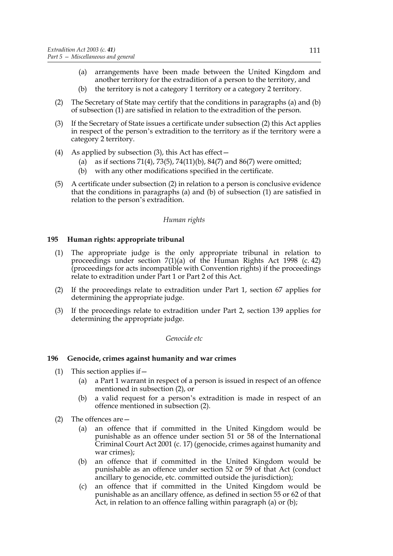- (a) arrangements have been made between the United Kingdom and another territory for the extradition of a person to the territory, and
- (b) the territory is not a category 1 territory or a category 2 territory.
- (2) The Secretary of State may certify that the conditions in paragraphs (a) and (b) of subsection (1) are satisfied in relation to the extradition of the person.
- (3) If the Secretary of State issues a certificate under subsection (2) this Act applies in respect of the person's extradition to the territory as if the territory were a category 2 territory.
- (4) As applied by subsection (3), this Act has effect—
	- (a) as if sections 71(4), 73(5), 74(11)(b), 84(7) and 86(7) were omitted;
	- (b) with any other modifications specified in the certificate.
- (5) A certificate under subsection (2) in relation to a person is conclusive evidence that the conditions in paragraphs (a) and (b) of subsection (1) are satisfied in relation to the person's extradition.

#### *Human rights*

#### **195 Human rights: appropriate tribunal**

- (1) The appropriate judge is the only appropriate tribunal in relation to proceedings under section  $7(1)(a)$  of the Human Rights Act 1998 (c. 42) (proceedings for acts incompatible with Convention rights) if the proceedings relate to extradition under Part 1 or Part 2 of this Act.
- (2) If the proceedings relate to extradition under Part 1, section 67 applies for determining the appropriate judge.
- (3) If the proceedings relate to extradition under Part 2, section 139 applies for determining the appropriate judge.

#### *Genocide etc*

## **196 Genocide, crimes against humanity and war crimes**

- (1) This section applies if—
	- (a) a Part 1 warrant in respect of a person is issued in respect of an offence mentioned in subsection (2), or
	- (b) a valid request for a person's extradition is made in respect of an offence mentioned in subsection (2).
- (2) The offences are—
	- (a) an offence that if committed in the United Kingdom would be punishable as an offence under section 51 or 58 of the International Criminal Court Act 2001 (c. 17) (genocide, crimes against humanity and war crimes);
	- (b) an offence that if committed in the United Kingdom would be punishable as an offence under section 52 or 59 of that Act (conduct ancillary to genocide, etc. committed outside the jurisdiction);
	- (c) an offence that if committed in the United Kingdom would be punishable as an ancillary offence, as defined in section 55 or 62 of that Act, in relation to an offence falling within paragraph (a) or (b);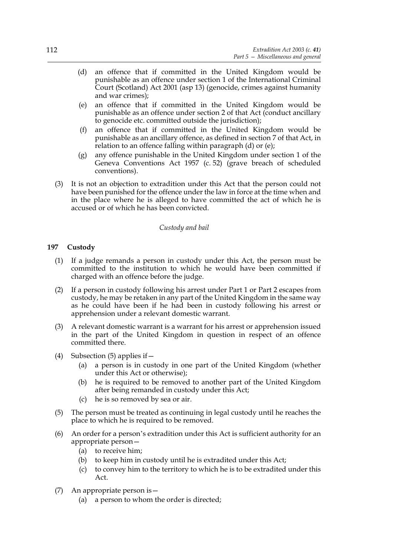- (d) an offence that if committed in the United Kingdom would be punishable as an offence under section 1 of the International Criminal Court (Scotland) Act 2001 (asp 13) (genocide, crimes against humanity and war crimes);
- (e) an offence that if committed in the United Kingdom would be punishable as an offence under section 2 of that Act (conduct ancillary to genocide etc. committed outside the jurisdiction);
- (f) an offence that if committed in the United Kingdom would be punishable as an ancillary offence, as defined in section 7 of that Act, in relation to an offence falling within paragraph (d) or (e);
- (g) any offence punishable in the United Kingdom under section 1 of the Geneva Conventions Act 1957 (c. 52) (grave breach of scheduled conventions).
- (3) It is not an objection to extradition under this Act that the person could not have been punished for the offence under the law in force at the time when and in the place where he is alleged to have committed the act of which he is accused or of which he has been convicted.

#### *Custody and bail*

#### **197 Custody**

- (1) If a judge remands a person in custody under this Act, the person must be committed to the institution to which he would have been committed if charged with an offence before the judge.
- (2) If a person in custody following his arrest under Part 1 or Part 2 escapes from custody, he may be retaken in any part of the United Kingdom in the same way as he could have been if he had been in custody following his arrest or apprehension under a relevant domestic warrant.
- (3) A relevant domestic warrant is a warrant for his arrest or apprehension issued in the part of the United Kingdom in question in respect of an offence committed there.
- (4) Subsection (5) applies if  $-$ 
	- (a) a person is in custody in one part of the United Kingdom (whether under this Act or otherwise);
	- (b) he is required to be removed to another part of the United Kingdom after being remanded in custody under this Act;
	- (c) he is so removed by sea or air.
- (5) The person must be treated as continuing in legal custody until he reaches the place to which he is required to be removed.
- (6) An order for a person's extradition under this Act is sufficient authority for an appropriate person—
	- (a) to receive him;
	- (b) to keep him in custody until he is extradited under this Act;
	- (c) to convey him to the territory to which he is to be extradited under this Act.
- (7) An appropriate person is—
	- (a) a person to whom the order is directed;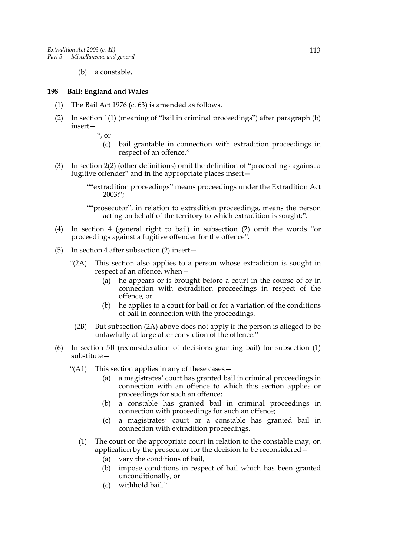(b) a constable.

# **198 Bail: England and Wales**

- (1) The Bail Act 1976 (c. 63) is amended as follows.
- (2) In section 1(1) (meaning of "bail in criminal proceedings") after paragraph (b) insert—

", or

- (c) bail grantable in connection with extradition proceedings in respect of an offence."
- (3) In section 2(2) (other definitions) omit the definition of "proceedings against a fugitive offender" and in the appropriate places insert—

""extradition proceedings" means proceedings under the Extradition Act 2003;";

""prosecutor", in relation to extradition proceedings, means the person acting on behalf of the territory to which extradition is sought;".

- (4) In section 4 (general right to bail) in subsection (2) omit the words "or proceedings against a fugitive offender for the offence".
- (5) In section 4 after subsection (2) insert—
	- "(2A) This section also applies to a person whose extradition is sought in respect of an offence, when—
		- (a) he appears or is brought before a court in the course of or in connection with extradition proceedings in respect of the offence, or
		- (b) he applies to a court for bail or for a variation of the conditions of bail in connection with the proceedings.
	- (2B) But subsection (2A) above does not apply if the person is alleged to be unlawfully at large after conviction of the offence."
- (6) In section 5B (reconsideration of decisions granting bail) for subsection (1) substitute—
	- "(A1) This section applies in any of these cases—
		- (a) a magistrates' court has granted bail in criminal proceedings in connection with an offence to which this section applies or proceedings for such an offence;
		- (b) a constable has granted bail in criminal proceedings in connection with proceedings for such an offence;
		- (c) a magistrates' court or a constable has granted bail in connection with extradition proceedings.
		- (1) The court or the appropriate court in relation to the constable may, on application by the prosecutor for the decision to be reconsidered—
			- (a) vary the conditions of bail,
			- (b) impose conditions in respect of bail which has been granted unconditionally, or
			- (c) withhold bail."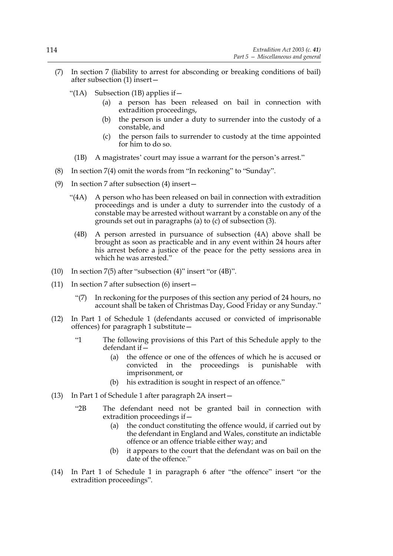- (7) In section 7 (liability to arrest for absconding or breaking conditions of bail) after subsection (1) insert—
	- "(1A) Subsection (1B) applies if  $-$ 
		- (a) a person has been released on bail in connection with extradition proceedings,
		- (b) the person is under a duty to surrender into the custody of a constable, and
		- (c) the person fails to surrender to custody at the time appointed for him to do so.
		- (1B) A magistrates' court may issue a warrant for the person's arrest."
- (8) In section 7(4) omit the words from "In reckoning" to "Sunday".
- (9) In section 7 after subsection (4) insert—
	- "(4A) A person who has been released on bail in connection with extradition proceedings and is under a duty to surrender into the custody of a constable may be arrested without warrant by a constable on any of the grounds set out in paragraphs (a) to (c) of subsection (3).
		- (4B) A person arrested in pursuance of subsection (4A) above shall be brought as soon as practicable and in any event within 24 hours after his arrest before a justice of the peace for the petty sessions area in which he was arrested."
- (10) In section 7(5) after "subsection (4)" insert "or (4B)".
- (11) In section 7 after subsection (6) insert—
	- "(7) In reckoning for the purposes of this section any period of 24 hours, no account shall be taken of Christmas Day, Good Friday or any Sunday."
- (12) In Part 1 of Schedule 1 (defendants accused or convicted of imprisonable offences) for paragraph 1 substitute—
	- "1 The following provisions of this Part of this Schedule apply to the defendant if—
		- (a) the offence or one of the offences of which he is accused or convicted in the proceedings is punishable with imprisonment, or
		- (b) his extradition is sought in respect of an offence."
- (13) In Part 1 of Schedule 1 after paragraph 2A insert—
	- "2B The defendant need not be granted bail in connection with extradition proceedings if—
		- (a) the conduct constituting the offence would, if carried out by the defendant in England and Wales, constitute an indictable offence or an offence triable either way; and
		- (b) it appears to the court that the defendant was on bail on the date of the offence."
- (14) In Part 1 of Schedule 1 in paragraph 6 after "the offence" insert "or the extradition proceedings".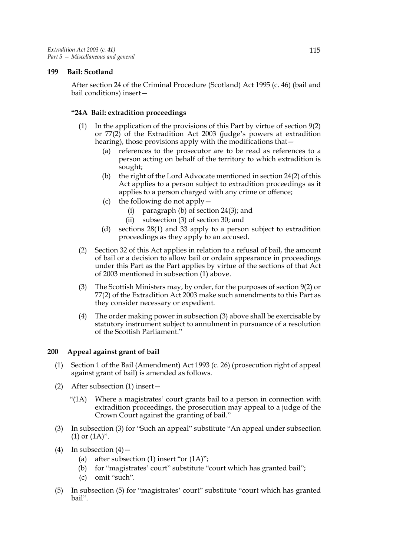# **199 Bail: Scotland**

After section 24 of the Criminal Procedure (Scotland) Act 1995 (c. 46) (bail and bail conditions) insert—

# **"24A Bail: extradition proceedings**

- (1) In the application of the provisions of this Part by virtue of section 9(2) or 77(2) of the Extradition Act 2003 (judge's powers at extradition hearing), those provisions apply with the modifications that —
	- (a) references to the prosecutor are to be read as references to a person acting on behalf of the territory to which extradition is sought;
	- (b) the right of the Lord Advocate mentioned in section 24(2) of this Act applies to a person subject to extradition proceedings as it applies to a person charged with any crime or offence;
	- (c) the following do not apply  $-$ 
		- (i) paragraph (b) of section 24(3); and
		- (ii) subsection (3) of section 30; and
	- (d) sections 28(1) and 33 apply to a person subject to extradition proceedings as they apply to an accused.
- (2) Section 32 of this Act applies in relation to a refusal of bail, the amount of bail or a decision to allow bail or ordain appearance in proceedings under this Part as the Part applies by virtue of the sections of that Act of 2003 mentioned in subsection (1) above.
- (3) The Scottish Ministers may, by order, for the purposes of section 9(2) or 77(2) of the Extradition Act 2003 make such amendments to this Part as they consider necessary or expedient.
- (4) The order making power in subsection (3) above shall be exercisable by statutory instrument subject to annulment in pursuance of a resolution of the Scottish Parliament."

# **200 Appeal against grant of bail**

- (1) Section 1 of the Bail (Amendment) Act 1993 (c. 26) (prosecution right of appeal against grant of bail) is amended as follows.
- (2) After subsection (1) insert—
	- "(1A) Where a magistrates' court grants bail to a person in connection with extradition proceedings, the prosecution may appeal to a judge of the Crown Court against the granting of bail."
- (3) In subsection (3) for "Such an appeal" substitute "An appeal under subsection (1) or (1A)".
- (4) In subsection  $(4)$ 
	- (a) after subsection (1) insert "or  $(1A)$ ";
	- (b) for "magistrates' court" substitute "court which has granted bail";
	- (c) omit "such".
- (5) In subsection (5) for "magistrates' court" substitute "court which has granted bail".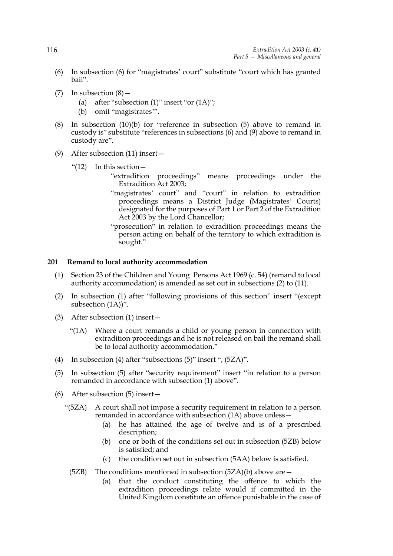- (6) In subsection (6) for "magistrates' court" substitute "court which has granted bail".
- (7) In subsection  $(8)$ 
	- (a) after "subsection  $(1)$ " insert "or  $(1A)$ ";
	- (b) omit "magistrates'".
- (8) In subsection (10)(b) for "reference in subsection (5) above to remand in custody is" substitute "references in subsections (6) and (9) above to remand in custody are".
- (9) After subsection (11) insert—
	- "(12) In this section—
		- "extradition proceedings" means proceedings under the Extradition Act 2003;
		- "magistrates' court" and "court" in relation to extradition proceedings means a District Judge (Magistrates' Courts) designated for the purposes of Part 1 or Part 2 of the Extradition Act 2003 by the Lord Chancellor;
		- "prosecution" in relation to extradition proceedings means the person acting on behalf of the territory to which extradition is sought."

#### **201 Remand to local authority accommodation**

- (1) Section 23 of the Children and Young Persons Act 1969 (c. 54) (remand to local authority accommodation) is amended as set out in subsections (2) to (11).
- (2) In subsection (1) after "following provisions of this section" insert "(except subsection  $(1A)$ <sup>"</sup>.
- (3) After subsection (1) insert—
	- "(1A) Where a court remands a child or young person in connection with extradition proceedings and he is not released on bail the remand shall be to local authority accommodation."
- (4) In subsection (4) after "subsections (5)" insert ", (5ZA)".
- (5) In subsection (5) after "security requirement" insert "in relation to a person remanded in accordance with subsection (1) above".
- (6) After subsection (5) insert—
	- "(5ZA) A court shall not impose a security requirement in relation to a person remanded in accordance with subsection (1A) above unless—
		- (a) he has attained the age of twelve and is of a prescribed description;
		- (b) one or both of the conditions set out in subsection (5ZB) below is satisfied; and
		- (c) the condition set out in subsection (5AA) below is satisfied.
		- (5ZB) The conditions mentioned in subsection (5ZA)(b) above are  $-$ 
			- (a) that the conduct constituting the offence to which the extradition proceedings relate would if committed in the United Kingdom constitute an offence punishable in the case of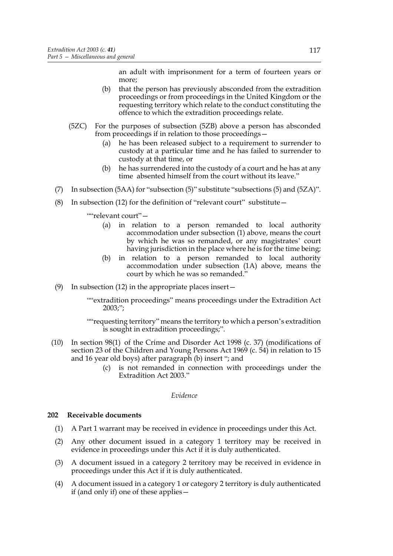an adult with imprisonment for a term of fourteen years or more;

- (b) that the person has previously absconded from the extradition proceedings or from proceedings in the United Kingdom or the requesting territory which relate to the conduct constituting the offence to which the extradition proceedings relate.
- (5ZC) For the purposes of subsection (5ZB) above a person has absconded from proceedings if in relation to those proceedings—
	- (a) he has been released subject to a requirement to surrender to custody at a particular time and he has failed to surrender to custody at that time, or
	- (b) he has surrendered into the custody of a court and he has at any time absented himself from the court without its leave."
- (7) In subsection (5AA) for "subsection (5)" substitute "subsections (5) and (5ZA)".
- (8) In subsection (12) for the definition of "relevant court" substitute—

""relevant court"—

- (a) in relation to a person remanded to local authority accommodation under subsection (1) above, means the court by which he was so remanded, or any magistrates' court having jurisdiction in the place where he is for the time being;
- (b) in relation to a person remanded to local authority accommodation under subsection (1A) above, means the court by which he was so remanded."
- (9) In subsection (12) in the appropriate places insert—
	- ""extradition proceedings" means proceedings under the Extradition Act 2003;";
	- ""requesting territory" means the territory to which a person's extradition is sought in extradition proceedings;".
- (10) In section 98(1) of the Crime and Disorder Act 1998 (c. 37) (modifications of section 23 of the Children and Young Persons Act 1969 (c. 54) in relation to 15 and 16 year old boys) after paragraph (b) insert "; and
	- (c) is not remanded in connection with proceedings under the Extradition Act 2003."

*Evidence*

#### **202 Receivable documents**

- (1) A Part 1 warrant may be received in evidence in proceedings under this Act.
- (2) Any other document issued in a category 1 territory may be received in evidence in proceedings under this Act if it is duly authenticated.
- (3) A document issued in a category 2 territory may be received in evidence in proceedings under this Act if it is duly authenticated.
- (4) A document issued in a category 1 or category 2 territory is duly authenticated if (and only if) one of these applies—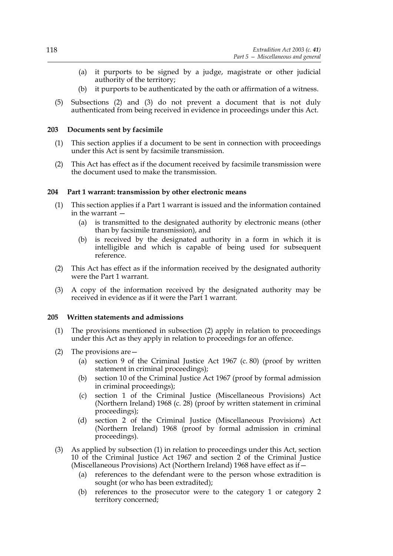- (a) it purports to be signed by a judge, magistrate or other judicial authority of the territory;
- (b) it purports to be authenticated by the oath or affirmation of a witness.
- (5) Subsections (2) and (3) do not prevent a document that is not duly authenticated from being received in evidence in proceedings under this Act.

#### **203 Documents sent by facsimile**

- (1) This section applies if a document to be sent in connection with proceedings under this Act is sent by facsimile transmission.
- (2) This Act has effect as if the document received by facsimile transmission were the document used to make the transmission.

#### **204 Part 1 warrant: transmission by other electronic means**

- (1) This section applies if a Part 1 warrant is issued and the information contained in the warrant —
	- (a) is transmitted to the designated authority by electronic means (other than by facsimile transmission), and
	- (b) is received by the designated authority in a form in which it is intelligible and which is capable of being used for subsequent reference.
- (2) This Act has effect as if the information received by the designated authority were the Part 1 warrant.
- (3) A copy of the information received by the designated authority may be received in evidence as if it were the Part 1 warrant.

# **205 Written statements and admissions**

- (1) The provisions mentioned in subsection (2) apply in relation to proceedings under this Act as they apply in relation to proceedings for an offence.
- (2) The provisions are—
	- (a) section 9 of the Criminal Justice Act 1967 (c. 80) (proof by written statement in criminal proceedings);
	- (b) section 10 of the Criminal Justice Act 1967 (proof by formal admission in criminal proceedings);
	- (c) section 1 of the Criminal Justice (Miscellaneous Provisions) Act (Northern Ireland) 1968 (c. 28) (proof by written statement in criminal proceedings);
	- (d) section 2 of the Criminal Justice (Miscellaneous Provisions) Act (Northern Ireland) 1968 (proof by formal admission in criminal proceedings).
- (3) As applied by subsection (1) in relation to proceedings under this Act, section 10 of the Criminal Justice Act 1967 and section 2 of the Criminal Justice (Miscellaneous Provisions) Act (Northern Ireland) 1968 have effect as if—
	- (a) references to the defendant were to the person whose extradition is sought (or who has been extradited);
	- (b) references to the prosecutor were to the category 1 or category 2 territory concerned;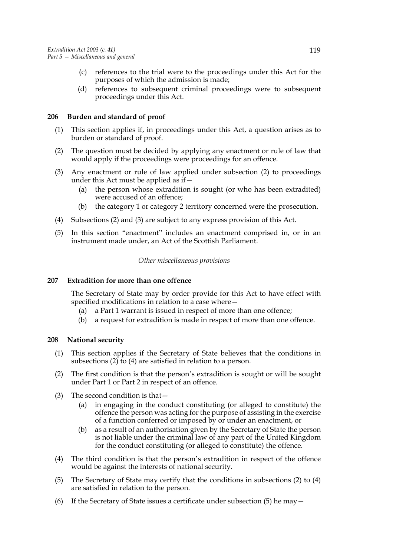- (c) references to the trial were to the proceedings under this Act for the purposes of which the admission is made;
- (d) references to subsequent criminal proceedings were to subsequent proceedings under this Act.

# **206 Burden and standard of proof**

- (1) This section applies if, in proceedings under this Act, a question arises as to burden or standard of proof.
- (2) The question must be decided by applying any enactment or rule of law that would apply if the proceedings were proceedings for an offence.
- (3) Any enactment or rule of law applied under subsection (2) to proceedings under this Act must be applied as  $if$  –
	- (a) the person whose extradition is sought (or who has been extradited) were accused of an offence;
	- (b) the category 1 or category 2 territory concerned were the prosecution.
- (4) Subsections (2) and (3) are subject to any express provision of this Act.
- (5) In this section "enactment" includes an enactment comprised in, or in an instrument made under, an Act of the Scottish Parliament.

#### *Other miscellaneous provisions*

# **207 Extradition for more than one offence**

The Secretary of State may by order provide for this Act to have effect with specified modifications in relation to a case where—

- (a) a Part 1 warrant is issued in respect of more than one offence;
- (b) a request for extradition is made in respect of more than one offence.

#### **208 National security**

- (1) This section applies if the Secretary of State believes that the conditions in subsections (2) to (4) are satisfied in relation to a person.
- (2) The first condition is that the person's extradition is sought or will be sought under Part 1 or Part 2 in respect of an offence.
- (3) The second condition is that—
	- (a) in engaging in the conduct constituting (or alleged to constitute) the offence the person was acting for the purpose of assisting in the exercise of a function conferred or imposed by or under an enactment, or
	- (b) as a result of an authorisation given by the Secretary of State the person is not liable under the criminal law of any part of the United Kingdom for the conduct constituting (or alleged to constitute) the offence.
- (4) The third condition is that the person's extradition in respect of the offence would be against the interests of national security.
- (5) The Secretary of State may certify that the conditions in subsections (2) to (4) are satisfied in relation to the person.
- (6) If the Secretary of State issues a certificate under subsection (5) he may  $-$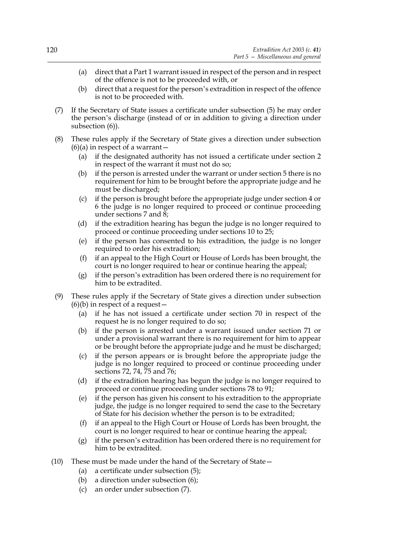- (a) direct that a Part 1 warrant issued in respect of the person and in respect of the offence is not to be proceeded with, or
- (b) direct that a request for the person's extradition in respect of the offence is not to be proceeded with.
- (7) If the Secretary of State issues a certificate under subsection (5) he may order the person's discharge (instead of or in addition to giving a direction under subsection  $(6)$ ).
- (8) These rules apply if the Secretary of State gives a direction under subsection  $(6)(a)$  in respect of a warrant –
	- (a) if the designated authority has not issued a certificate under section 2 in respect of the warrant it must not do so;
	- (b) if the person is arrested under the warrant or under section 5 there is no requirement for him to be brought before the appropriate judge and he must be discharged;
	- (c) if the person is brought before the appropriate judge under section 4 or 6 the judge is no longer required to proceed or continue proceeding under sections 7 and 8;
	- (d) if the extradition hearing has begun the judge is no longer required to proceed or continue proceeding under sections 10 to 25;
	- (e) if the person has consented to his extradition, the judge is no longer required to order his extradition;
	- (f) if an appeal to the High Court or House of Lords has been brought, the court is no longer required to hear or continue hearing the appeal;
	- $(g)$  if the person's extradition has been ordered there is no requirement for him to be extradited.
- (9) These rules apply if the Secretary of State gives a direction under subsection  $(6)(b)$  in respect of a request –
	- (a) if he has not issued a certificate under section 70 in respect of the request he is no longer required to do so;
	- (b) if the person is arrested under a warrant issued under section 71 or under a provisional warrant there is no requirement for him to appear or be brought before the appropriate judge and he must be discharged;
	- (c) if the person appears or is brought before the appropriate judge the judge is no longer required to proceed or continue proceeding under sections 72, 74, 75 and 76;
	- (d) if the extradition hearing has begun the judge is no longer required to proceed or continue proceeding under sections 78 to 91;
	- (e) if the person has given his consent to his extradition to the appropriate judge, the judge is no longer required to send the case to the Secretary of State for his decision whether the person is to be extradited;
	- (f) if an appeal to the High Court or House of Lords has been brought, the court is no longer required to hear or continue hearing the appeal;
	- (g) if the person's extradition has been ordered there is no requirement for him to be extradited.
- (10) These must be made under the hand of the Secretary of State—
	- (a) a certificate under subsection (5);
	- (b) a direction under subsection (6);
	- (c) an order under subsection (7).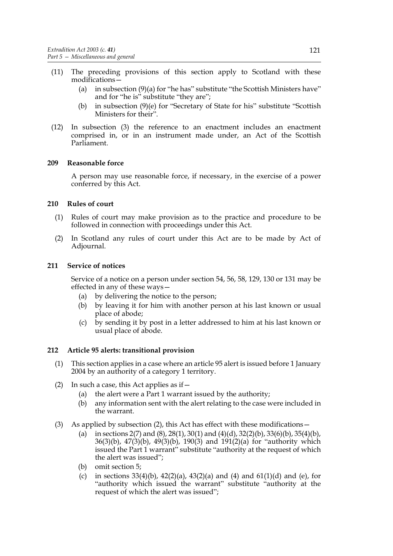- (11) The preceding provisions of this section apply to Scotland with these modifications—
	- (a) in subsection (9)(a) for "he has" substitute "the Scottish Ministers have" and for "he is" substitute "they are";
	- (b) in subsection (9)(e) for "Secretary of State for his" substitute "Scottish Ministers for their".
- (12) In subsection (3) the reference to an enactment includes an enactment comprised in, or in an instrument made under, an Act of the Scottish Parliament.

#### **209 Reasonable force**

A person may use reasonable force, if necessary, in the exercise of a power conferred by this Act.

#### **210 Rules of court**

- (1) Rules of court may make provision as to the practice and procedure to be followed in connection with proceedings under this Act.
- (2) In Scotland any rules of court under this Act are to be made by Act of Adjournal.

#### **211 Service of notices**

Service of a notice on a person under section 54, 56, 58, 129, 130 or 131 may be effected in any of these ways—

- (a) by delivering the notice to the person;
- (b) by leaving it for him with another person at his last known or usual place of abode;
- (c) by sending it by post in a letter addressed to him at his last known or usual place of abode.

# **212 Article 95 alerts: transitional provision**

- (1) This section applies in a case where an article 95 alert is issued before 1 January 2004 by an authority of a category 1 territory.
- (2) In such a case, this Act applies as if  $-$ 
	- (a) the alert were a Part 1 warrant issued by the authority;
	- (b) any information sent with the alert relating to the case were included in the warrant.
- (3) As applied by subsection (2), this Act has effect with these modifications—
	- (a) in sections 2(7) and (8), 28(1), 30(1) and (4)(d), 32(2)(b), 33(6)(b), 35(4)(b), 36(3)(b), 47(3)(b), 49(3)(b), 190(3) and 191(2)(a) for "authority which issued the Part 1 warrant" substitute "authority at the request of which the alert was issued";
	- (b) omit section 5;
	- (c) in sections  $33(4)(b)$ ,  $42(2)(a)$ ,  $43(2)(a)$  and  $(4)$  and  $61(1)(d)$  and  $(e)$ , for "authority which issued the warrant" substitute "authority at the request of which the alert was issued";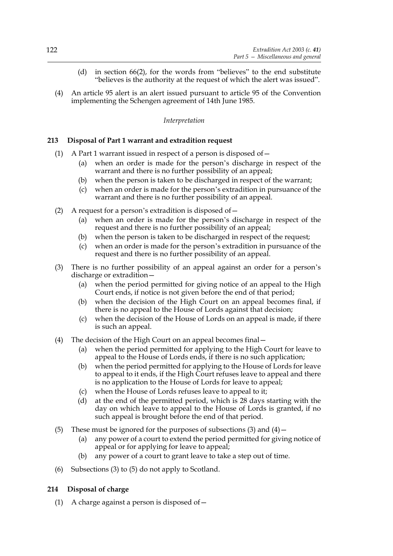- (d) in section 66(2), for the words from "believes" to the end substitute "believes is the authority at the request of which the alert was issued".
- (4) An article 95 alert is an alert issued pursuant to article 95 of the Convention implementing the Schengen agreement of 14th June 1985.

#### *Interpretation*

#### **213 Disposal of Part 1 warrant and extradition request**

- (1) A Part 1 warrant issued in respect of a person is disposed of  $-$ 
	- (a) when an order is made for the person's discharge in respect of the warrant and there is no further possibility of an appeal;
	- (b) when the person is taken to be discharged in respect of the warrant;
	- (c) when an order is made for the person's extradition in pursuance of the warrant and there is no further possibility of an appeal.
- (2) A request for a person's extradition is disposed of  $-$ 
	- (a) when an order is made for the person's discharge in respect of the request and there is no further possibility of an appeal;
	- (b) when the person is taken to be discharged in respect of the request;
	- (c) when an order is made for the person's extradition in pursuance of the request and there is no further possibility of an appeal.
- (3) There is no further possibility of an appeal against an order for a person's discharge or extradition—
	- (a) when the period permitted for giving notice of an appeal to the High Court ends, if notice is not given before the end of that period;
	- (b) when the decision of the High Court on an appeal becomes final, if there is no appeal to the House of Lords against that decision;
	- (c) when the decision of the House of Lords on an appeal is made, if there is such an appeal.
- (4) The decision of the High Court on an appeal becomes final—
	- (a) when the period permitted for applying to the High Court for leave to appeal to the House of Lords ends, if there is no such application;
	- (b) when the period permitted for applying to the House of Lords for leave to appeal to it ends, if the High Court refuses leave to appeal and there is no application to the House of Lords for leave to appeal;
	- (c) when the House of Lords refuses leave to appeal to it;
	- (d) at the end of the permitted period, which is 28 days starting with the day on which leave to appeal to the House of Lords is granted, if no such appeal is brought before the end of that period.
- (5) These must be ignored for the purposes of subsections (3) and  $(4)$ 
	- (a) any power of a court to extend the period permitted for giving notice of appeal or for applying for leave to appeal;
	- (b) any power of a court to grant leave to take a step out of time.
- (6) Subsections (3) to (5) do not apply to Scotland.

#### **214 Disposal of charge**

(1) A charge against a person is disposed of  $-$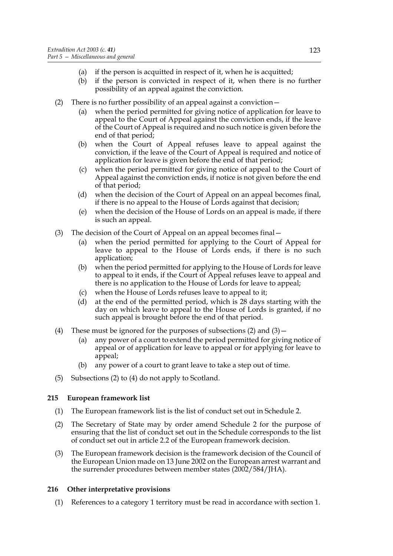- (a) if the person is acquitted in respect of it, when he is acquitted;
- (b) if the person is convicted in respect of it, when there is no further possibility of an appeal against the conviction.
- (2) There is no further possibility of an appeal against a conviction—
	- (a) when the period permitted for giving notice of application for leave to appeal to the Court of Appeal against the conviction ends, if the leave of the Court of Appeal is required and no such notice is given before the end of that period;
	- (b) when the Court of Appeal refuses leave to appeal against the conviction, if the leave of the Court of Appeal is required and notice of application for leave is given before the end of that period;
	- (c) when the period permitted for giving notice of appeal to the Court of Appeal against the conviction ends, if notice is not given before the end of that period;
	- (d) when the decision of the Court of Appeal on an appeal becomes final, if there is no appeal to the House of Lords against that decision;
	- (e) when the decision of the House of Lords on an appeal is made, if there is such an appeal.
- (3) The decision of the Court of Appeal on an appeal becomes final—
	- (a) when the period permitted for applying to the Court of Appeal for leave to appeal to the House of Lords ends, if there is no such application;
	- (b) when the period permitted for applying to the House of Lords for leave to appeal to it ends, if the Court of Appeal refuses leave to appeal and there is no application to the House of Lords for leave to appeal;
	- (c) when the House of Lords refuses leave to appeal to it;
	- (d) at the end of the permitted period, which is 28 days starting with the day on which leave to appeal to the House of Lords is granted, if no such appeal is brought before the end of that period.
- (4) These must be ignored for the purposes of subsections  $(2)$  and  $(3)$  -
	- (a) any power of a court to extend the period permitted for giving notice of appeal or of application for leave to appeal or for applying for leave to appeal;
	- (b) any power of a court to grant leave to take a step out of time.
- (5) Subsections (2) to (4) do not apply to Scotland.

# **215 European framework list**

- (1) The European framework list is the list of conduct set out in Schedule 2.
- (2) The Secretary of State may by order amend Schedule 2 for the purpose of ensuring that the list of conduct set out in the Schedule corresponds to the list of conduct set out in article 2.2 of the European framework decision.
- (3) The European framework decision is the framework decision of the Council of the European Union made on 13 June 2002 on the European arrest warrant and the surrender procedures between member states (2002/584/JHA).

# **216 Other interpretative provisions**

(1) References to a category 1 territory must be read in accordance with section 1.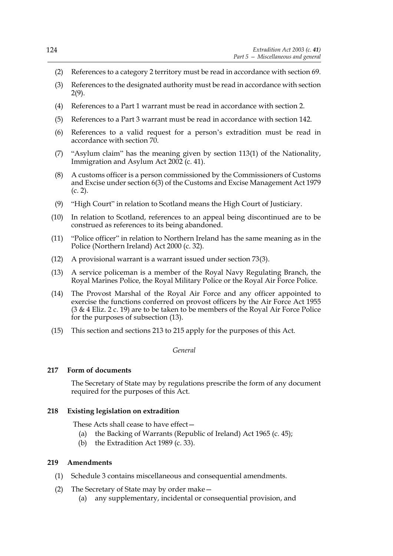- (2) References to a category 2 territory must be read in accordance with section 69.
- (3) References to the designated authority must be read in accordance with section 2(9).
- (4) References to a Part 1 warrant must be read in accordance with section 2.
- (5) References to a Part 3 warrant must be read in accordance with section 142.
- (6) References to a valid request for a person's extradition must be read in accordance with section 70.
- (7) "Asylum claim" has the meaning given by section 113(1) of the Nationality, Immigration and Asylum Act 2002 (c. 41).
- (8) A customs officer is a person commissioned by the Commissioners of Customs and Excise under section 6(3) of the Customs and Excise Management Act 1979 (c. 2).
- (9) "High Court" in relation to Scotland means the High Court of Justiciary.
- (10) In relation to Scotland, references to an appeal being discontinued are to be construed as references to its being abandoned.
- (11) "Police officer" in relation to Northern Ireland has the same meaning as in the Police (Northern Ireland) Act 2000 (c. 32).
- (12) A provisional warrant is a warrant issued under section 73(3).
- (13) A service policeman is a member of the Royal Navy Regulating Branch, the Royal Marines Police, the Royal Military Police or the Royal Air Force Police.
- (14) The Provost Marshal of the Royal Air Force and any officer appointed to exercise the functions conferred on provost officers by the Air Force Act 1955 (3 & 4 Eliz. 2 c. 19) are to be taken to be members of the Royal Air Force Police for the purposes of subsection (13).
- (15) This section and sections 213 to 215 apply for the purposes of this Act.

# *General*

#### **217 Form of documents**

The Secretary of State may by regulations prescribe the form of any document required for the purposes of this Act.

#### **218 Existing legislation on extradition**

These Acts shall cease to have effect—

- (a) the Backing of Warrants (Republic of Ireland) Act 1965 (c. 45);
- (b) the Extradition Act 1989 (c. 33).

#### **219 Amendments**

- (1) Schedule 3 contains miscellaneous and consequential amendments.
- (2) The Secretary of State may by order make—
	- (a) any supplementary, incidental or consequential provision, and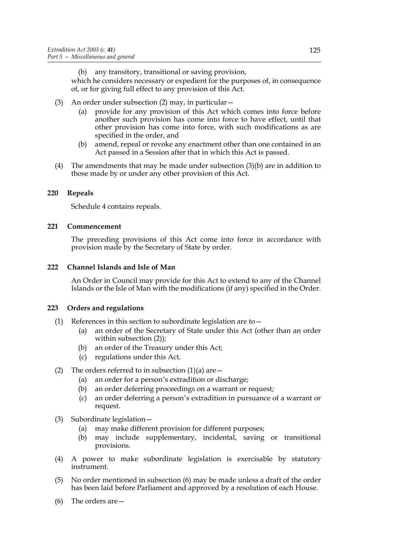(b) any transitory, transitional or saving provision,

which he considers necessary or expedient for the purposes of, in consequence of, or for giving full effect to any provision of this Act.

- (3) An order under subsection (2) may, in particular—
	- (a) provide for any provision of this Act which comes into force before another such provision has come into force to have effect, until that other provision has come into force, with such modifications as are specified in the order, and
	- (b) amend, repeal or revoke any enactment other than one contained in an Act passed in a Session after that in which this Act is passed.
- (4) The amendments that may be made under subsection (3)(b) are in addition to those made by or under any other provision of this Act.

# **220 Repeals**

Schedule 4 contains repeals.

#### **221 Commencement**

The preceding provisions of this Act come into force in accordance with provision made by the Secretary of State by order.

# **222 Channel Islands and Isle of Man**

An Order in Council may provide for this Act to extend to any of the Channel Islands or the Isle of Man with the modifications (if any) specified in the Order.

#### **223 Orders and regulations**

- (1) References in this section to subordinate legislation are to—
	- (a) an order of the Secretary of State under this Act (other than an order within subsection (2));
	- (b) an order of the Treasury under this Act;
	- (c) regulations under this Act.
- (2) The orders referred to in subsection  $(1)(a)$  are  $-$ 
	- (a) an order for a person's extradition or discharge;
		- (b) an order deferring proceedings on a warrant or request;
		- (c) an order deferring a person's extradition in pursuance of a warrant or request.
- (3) Subordinate legislation—
	- (a) may make different provision for different purposes;
	- (b) may include supplementary, incidental, saving or transitional provisions.
- (4) A power to make subordinate legislation is exercisable by statutory instrument.
- (5) No order mentioned in subsection (6) may be made unless a draft of the order has been laid before Parliament and approved by a resolution of each House.
- (6) The orders are—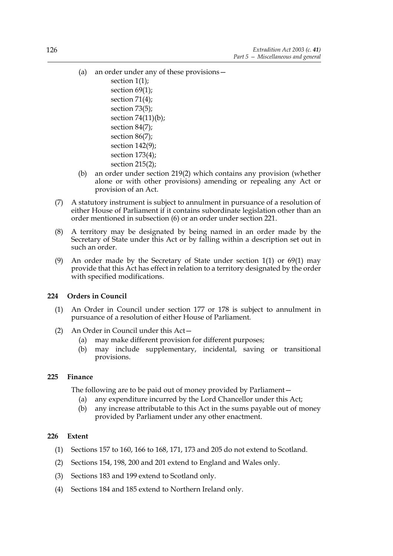(a) an order under any of these provisions—

section 1(1); section 69(1); section 71(4); section 73(5); section 74(11)(b); section 84(7); section 86(7); section 142(9); section 173(4); section 215(2);

- (b) an order under section 219(2) which contains any provision (whether alone or with other provisions) amending or repealing any Act or provision of an Act.
- (7) A statutory instrument is subject to annulment in pursuance of a resolution of either House of Parliament if it contains subordinate legislation other than an order mentioned in subsection (6) or an order under section 221.
- (8) A territory may be designated by being named in an order made by the Secretary of State under this Act or by falling within a description set out in such an order.
- (9) An order made by the Secretary of State under section  $1(1)$  or 69(1) may provide that this Act has effect in relation to a territory designated by the order with specified modifications.

# **224 Orders in Council**

- (1) An Order in Council under section 177 or 178 is subject to annulment in pursuance of a resolution of either House of Parliament.
- (2) An Order in Council under this Act—
	- (a) may make different provision for different purposes;
	- (b) may include supplementary, incidental, saving or transitional provisions.

# **225 Finance**

The following are to be paid out of money provided by Parliament—

- (a) any expenditure incurred by the Lord Chancellor under this Act;
- (b) any increase attributable to this Act in the sums payable out of money provided by Parliament under any other enactment.

# **226 Extent**

- (1) Sections 157 to 160, 166 to 168, 171, 173 and 205 do not extend to Scotland.
- (2) Sections 154, 198, 200 and 201 extend to England and Wales only.
- (3) Sections 183 and 199 extend to Scotland only.
- (4) Sections 184 and 185 extend to Northern Ireland only.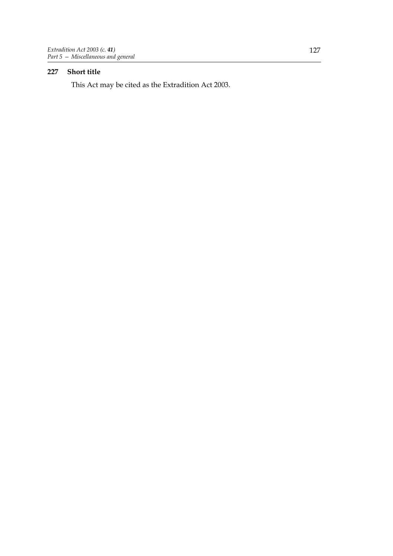# **227 Short title**

This Act may be cited as the Extradition Act 2003.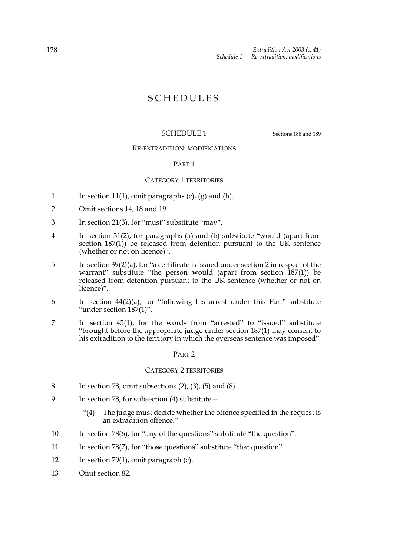# SCHEDULES

# SCHEDULE 1 Sections 188 and 189

#### RE-EXTRADITION: MODIFICATIONS

#### PART 1

#### CATEGORY 1 TERRITORIES

- 1 In section 11(1), omit paragraphs  $(c)$ ,  $(g)$  and  $(h)$ .
- 2 Omit sections 14, 18 and 19.
- 3 In section 21(3), for "must" substitute "may".
- 4 In section 31(2), for paragraphs (a) and (b) substitute "would (apart from section  $187(1)$ ) be released from detention pursuant to the UK sentence (whether or not on licence)".
- 5 In section 39(2)(a), for "a certificate is issued under section 2 in respect of the warrant" substitute "the person would (apart from section 187(1)) be released from detention pursuant to the  $\overrightarrow{UK}$  sentence (whether or not on licence)".
- 6 In section 44(2)(a), for "following his arrest under this Part" substitute "under section 187(1)".
- 7 In section 45(1), for the words from "arrested" to "issued" substitute "brought before the appropriate judge under section 187(1) may consent to his extradition to the territory in which the overseas sentence was imposed".

#### PART 2

#### CATEGORY 2 TERRITORIES

- 8 In section 78, omit subsections (2), (3), (5) and (8).
- 9 In section 78, for subsection (4) substitute—
	- "(4) The judge must decide whether the offence specified in the request is an extradition offence."
- 10 In section 78(6), for "any of the questions" substitute "the question".
- 11 In section 78(7), for "those questions" substitute "that question".
- 12 In section 79(1), omit paragraph (c).
- 13 Omit section 82.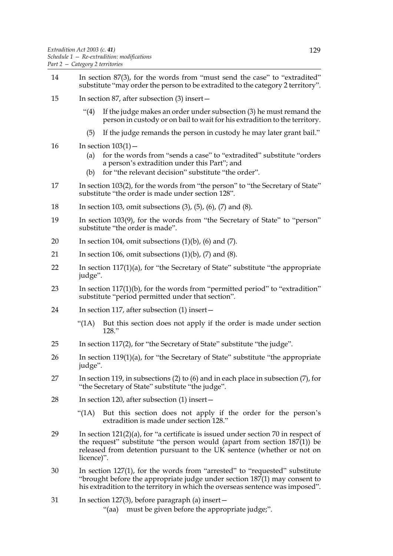- 14 In section 87(3), for the words from "must send the case" to "extradited" substitute "may order the person to be extradited to the category 2 territory".
- 15 In section 87, after subsection (3) insert—
	- "(4) If the judge makes an order under subsection (3) he must remand the person in custody or on bail to wait for his extradition to the territory.
	- (5) If the judge remands the person in custody he may later grant bail."
- 16 In section  $103(1)$ 
	- (a) for the words from "sends a case" to "extradited" substitute "orders a person's extradition under this Part"; and
	- (b) for "the relevant decision" substitute "the order".
- 17 In section 103(2), for the words from "the person" to "the Secretary of State" substitute "the order is made under section 128".
- 18 In section 103, omit subsections (3), (5), (6), (7) and (8).
- 19 In section 103(9), for the words from "the Secretary of State" to "person" substitute "the order is made".
- 20 In section 104, omit subsections  $(1)(b)$ ,  $(6)$  and  $(7)$ .
- 21 In section 106, omit subsections  $(1)(b)$ ,  $(7)$  and  $(8)$ .
- 22 In section 117(1)(a), for "the Secretary of State" substitute "the appropriate judge".
- 23 In section 117(1)(b), for the words from "permitted period" to "extradition" substitute "period permitted under that section".
- 24 In section 117, after subsection (1) insert—
	- "(1A) But this section does not apply if the order is made under section 128."
- 25 In section 117(2), for "the Secretary of State" substitute "the judge".
- 26 In section 119(1)(a), for "the Secretary of State" substitute "the appropriate judge".
- 27 In section 119, in subsections (2) to (6) and in each place in subsection (7), for "the Secretary of State" substitute "the judge".
- 28 In section 120, after subsection (1) insert—
	- "(1A) But this section does not apply if the order for the person's extradition is made under section 128."
- 29 In section 121(2)(a), for "a certificate is issued under section 70 in respect of the request" substitute "the person would (apart from section  $187(1)$ ) be released from detention pursuant to the UK sentence (whether or not on licence)".
- 30 In section 127(1), for the words from "arrested" to "requested" substitute "brought before the appropriate judge under section 187(1) may consent to his extradition to the territory in which the overseas sentence was imposed".
- 31 In section 127(3), before paragraph (a) insert— "(aa) must be given before the appropriate judge;".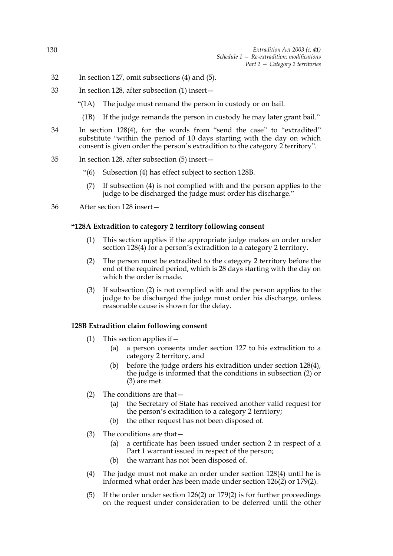- 32 In section 127, omit subsections (4) and (5).
- 33 In section 128, after subsection (1) insert—
	- "(1A) The judge must remand the person in custody or on bail.
		- (1B) If the judge remands the person in custody he may later grant bail."
- 34 In section 128(4), for the words from "send the case" to "extradited" substitute "within the period of 10 days starting with the day on which consent is given order the person's extradition to the category 2 territory".
- 35 In section 128, after subsection (5) insert—
	- "(6) Subsection (4) has effect subject to section 128B.
	- (7) If subsection (4) is not complied with and the person applies to the judge to be discharged the judge must order his discharge."
- 36 After section 128 insert—

#### **"128A Extradition to category 2 territory following consent**

- (1) This section applies if the appropriate judge makes an order under section 128(4) for a person's extradition to a category 2 territory.
- (2) The person must be extradited to the category 2 territory before the end of the required period, which is 28 days starting with the day on which the order is made.
- (3) If subsection (2) is not complied with and the person applies to the judge to be discharged the judge must order his discharge, unless reasonable cause is shown for the delay.

#### **128B Extradition claim following consent**

- (1) This section applies if  $-$ 
	- (a) a person consents under section 127 to his extradition to a category 2 territory, and
	- (b) before the judge orders his extradition under section 128(4), the judge is informed that the conditions in subsection (2) or (3) are met.
- (2) The conditions are that—
	- (a) the Secretary of State has received another valid request for the person's extradition to a category 2 territory;
	- (b) the other request has not been disposed of.
- (3) The conditions are that—
	- (a) a certificate has been issued under section 2 in respect of a Part 1 warrant issued in respect of the person;
	- (b) the warrant has not been disposed of.
- (4) The judge must not make an order under section 128(4) until he is informed what order has been made under section 126(2) or 179(2).
- (5) If the order under section 126(2) or 179(2) is for further proceedings on the request under consideration to be deferred until the other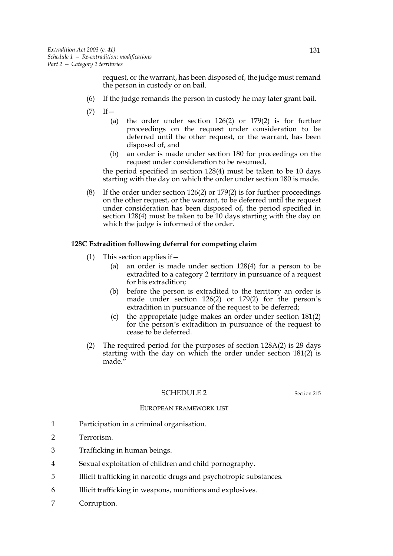request, or the warrant, has been disposed of, the judge must remand the person in custody or on bail.

- (6) If the judge remands the person in custody he may later grant bail.
- $(7)$  If  $-$ 
	- (a) the order under section 126(2) or 179(2) is for further proceedings on the request under consideration to be deferred until the other request, or the warrant, has been disposed of, and
	- (b) an order is made under section 180 for proceedings on the request under consideration to be resumed,

the period specified in section 128(4) must be taken to be 10 days starting with the day on which the order under section 180 is made.

(8) If the order under section 126(2) or 179(2) is for further proceedings on the other request, or the warrant, to be deferred until the request under consideration has been disposed of, the period specified in section 128(4) must be taken to be 10 days starting with the day on which the judge is informed of the order.

#### **128C Extradition following deferral for competing claim**

- (1) This section applies if—
	- (a) an order is made under section 128(4) for a person to be extradited to a category 2 territory in pursuance of a request for his extradition;
	- (b) before the person is extradited to the territory an order is made under section 126(2) or 179(2) for the person's extradition in pursuance of the request to be deferred;
	- (c) the appropriate judge makes an order under section 181(2) for the person's extradition in pursuance of the request to cease to be deferred.
- (2) The required period for the purposes of section 128A(2) is 28 days starting with the day on which the order under section 181(2) is made.'

# SCHEDULE 2 Section 215

#### EUROPEAN FRAMEWORK LIST

- 1 Participation in a criminal organisation.
- 2 Terrorism.
- 3 Trafficking in human beings.
- 4 Sexual exploitation of children and child pornography.
- 5 Illicit trafficking in narcotic drugs and psychotropic substances.
- 6 Illicit trafficking in weapons, munitions and explosives.
- 7 Corruption.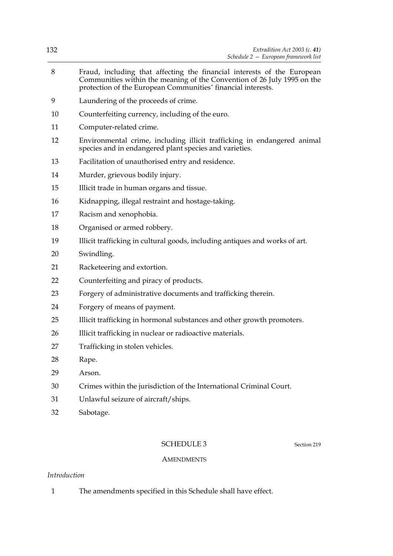| 132 | Extradition Act 2003 (c. 41)<br>Schedule 2 - European framework list                                                                                                                                               |
|-----|--------------------------------------------------------------------------------------------------------------------------------------------------------------------------------------------------------------------|
| 8   | Fraud, including that affecting the financial interests of the European<br>Communities within the meaning of the Convention of 26 July 1995 on the<br>protection of the European Communities' financial interests. |
| 9   | Laundering of the proceeds of crime.                                                                                                                                                                               |
| 10  | Counterfeiting currency, including of the euro.                                                                                                                                                                    |
| 11  | Computer-related crime.                                                                                                                                                                                            |
| 12  | Environmental crime, including illicit trafficking in endangered animal<br>species and in endangered plant species and varieties.                                                                                  |
| 13  | Facilitation of unauthorised entry and residence.                                                                                                                                                                  |
| 14  | Murder, grievous bodily injury.                                                                                                                                                                                    |
| 15  | Illicit trade in human organs and tissue.                                                                                                                                                                          |
| 16  | Kidnapping, illegal restraint and hostage-taking.                                                                                                                                                                  |
| 17  | Racism and xenophobia.                                                                                                                                                                                             |
| 18  | Organised or armed robbery.                                                                                                                                                                                        |
| 19  | Illicit trafficking in cultural goods, including antiques and works of art.                                                                                                                                        |
| 20  | Swindling.                                                                                                                                                                                                         |
| 21  | Racketeering and extortion.                                                                                                                                                                                        |
| 22  | Counterfeiting and piracy of products.                                                                                                                                                                             |
| 23  | Forgery of administrative documents and trafficking therein.                                                                                                                                                       |
| 24  | Forgery of means of payment.                                                                                                                                                                                       |
| 25  | Illicit trafficking in hormonal substances and other growth promoters.                                                                                                                                             |
| 26  | Illicit trafficking in nuclear or radioactive materials.                                                                                                                                                           |
| 27  | Trafficking in stolen vehicles.                                                                                                                                                                                    |
| 28  | Rape.                                                                                                                                                                                                              |
| 29  | Arson.                                                                                                                                                                                                             |
| 30  | Crimes within the jurisdiction of the International Criminal Court.                                                                                                                                                |
| 31  | Unlawful seizure of aircraft/ships.                                                                                                                                                                                |
| 32  | Sabotage.                                                                                                                                                                                                          |
|     |                                                                                                                                                                                                                    |

# SCHEDULE 3 Section 219

# **AMENDMENTS**

# *Introduction*

1 The amendments specified in this Schedule shall have effect.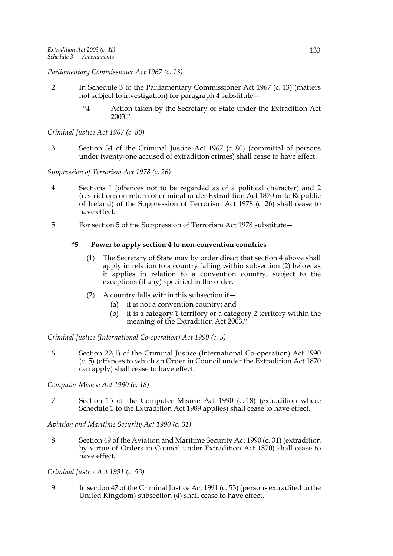*Parliamentary Commissioner Act 1967 (c. 13)*

- 2 In Schedule 3 to the Parliamentary Commissioner Act 1967 (c. 13) (matters not subject to investigation) for paragraph 4 substitute—
	- "4 Action taken by the Secretary of State under the Extradition Act 2003."

*Criminal Justice Act 1967 (c. 80)*

3 Section 34 of the Criminal Justice Act 1967 (c. 80) (committal of persons under twenty-one accused of extradition crimes) shall cease to have effect.

*Suppression of Terrorism Act 1978 (c. 26)*

- 4 Sections 1 (offences not to be regarded as of a political character) and 2 (restrictions on return of criminal under Extradition Act 1870 or to Republic of Ireland) of the Suppression of Terrorism Act 1978 (c. 26) shall cease to have effect.
- 5 For section 5 of the Suppression of Terrorism Act 1978 substitute—

# **"5 Power to apply section 4 to non-convention countries**

- (1) The Secretary of State may by order direct that section 4 above shall apply in relation to a country falling within subsection (2) below as it applies in relation to a convention country, subject to the exceptions (if any) specified in the order.
- (2) A country falls within this subsection if—
	- (a) it is not a convention country; and
	- (b) it is a category 1 territory or a category 2 territory within the meaning of the Extradition Act 2003."

*Criminal Justice (International Co-operation) Act 1990 (c. 5)*

6 Section 22(1) of the Criminal Justice (International Co-operation) Act 1990 (c. 5) (offences to which an Order in Council under the Extradition Act 1870 can apply) shall cease to have effect.

*Computer Misuse Act 1990 (c. 18)*

7 Section 15 of the Computer Misuse Act 1990 (c. 18) (extradition where Schedule 1 to the Extradition Act 1989 applies) shall cease to have effect.

*Aviation and Maritime Security Act 1990 (c. 31)*

8 Section 49 of the Aviation and Maritime Security Act 1990 (c. 31) (extradition by virtue of Orders in Council under Extradition Act 1870) shall cease to have effect.

#### *Criminal Justice Act 1991 (c. 53)*

9 In section 47 of the Criminal Justice Act 1991 (c. 53) (persons extradited to the United Kingdom) subsection (4) shall cease to have effect.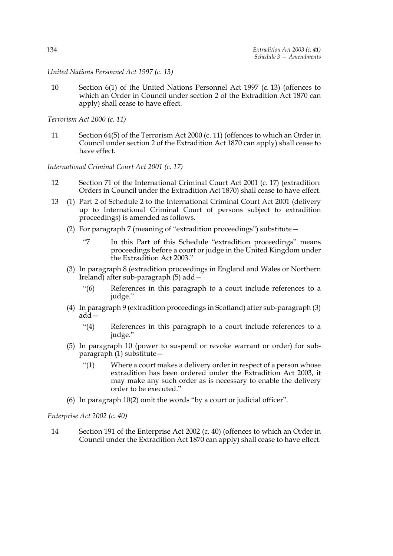*United Nations Personnel Act 1997 (c. 13)*

10 Section 6(1) of the United Nations Personnel Act 1997 (c. 13) (offences to which an Order in Council under section 2 of the Extradition Act 1870 can apply) shall cease to have effect.

*Terrorism Act 2000 (c. 11)*

11 Section 64(5) of the Terrorism Act 2000 (c. 11) (offences to which an Order in Council under section 2 of the Extradition Act 1870 can apply) shall cease to have effect.

*International Criminal Court Act 2001 (c. 17)*

- 12 Section 71 of the International Criminal Court Act 2001 (c. 17) (extradition: Orders in Council under the Extradition Act 1870) shall cease to have effect.
- 13 (1) Part 2 of Schedule 2 to the International Criminal Court Act 2001 (delivery up to International Criminal Court of persons subject to extradition proceedings) is amended as follows.
	- (2) For paragraph 7 (meaning of "extradition proceedings") substitute—
		- "7 In this Part of this Schedule "extradition proceedings" means proceedings before a court or judge in the United Kingdom under the Extradition Act 2003."
	- (3) In paragraph 8 (extradition proceedings in England and Wales or Northern Ireland) after sub-paragraph (5) add—
		- "(6) References in this paragraph to a court include references to a judge."
	- (4) In paragraph 9 (extradition proceedings in Scotland) after sub-paragraph (3) ad $\mathbf{\dot{d}}$   $-$ 
		- "(4) References in this paragraph to a court include references to a judge."
	- (5) In paragraph 10 (power to suspend or revoke warrant or order) for subparagraph (1) substitute—
		- "(1) Where a court makes a delivery order in respect of a person whose extradition has been ordered under the Extradition Act 2003, it may make any such order as is necessary to enable the delivery order to be executed."
	- (6) In paragraph 10(2) omit the words "by a court or judicial officer".

*Enterprise Act 2002 (c. 40)*

14 Section 191 of the Enterprise Act 2002 (c. 40) (offences to which an Order in Council under the Extradition Act 1870 can apply) shall cease to have effect.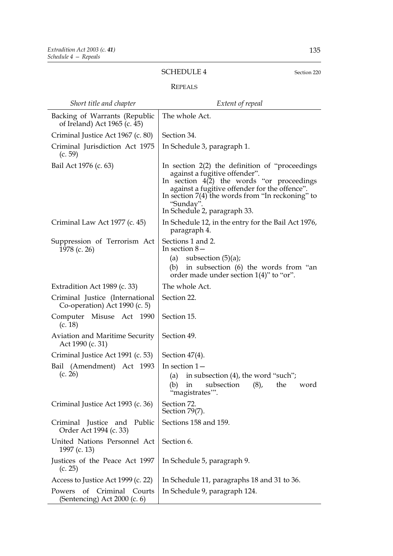## SCHEDULE 4 Section 220

## REPEALS

| Short title and chapter                                            | Extent of repeal                                                                                                                                                                                                                                                                      |
|--------------------------------------------------------------------|---------------------------------------------------------------------------------------------------------------------------------------------------------------------------------------------------------------------------------------------------------------------------------------|
| Backing of Warrants (Republic<br>of Ireland) Act 1965 (c. 45)      | The whole Act.                                                                                                                                                                                                                                                                        |
| Criminal Justice Act 1967 (c. 80)                                  | Section 34.                                                                                                                                                                                                                                                                           |
| Criminal Jurisdiction Act 1975<br>(c. 59)                          | In Schedule 3, paragraph 1.                                                                                                                                                                                                                                                           |
| Bail Act 1976 (c. 63)                                              | In section $2(2)$ the definition of "proceedings"<br>against a fugitive offender".<br>In section $4(2)$ the words "or proceedings<br>against a fugitive offender for the offence".<br>In section $7(4)$ the words from "In reckoning" to<br>"Sunday".<br>In Schedule 2, paragraph 33. |
| Criminal Law Act 1977 (c. 45)                                      | In Schedule 12, in the entry for the Bail Act 1976,<br>paragraph 4.                                                                                                                                                                                                                   |
| Suppression of Terrorism Act<br>1978 (c. 26)                       | Sections 1 and 2.<br>In section $8-$                                                                                                                                                                                                                                                  |
|                                                                    | subsection $(5)(a)$ ;<br>(a)<br>in subsection (6) the words from "an<br>(b)<br>order made under section $1(4)$ " to "or".                                                                                                                                                             |
| Extradition Act 1989 (c. 33)                                       | The whole Act.                                                                                                                                                                                                                                                                        |
| Criminal Justice (International<br>Co-operation) Act 1990 (c. 5)   | Section 22.                                                                                                                                                                                                                                                                           |
| Computer Misuse Act 1990<br>(c. 18)                                | Section 15.                                                                                                                                                                                                                                                                           |
| <b>Aviation and Maritime Security</b><br>Act 1990 (c. 31)          | Section 49.                                                                                                                                                                                                                                                                           |
| Criminal Justice Act 1991 (c. 53)                                  | Section $47(4)$ .                                                                                                                                                                                                                                                                     |
| Bail (Amendment) Act 1993<br>(c. 26)                               | In section $1-$<br>in subsection (4), the word "such";<br>(a)<br>subsection<br>the<br>(b)<br>in<br>(8),<br>word<br>"magistrates"".                                                                                                                                                    |
| Criminal Justice Act 1993 (c. 36)                                  | Section 72.<br>Section 79(7).                                                                                                                                                                                                                                                         |
| Criminal Justice and Public<br>Order Act 1994 (c. 33)              | Sections 158 and 159.                                                                                                                                                                                                                                                                 |
| United Nations Personnel Act<br>1997 (c. 13)                       | Section 6.                                                                                                                                                                                                                                                                            |
| Justices of the Peace Act 1997<br>(c. 25)                          | In Schedule 5, paragraph 9.                                                                                                                                                                                                                                                           |
| Access to Justice Act 1999 (c. 22)                                 | In Schedule 11, paragraphs 18 and 31 to 36.                                                                                                                                                                                                                                           |
| of<br>Criminal<br>Powers<br>Courts<br>(Sentencing) Act 2000 (c. 6) | In Schedule 9, paragraph 124.                                                                                                                                                                                                                                                         |